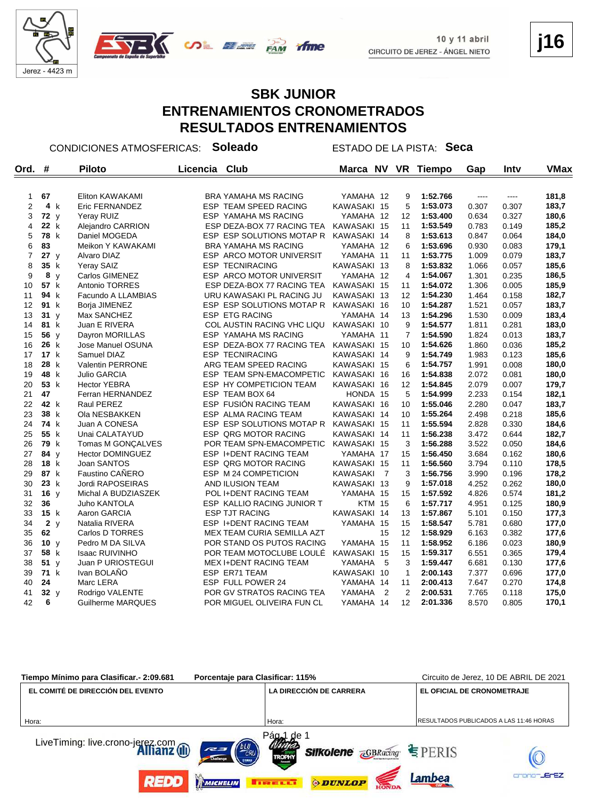

#### **SBK JUNIOR ENTRENAMIENTOS CRONOMETRADOS RESULTADOS ENTRENAMIENTOS**

CONDICIONES ATMOSFERICAS: **Soleado** ESTADO DE LA PISTA: **Seca**

| Ord.           | #               |     | <b>Piloto</b>           | Licencia | Club                          | Marca NV        |                | <b>VR</b>      | <b>Tiempo</b> | Gap   | Intv  | <b>VMax</b> |
|----------------|-----------------|-----|-------------------------|----------|-------------------------------|-----------------|----------------|----------------|---------------|-------|-------|-------------|
|                |                 |     |                         |          |                               |                 |                |                |               |       |       |             |
| $\mathbf{1}$   | 67              |     | Eliton KAWAKAMI         |          | <b>BRA YAMAHA MS RACING</b>   | YAMAHA 12       |                | 9              | 1:52.766      | $---$ | $---$ | 181,8       |
| $\overline{2}$ |                 | 4 k | Eric FERNANDEZ          |          | <b>ESP TEAM SPEED RACING</b>  | KAWASAKI 15     |                | 5              | 1:53.073      | 0.307 | 0.307 | 183,7       |
| 3              | 72 y            |     | Yeray RUIZ              |          | ESP YAMAHA MS RACING          | YAMAHA 12       |                | 12             | 1:53.400      | 0.634 | 0.327 | 180,6       |
| 4              | 22 k            |     | Alejandro CARRION       |          | ESP DEZA-BOX 77 RACING TEA    | KAWASAKI 15     |                | 11             | 1:53.549      | 0.783 | 0.149 | 185,2       |
| 5              | 78 k            |     | Daniel MOGEDA           |          | ESP ESP SOLUTIONS MOTAP R     | KAWASAKI 14     |                | 8              | 1:53.613      | 0.847 | 0.064 | 184,0       |
| 6              | 83              |     | Meikon Y KAWAKAMI       |          | <b>BRA YAMAHA MS RACING</b>   | YAMAHA 12       |                | 6              | 1:53.696      | 0.930 | 0.083 | 179,1       |
| $\overline{7}$ | 27y             |     | Alvaro DIAZ             |          | ESP ARCO MOTOR UNIVERSIT      | YAMAHA 11       |                | 11             | 1:53.775      | 1.009 | 0.079 | 183,7       |
| 8              | 35 k            |     | Yeray SAIZ              |          | <b>ESP TECNIRACING</b>        | KAWASAKI 13     |                | 8              | 1:53.832      | 1.066 | 0.057 | 185,6       |
| 9              |                 | 8 y | Carlos GIMENEZ          |          | ESP ARCO MOTOR UNIVERSIT      | YAMAHA 12       |                | 4              | 1:54.067      | 1.301 | 0.235 | 186,5       |
| 10             | 57 k            |     | Antonio TORRES          |          | ESP DEZA-BOX 77 RACING TEA    | KAWASAKI 15     |                | 11             | 1:54.072      | 1.306 | 0.005 | 185,9       |
| 11             | 94 k            |     | Facundo A LLAMBIAS      |          | URU KAWASAKI PL RACING JU     | KAWASAKI 13     |                | 12             | 1:54.230      | 1.464 | 0.158 | 182,7       |
| 12             | 91 k            |     | Borja JIMENEZ           |          | ESP ESP SOLUTIONS MOTAP R     | KAWASAKI 16     |                | 10             | 1:54.287      | 1.521 | 0.057 | 183,7       |
| 13             | 31y             |     | Max SANCHEZ             |          | ESP ETG RACING                | YAMAHA 14       |                | 13             | 1:54.296      | 1.530 | 0.009 | 183,4       |
| 14             | 81 k            |     | Juan E RIVERA           |          | COL AUSTIN RACING VHC LIQU    | KAWASAKI 10     |                | 9              | 1:54.577      | 1.811 | 0.281 | 183,0       |
| 15             | 56 y            |     | Dayron MORILLAS         |          | <b>ESP YAMAHA MS RACING</b>   | YAMAHA 11       |                | $\overline{7}$ | 1:54.590      | 1.824 | 0.013 | 183,7       |
| 16             | 26 k            |     | Jose Manuel OSUNA       |          | ESP DEZA-BOX 77 RACING TEA    | KAWASAKI 15     |                | 10             | 1:54.626      | 1.860 | 0.036 | 185,2       |
| 17             | 17 k            |     | Samuel DIAZ             |          | <b>ESP TECNIRACING</b>        | KAWASAKI 14     |                | 9              | 1:54.749      | 1.983 | 0.123 | 185,6       |
| 18             | 28 k            |     | Valentin PERRONE        |          | ARG TEAM SPEED RACING         | KAWASAKI 15     |                | 6              | 1:54.757      | 1.991 | 0.008 | 180,0       |
| 19             | 48 k            |     | Julio GARCIA            |          | ESP TEAM SPN-EMACOMPETIC      | KAWASAKI 16     |                | 16             | 1:54.838      | 2.072 | 0.081 | 180,0       |
| 20             | 53 k            |     | <b>Hector YEBRA</b>     |          | ESP HY COMPETICION TEAM       | KAWASAKI 16     |                | 12             | 1:54.845      | 2.079 | 0.007 | 179,7       |
| 21             | 47              |     | Ferran HERNANDEZ        |          | ESP TEAM BOX 64               | HONDA 15        |                | 5              | 1:54.999      | 2.233 | 0.154 | 182,1       |
| 22             | 42 k            |     | Raul PEREZ              |          | <b>ESP FUSION RACING TEAM</b> | KAWASAKI 16     |                | 10             | 1:55.046      | 2.280 | 0.047 | 183,7       |
| 23             | 38 k            |     | Ola NESBAKKEN           |          | ESP ALMA RACING TEAM          | KAWASAKI 14     |                | 10             | 1:55.264      | 2.498 | 0.218 | 185,6       |
| 24             | 74 k            |     | Juan A CONESA           |          | ESP ESP SOLUTIONS MOTAP R     | KAWASAKI 15     |                | 11             | 1:55.594      | 2.828 | 0.330 | 184,6       |
| 25             | 55 k            |     | Unai CALATAYUD          |          | ESP QRG MOTOR RACING          | KAWASAKI 14     |                | 11             | 1:56.238      | 3.472 | 0.644 | 182,7       |
| 26             | 79 k            |     | Tomas M GONÇALVES       |          | POR TEAM SPN-EMACOMPETIC      | KAWASAKI 15     |                | 3              | 1:56.288      | 3.522 | 0.050 | 184,6       |
| 27             | 84 y            |     | <b>Hector DOMINGUEZ</b> |          | <b>ESP I+DENT RACING TEAM</b> | YAMAHA 17       |                | 15             | 1:56.450      | 3.684 | 0.162 | 180,6       |
| 28             | 18 k            |     | Joan SANTOS             |          | ESP QRG MOTOR RACING          | KAWASAKI 15     |                | 11             | 1:56.560      | 3.794 | 0.110 | 178,5       |
| 29             | 87 k            |     | Faustino CAÑERO         |          | ESP M 24 COMPETICION          | <b>KAWASAKI</b> | - 7            | 3              | 1:56.756      | 3.990 | 0.196 | 178,2       |
| 30             | 23 k            |     | Jordi RAPOSEIRAS        |          | AND ILUSION TEAM              | KAWASAKI 13     |                | 9              | 1:57.018      | 4.252 | 0.262 | 180,0       |
| 31             | 16 <sub>v</sub> |     | Michal A BUDZIASZEK     |          | POL I+DENT RACING TEAM        | YAMAHA 15       |                | 15             | 1:57.592      | 4.826 | 0.574 | 181,2       |
| 32             | 36              |     | <b>Juho KANTOLA</b>     |          | ESP KALLIO RACING JUNIOR T    | <b>KTM 15</b>   |                | 6              | 1:57.717      | 4.951 | 0.125 | 180,9       |
| 33             | 15 k            |     | Aaron GARCIA            |          | <b>ESP TJT RACING</b>         | KAWASAKI 14     |                | 13             | 1:57.867      | 5.101 | 0.150 | 177,3       |
| 34             |                 | 2y  | Natalia RIVERA          |          | ESP I+DENT RACING TEAM        | YAMAHA 15       |                | 15             | 1:58.547      | 5.781 | 0.680 | 177,0       |
| 35             | 62              |     | Carlos D TORRES         |          | MEX TEAM CURIA SEMILLA AZT    |                 | 15             | 12             | 1:58.929      | 6.163 | 0.382 | 177,6       |
| 36             | 10 y            |     | Pedro M DA SILVA        |          | POR STAND OS PUTOS RACING     | YAMAHA 15       |                | 11             | 1:58.952      | 6.186 | 0.023 | 180,9       |
| 37             | 58 k            |     | <b>Isaac RUIVINHO</b>   |          | POR TEAM MOTOCLUBE LOULE      | KAWASAKI 15     |                | 15             | 1:59.317      | 6.551 | 0.365 | 179,4       |
| 38             | 51y             |     | Juan P URIOSTEGUI       |          | <b>MEX I+DENT RACING TEAM</b> | YAMAHA          | 5              | 3              | 1:59.447      | 6.681 | 0.130 | 177,6       |
| 39             | 71 k            |     | Ivan BOLAÑO             |          | ESP ER71 TEAM                 | KAWASAKI 10     |                | $\mathbf{1}$   | 2:00.143      | 7.377 | 0.696 | 177,0       |
| 40             | 24              |     | Marc LERA               |          | ESP FULL POWER 24             | YAMAHA 14       |                | 11             | 2:00.413      | 7.647 | 0.270 | 174,8       |
| 41             | 32v             |     | Rodrigo VALENTE         |          | POR GV STRATOS RACING TEA     | YAMAHA          | $\overline{2}$ | $\overline{2}$ | 2:00.531      | 7.765 | 0.118 | 175,0       |
| 42             | 6               |     | Guilherme MARQUES       |          | POR MIGUEL OLIVEIRA FUN CL    | YAMAHA 14       |                | 12             | 2:01.336      | 8.570 | 0.805 | 170,1       |

| Porcentaje para Clasificar: 115%<br>Tiempo Mínimo para Clasificar.- 2:09.681                 |                                                                                      | Circuito de Jerez, 10 DE ABRIL DE 2021  |
|----------------------------------------------------------------------------------------------|--------------------------------------------------------------------------------------|-----------------------------------------|
| EL COMITÉ DE DIRECCIÓN DEL EVENTO                                                            | <b>LA DIRECCIÓN DE CARRERA</b>                                                       | EL OFICIAL DE CRONOMETRAJE              |
| Hora:                                                                                        | Hora:                                                                                | RESULTADOS PUBLICADOS A LAS 11:46 HORAS |
| LiveTiming: live.crono-jerez.com<br><b>Allianz</b> (II)<br>(BLU <sub>CRU</sub><br>$\epsilon$ | Pág <sub>a</sub> 1 de 1<br><b>Silkolene <i><u>RGBRacing</u></i></b><br><b>TROPHY</b> | $E$ PERIS                               |
| <b>REDD</b><br>MICHELIN                                                                      | <b>DUNLOP</b><br><b>THE EXER</b>                                                     | -JErEZ<br>Lambea                        |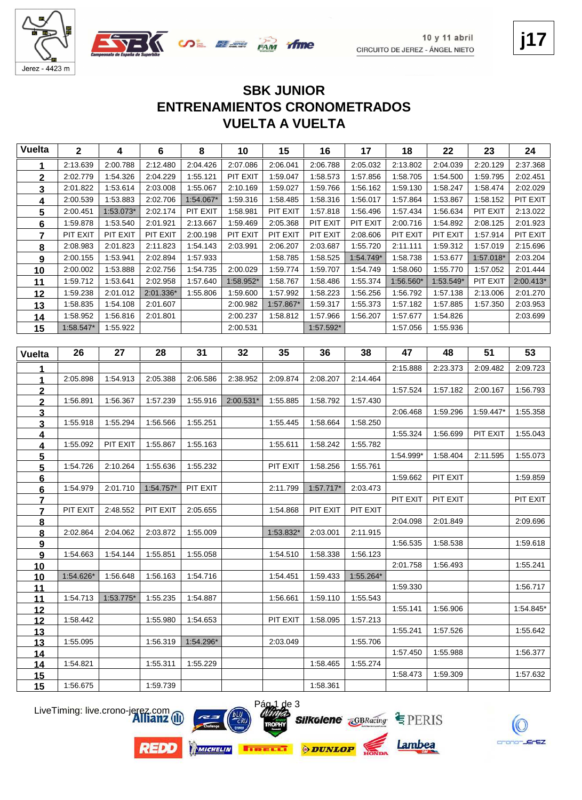

### **VUELTA A VUELTA ENTRENAMIENTOS CRONOMETRADOS SBK JUNIOR**

| <b>Vuelta</b>           | $\mathbf{2}$ | 4         | $6\phantom{a}$ | 8         | 10        | 15        | 16          | 17          | 18        | 22        | 23        | 24        |
|-------------------------|--------------|-----------|----------------|-----------|-----------|-----------|-------------|-------------|-----------|-----------|-----------|-----------|
| 1                       | 2:13.639     | 2:00.788  | 2:12.480       | 2:04.426  | 2:07.086  | 2:06.041  | 2:06.788    | 2:05.032    | 2:13.802  | 2:04.039  | 2:20.129  | 2:37.368  |
| $\mathbf{2}$            | 2:02.779     | 1:54.326  | 2:04.229       | 1:55.121  | PIT EXIT  | 1:59.047  | 1:58.573    | 1:57.856    | 1:58.705  | 1:54.500  | 1:59.795  | 2:02.451  |
| 3                       | 2:01.822     | 1:53.614  | 2:03.008       | 1:55.067  | 2:10.169  | 1:59.027  | 1:59.766    | 1:56.162    | 1:59.130  | 1:58.247  | 1:58.474  | 2:02.029  |
| 4                       | 2:00.539     | 1:53.883  | 2:02.706       | 1:54.067* | 1:59.316  | 1:58.485  | 1:58.316    | 1:56.017    | 1:57.864  | 1:53.867  | 1:58.152  | PIT EXIT  |
| 5                       | 2:00.451     | 1:53.073* | 2:02.174       | PIT EXIT  | 1:58.981  | PIT EXIT  | 1:57.818    | 1:56.496    | 1:57.434  | 1:56.634  | PIT EXIT  | 2:13.022  |
| 6                       | 1:59.878     | 1:53.540  | 2:01.921       | 2:13.667  | 1:59.469  | 2:05.368  | PIT EXIT    | PIT EXIT    | 2:00.716  | 1:54.892  | 2:08.125  | 2:01.923  |
| $\overline{7}$          | PIT EXIT     | PIT EXIT  | PIT EXIT       | 2:00.198  | PIT EXIT  | PIT EXIT  | PIT EXIT    | 2:08.606    | PIT EXIT  | PIT EXIT  | 1:57.914  | PIT EXIT  |
| 8                       | 2:08.983     | 2:01.823  | 2:11.823       | 1:54.143  | 2:03.991  | 2:06.207  | 2:03.687    | 1:55.720    | 2:11.111  | 1:59.312  | 1:57.019  | 2:15.696  |
| 9                       | 2:00.155     | 1:53.941  | 2:02.894       | 1:57.933  |           | 1:58.785  | 1:58.525    | 1:54.749*   | 1:58.738  | 1:53.677  | 1:57.018* | 2:03.204  |
| 10                      | 2:00.002     | 1:53.888  | 2:02.756       | 1:54.735  | 2:00.029  | 1:59.774  | 1:59.707    | 1:54.749    | 1:58.060  | 1:55.770  | 1:57.052  | 2:01.444  |
| 11                      | 1:59.712     | 1:53.641  | 2:02.958       | 1:57.640  | 1:58.952* | 1:58.767  | 1:58.486    | 1:55.374    | 1:56.560* | 1:53.549* | PIT EXIT  | 2:00.413* |
| 12                      | 1:59.238     | 2:01.012  | 2:01.336*      | 1:55.806  | 1:59.600  | 1:57.992  | 1:58.223    | 1:56.256    | 1:56.792  | 1:57.138  | 2:13.006  | 2:01.270  |
| 13                      | 1:58.835     | 1:54.108  | 2:01.607       |           | 2:00.982  | 1:57.867* | 1:59.317    | 1:55.373    | 1:57.182  | 1:57.885  | 1:57.350  | 2:03.953  |
| 14                      | 1:58.952     | 1:56.816  | 2:01.801       |           | 2:00.237  | 1:58.812  | 1:57.966    | 1:56.207    | 1:57.677  | 1:54.826  |           | 2:03.699  |
| 15                      | 1:58.547*    | 1:55.922  |                |           | 2:00.531  |           | 1:57.592*   |             | 1:57.056  | 1:55.936  |           |           |
|                         |              |           |                |           |           |           |             |             |           |           |           |           |
| Vuelta                  | 26           | 27        | 28             | 31        | 32        | 35        | 36          | 38          | 47        | 48        | 51        | 53        |
|                         |              |           |                |           |           |           |             |             | 2:15.888  | 2:23.373  | 2:09.482  | 2:09.723  |
| 1                       | 2:05.898     | 1:54.913  | 2:05.388       | 2:06.586  | 2:38.952  | 2:09.874  | 2:08.207    | 2:14.464    |           |           |           |           |
| $\mathbf{2}$            |              |           |                |           |           |           |             |             | 1:57.524  | 1:57.182  | 2:00.167  | 1:56.793  |
| $\mathbf 2$             | 1:56.891     | 1:56.367  | 1:57.239       | 1:55.916  | 2:00.531* | 1:55.885  | 1:58.792    | 1:57.430    |           |           |           |           |
| 3                       |              |           |                |           |           |           |             |             | 2:06.468  | 1:59.296  | 1:59.447* | 1:55.358  |
| $\overline{\mathbf{3}}$ | 1:55.918     | 1:55.294  | 1:56.566       | 1:55.251  |           | 1:55.445  | 1:58.664    | 1:58.250    |           |           |           |           |
| <u>4</u>                |              |           |                |           |           |           |             |             | 1:55.324  | 1:56.699  | PIT EXIT  | 1:55.043  |
| <u>4</u>                | 1:55.092     | PIT EXIT  | 1:55.867       | 1:55.163  |           | 1:55.611  | 1:58.242    | 1:55.782    |           |           |           |           |
| $\overline{\mathbf{5}}$ |              |           |                |           |           |           |             |             | 1:54.999* | 1:58.404  | 2:11.595  | 1:55.073  |
| $\overline{\mathbf{5}}$ | 1:54.726     | 2:10.264  | 1:55.636       | 1:55.232  |           | PIT EXIT  | 1:58.256    | 1:55.761    |           |           |           |           |
| 6                       |              |           |                |           |           |           |             |             | 1:59.662  | PIT EXIT  |           | 1:59.859  |
| <u>6</u>                | 1:54.979     | 2:01.710  | $1.54.757*$    | PIT EXIT  |           | 2:11.799  | $1:57.717*$ | 2:03.473    | PIT EXIT  | PIT EXIT  |           | PIT EXIT  |
| 7<br>7                  | PIT EXIT     | 2:48.552  | PIT EXIT       | 2:05.655  |           | 1:54.868  | PIT EXIT    | PIT EXIT    |           |           |           |           |
| 8                       |              |           |                |           |           |           |             |             | 2:04.098  | 2:01.849  |           | 2:09.696  |
| 8                       | 2:02.864     | 2:04.062  | 2:03.872       | 1:55.009  |           | 1:53.832* | 2:03.001    | 2:11.915    |           |           |           |           |
| 9                       |              |           |                |           |           |           |             |             | 1:56.535  | 1:58.538  |           | 1:59.618  |
| 9                       | 1:54.663     | 1:54.144  | 1:55.851       | 1:55.058  |           | 1:54.510  | 1:58.338    | 1:56.123    |           |           |           |           |
| 10                      |              |           |                |           |           |           |             |             | 2:01.758  | 1:56.493  |           | 1:55.241  |
| <u>10</u>               | 1:54.626*    | 1:56.648  | 1:56.163       | 1:54.716  |           | 1:54.451  | 1:59.433    | $1:55.264*$ |           |           |           |           |
| <u>11</u>               |              |           |                |           |           |           |             |             | 1:59.330  |           |           | 1:56.717  |
| 11                      | 1:54.713     | 1:53.775* | 1:55.235       | 1:54.887  |           | 1:56.661  | 1:59.110    | 1:55.543    |           |           |           |           |
| 12                      |              |           |                |           |           |           |             |             | 1:55.141  | 1:56.906  |           | 1:54.845* |
| <u> 12 </u>             | 1:58.442     |           | 1:55.980       | 1:54.653  |           | PIT EXIT  | 1:58.095    | 1:57.213    |           |           |           |           |
| <u>13</u>               |              |           |                |           |           |           |             |             | 1:55.241  | 1:57.526  |           | 1:55.642  |
| <u>13</u>               | 1:55.095     |           | 1:56.319       | 1:54.296* |           | 2:03.049  |             | 1:55.706    |           |           |           |           |
| 14                      | 1:54.821     |           | 1:55.311       | 1:55.229  |           |           | 1:58.465    | 1:55.274    | 1:57.450  | 1:55.988  |           | 1:56.377  |
| 14<br>15                |              |           |                |           |           |           |             |             | 1:58.473  | 1:59.309  |           | 1:57.632  |
| 15                      | 1:56.675     |           | 1:59.739       |           |           |           | 1:58.361    |             |           |           |           |           |
|                         |              |           |                |           |           |           |             |             |           |           |           |           |

LiveTiming: live.crono-jerez.com



**REDD** 







Lambea

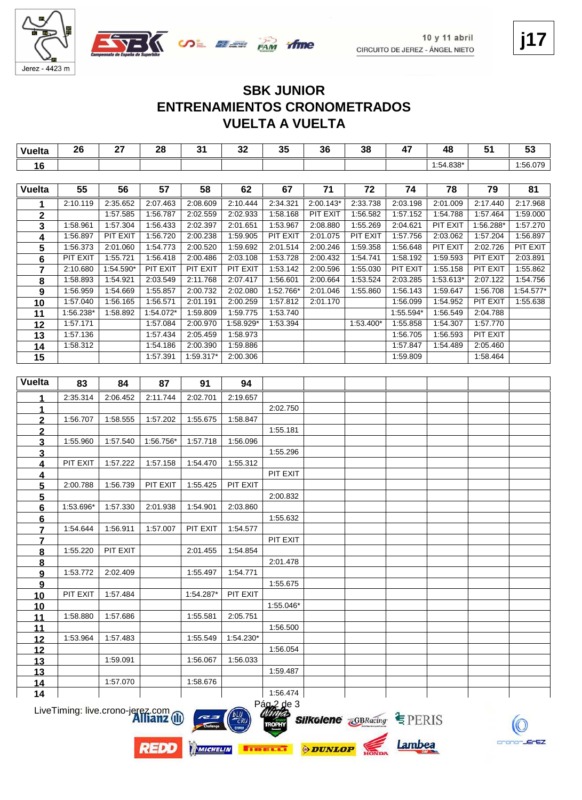



#### **VUELTA A VUELTA ENTRENAMIENTOS CRONOMETRADOS SBK JUNIOR**

| <b>Vuelta</b>           | 26              | 27        | 28        | 31        | 32                    | 35          | 36          | 38        | 47        | 48        | 51              | 53        |
|-------------------------|-----------------|-----------|-----------|-----------|-----------------------|-------------|-------------|-----------|-----------|-----------|-----------------|-----------|
| 16                      |                 |           |           |           |                       |             |             |           |           | 1:54.838* |                 | 1:56.079  |
|                         |                 |           |           |           |                       |             |             |           |           |           |                 |           |
| <b>Vuelta</b>           | 55              | 56        | 57        | 58        | 62                    | 67          | 71          | 72        | 74        | 78        | 79              | 81        |
| 1                       | 2:10.119        | 2:35.652  | 2:07.463  | 2:08.609  | 2:10.444              | 2:34.321    | $2:00.143*$ | 2:33.738  | 2:03.198  | 2:01.009  | 2:17.440        | 2:17.968  |
| $\mathbf 2$             |                 | 1:57.585  | 1:56.787  | 2:02.559  | 2:02.933              | 1:58.168    | PIT EXIT    | 1:56.582  | 1:57.152  | 1:54.788  | 1:57.464        | 1:59.000  |
| $\mathbf{3}$            | 1:58.961        | 1:57.304  | 1:56.433  | 2:02.397  | 2:01.651              | 1:53.967    | 2:08.880    | 1:55.269  | 2:04.621  | PIT EXIT  | 1:56.288*       | 1:57.270  |
| $\overline{\mathbf{4}}$ | 1:56.897        | PIT EXIT  | 1:56.720  | 2:00.238  | 1:59.905              | PIT EXIT    | 2:01.075    | PIT EXIT  | 1:57.756  | 2:03.062  | 1:57.204        | 1:56.897  |
| 5                       | 1:56.373        | 2:01.060  | 1:54.773  | 2:00.520  | 1:59.692              | 2:01.514    | 2:00.246    | 1:59.358  | 1:56.648  | PIT EXIT  | 2:02.726        | PIT EXIT  |
| 6                       | <b>PIT EXIT</b> | 1:55.721  | 1:56.418  | 2:00.486  | 2:03.108              | 1:53.728    | 2:00.432    | 1:54.741  | 1:58.192  | 1:59.593  | <b>PIT EXIT</b> | 2:03.891  |
| $\overline{\mathbf{r}}$ | 2:10.680        | 1:54.590* | PIT EXIT  | PIT EXIT  | PIT EXIT              | 1:53.142    | 2:00.596    | 1:55.030  | PIT EXIT  | 1:55.158  | PIT EXIT        | 1:55.862  |
| 8                       | 1:58.893        | 1:54.921  | 2:03.549  | 2:11.768  | 2:07.417              | 1:56.601    | 2:00.664    | 1:53.524  | 2:03.285  | 1:53.613* | 2:07.122        | 1:54.756  |
| 9                       | 1:56.959        | 1:54.669  | 1:55.857  | 2:00.732  | 2:02.080              | 1:52.766*   | 2:01.046    | 1:55.860  | 1:56.143  | 1:59.647  | 1:56.708        | 1:54.577* |
| 10                      | 1:57.040        | 1:56.165  | 1:56.571  | 2:01.191  | 2:00.259              | 1:57.812    | 2:01.170    |           | 1:56.099  | 1:54.952  | PIT EXIT        | 1:55.638  |
| 11                      | 1:56.238*       | 1:58.892  | 1:54.072* | 1:59.809  | 1:59.775              | 1:53.740    |             |           | 1:55.594* | 1:56.549  | 2:04.788        |           |
| 12                      | 1:57.171        |           | 1:57.084  | 2:00.970  | 1:58.929*             | 1:53.394    |             | 1:53.400* | 1:55.858  | 1:54.307  | 1:57.770        |           |
| 13                      | 1:57.136        |           | 1:57.434  | 2:05.459  | 1:58.973              |             |             |           | 1:56.705  | 1:56.593  | PIT EXIT        |           |
| 14                      | 1:58.312        |           | 1:54.186  | 2:00.390  | 1:59.886              |             |             |           | 1:57.847  | 1:54.489  | 2:05.460        |           |
| 15                      |                 |           | 1:57.391  | 1:59.317* | 2:00.306              |             |             |           | 1:59.809  |           | 1:58.464        |           |
|                         |                 |           |           |           |                       |             |             |           |           |           |                 |           |
| <b>Vuelta</b>           | 83              | 84        | 87        | 91        | 94                    |             |             |           |           |           |                 |           |
|                         | 2:35.314        | 2:06.452  | 2:11.744  | 2:02.701  | 2:19.657              |             |             |           |           |           |                 |           |
|                         |                 |           |           |           |                       | 2:02.750    |             |           |           |           |                 |           |
|                         | 1:56.707        | 1:58.555  | 1:57.202  | 1:55.675  | 1:58.847              |             |             |           |           |           |                 |           |
| <u>2</u>                |                 |           |           |           |                       | 1:55.181    |             |           |           |           |                 |           |
| <u>2</u><br>3           | 1:55.960        | 1:57.540  | 1:56.756* | 1:57.718  | 1:56.096              |             |             |           |           |           |                 |           |
| 3                       |                 |           |           |           |                       | 1:55.296    |             |           |           |           |                 |           |
| 4                       | PIT EXIT        | 1:57.222  | 1:57.158  | 1:54.470  | 1:55.312              |             |             |           |           |           |                 |           |
| $\overline{4}$          |                 |           |           |           |                       | PIT EXIT    |             |           |           |           |                 |           |
| $5\phantom{.0}$         | 2:00.788        | 1:56.739  | PIT EXIT  | 1:55.425  | PIT EXIT              |             |             |           |           |           |                 |           |
| $5\phantom{.0}$         |                 |           |           |           |                       | 2:00.832    |             |           |           |           |                 |           |
| <u>6</u>                | 1:53.696*       | 1:57.330  | 2:01.938  | 1:54.901  | 2:03.860              |             |             |           |           |           |                 |           |
| 6                       |                 |           |           |           |                       | 1:55.632    |             |           |           |           |                 |           |
| 7                       | 1:54.644        | 1:56.911  | 1:57.007  | PIT EXIT  | 1:54.577              |             |             |           |           |           |                 |           |
| 7                       |                 |           |           |           |                       | PIT EXIT    |             |           |           |           |                 |           |
| $\bf{8}$                | 1:55.220        | PIT EXIT  |           | 2:01.455  | 1:54.854              |             |             |           |           |           |                 |           |
| 8                       |                 |           |           |           |                       | 2:01.478    |             |           |           |           |                 |           |
| 9                       | 1:53.772        | 2:02.409  |           |           | $1:55.497$   1:54.771 |             |             |           |           |           |                 |           |
| 9                       |                 |           |           |           |                       | 1:55.675    |             |           |           |           |                 |           |
| 10                      | PIT EXIT        | 1:57.484  |           | 1:54.287* | PIT EXIT              |             |             |           |           |           |                 |           |
| 10                      |                 |           |           |           |                       | 1:55.046*   |             |           |           |           |                 |           |
| 11                      | 1:58.880        | 1:57.686  |           | 1:55.581  | 2:05.751              |             |             |           |           |           |                 |           |
| 11                      |                 |           |           |           |                       | 1:56.500    |             |           |           |           |                 |           |
| 12                      | 1:53.964        | 1:57.483  |           | 1:55.549  | 1:54.230*             |             |             |           |           |           |                 |           |
| 12                      |                 |           |           |           |                       | 1:56.054    |             |           |           |           |                 |           |
| 13                      |                 | 1:59.091  |           | 1:56.067  | 1:56.033              |             |             |           |           |           |                 |           |
| <u>13</u>               |                 |           |           |           |                       | 1:59.487    |             |           |           |           |                 |           |
| 14                      |                 | 1:57.070  |           | 1:58.676  |                       |             |             |           |           |           |                 |           |
| 14                      |                 |           |           |           |                       | 1:56.474    |             |           |           |           |                 |           |
|                         |                 |           |           |           |                       | $PaQ2$ de 3 |             |           |           |           |                 |           |

LiveTiming: live.crono-jerez.com



**REDD** 







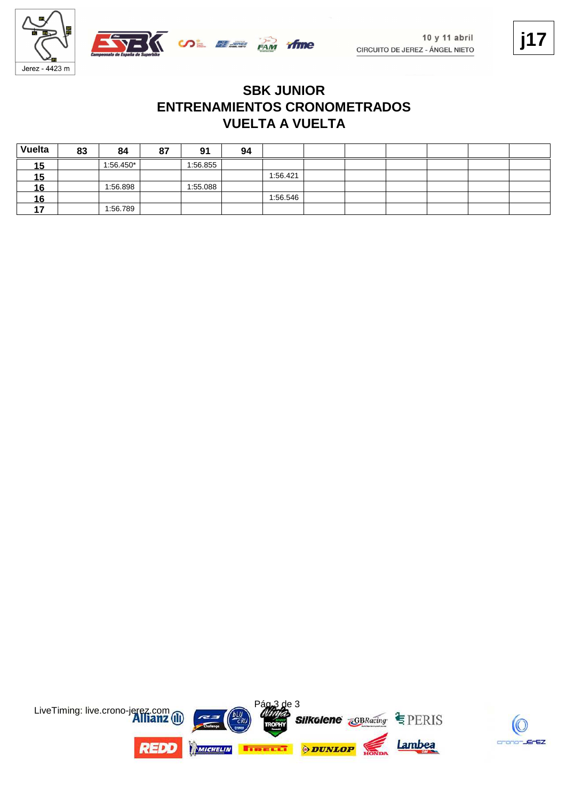

#### **VUELTA A VUELTA ENTRENAMIENTOS CRONOMETRADOS SBK JUNIOR**

| Vuelta | 83 | 84          | 87 | 91       | 94 |          |  |  |  |
|--------|----|-------------|----|----------|----|----------|--|--|--|
| 15     |    | $1:56.450*$ |    | 1:56.855 |    |          |  |  |  |
| 15     |    |             |    |          |    | 1:56.421 |  |  |  |
| 16     |    | 1:56.898    |    | 1:55.088 |    |          |  |  |  |
| 16     |    |             |    |          |    | 1:56.546 |  |  |  |
| 47     |    | 1:56.789    |    |          |    |          |  |  |  |

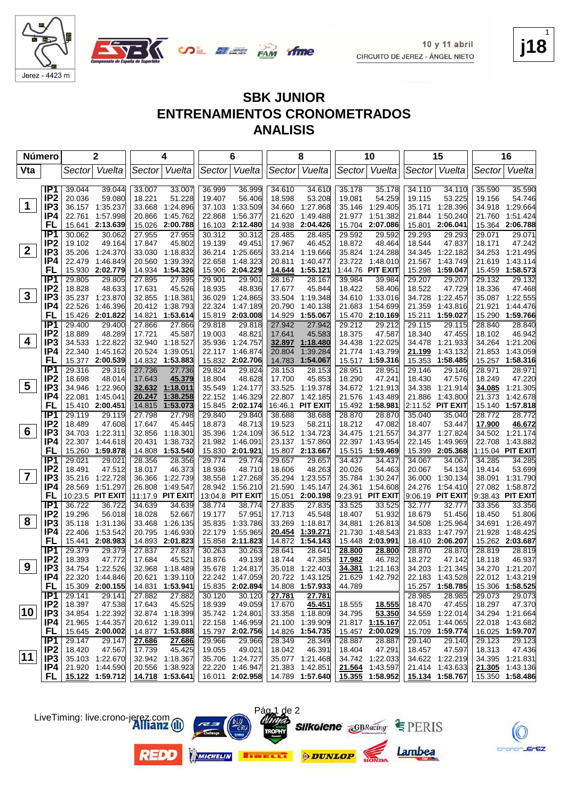



**j18** 1

#### **SBK JUNIOR ENTRENAMIENTOS CRONOMETRADOS ANALISIS**

| <b>Número</b>           |                                    | $\mathbf{2}$                        | 4                                    | 6                                    | 8                                        | 10                                              | 15                                     | 16                                     |
|-------------------------|------------------------------------|-------------------------------------|--------------------------------------|--------------------------------------|------------------------------------------|-------------------------------------------------|----------------------------------------|----------------------------------------|
| Vta                     |                                    | Vuelta<br>Sector                    | Sector Vuelta                        | Sector Vuelta                        | Sector Vuelta                            | Sector Vuelta                                   | Sector Vuelta                          | Vuelta<br>Sector                       |
|                         |                                    |                                     |                                      |                                      |                                          |                                                 |                                        |                                        |
|                         | IP <sub>1</sub><br>IP <sub>2</sub> | 39.044<br>39.044                    | 33.007<br>33.007                     | 36.999<br>36.999                     | 34.610<br>34.610                         | 35.178<br>35.178                                | 34.110<br>34.110                       | 35.590<br>35.590                       |
| $\mathbf 1$             | IP <sub>3</sub>                    | 20.036<br>59.080                    | 18.221<br>51.228                     | 19.407<br>56.406<br>1:33.509         | 18.598<br>53.208                         | 19.081<br>54.259                                | 19.115<br>53.225<br>35.171             | 19.156<br>54.746                       |
|                         | IP4                                | 36.157 1:35.237<br>1:57.998         | 33.668<br>1:24.896<br>1:45.762       | 37.103<br>1:56.377                   | 1:27.868<br>34.660                       | 35.146<br>1:29.405<br>1:51.382                  | 1:28.396<br>1:50.240                   | 34.918 1:29.664<br>1:51.424            |
|                         | FL                                 | 22.761<br>15.641 2:13.639           | 20.866<br>15.026<br>2:00.788         | 22.868<br>2:12.480<br>16.103         | 21.620<br>1:49.488<br>14.938<br>2:04.426 | 21.977<br>15.704<br>2:07.086                    | 21.844<br>15.801 2:06.041              | 21.760<br>15.364 2:06.788              |
|                         | IP <sub>1</sub>                    | 30.062<br>30.062                    | 27.955<br>27.955                     | 30.312<br>30.312                     | 28.485<br>28.485                         | 29.592<br>29.592                                | 29.293<br>29.293                       | 29.071<br>29.071                       |
|                         | IP <sub>2</sub>                    | 19.102<br>49.164                    | 17.847<br>45.802                     | 19.139<br>49.451                     | 17.967<br>46.452                         | 18.872<br>48.464                                | 18.544<br>47.837                       | 18.171<br>47.242                       |
| 2 <sup>1</sup>          | IP3                                | 35.206<br>1:24.370                  | 33.030<br>1:18.832                   | 36.214 1:25.665                      | 33.214<br>1:19.666                       | 35.824 1:24.288                                 | 34.345<br>1:22.182                     | 34.253 1:21.495                        |
|                         | IP4                                | 22.479<br>1:46.849                  | 20.560<br>1:39.392                   | 1:48.323<br>22.658                   | 20.811<br>1:40.477                       | 23.722<br>1:48.010                              | 21.567<br>1:43.749                     | 21.619<br>1:43.114                     |
|                         | FL                                 | 15.930<br>2:02.779                  | 14.934<br>1:54.326                   | 2:04.229<br>15.906                   | 1:55.121<br>14.644                       | 1:44.76 PIT EXIT                                | 15.298<br>1:59.047                     | 15.459 1:58.573                        |
|                         | IP <sub>1</sub>                    | 29.805<br>29.805                    | 27.895<br>27.895                     | 29.901<br>29.901                     | 28.167<br>28.167                         | 39.984<br>39.984                                | 29.207<br>29.207                       | 29.132<br>29.132                       |
|                         | IP <sub>2</sub>                    | 48.633<br>18.828                    | 17.631<br>45.526                     | 48.836<br>18.935                     | 17.677<br>45.844                         | 18.422<br>58.406                                | 18.522<br>47.729                       | 18.336<br>47.468                       |
| $\mathbf{3}$            | IP <sub>3</sub>                    | 35.237 1:23.870                     | 32.855 1:18.381                      | 1.24.865<br>36.029                   | 33.504<br>1:19.348                       | 34.610 1:33.016                                 | 34.728<br>1:22.457                     | 35.087 1:22.555                        |
|                         | IP4                                | 22.526<br>1:46.396                  | 1:38.793<br>20.412                   | 22.324<br>1:47.189                   | 20.790<br>1:40.138                       | 21.683<br>1:54.699                              | 21.359<br>1:43.816                     | 21.921<br>1:44.476                     |
|                         | FL                                 | 15.426 2:01.822                     | 14.821<br>1:53.614                   | 2:03.008<br>15.819                   | 14.929<br>1:55.067                       | 2:10.169<br>15.470                              | 15.211<br>1:59.027                     | 15.290 1:59.766                        |
|                         | IP <sub>1</sub>                    | 29.400<br>29.400                    | 27.866<br>27.866                     | 29.818<br>29.818                     | 27.942<br>27.942                         | 29.212<br>29.212                                | 29.115<br>29.115                       | 28.840<br>28.840                       |
|                         | IP <sub>2</sub>                    | 48.289<br>18.889                    | 17.721<br>45.587                     | 19.003<br>48.821                     | 17.641<br>45.583                         | 18.375<br>47.587                                | 18.340<br>47.455                       | 18.102<br>46.942                       |
| 4                       | IP <sub>3</sub>                    | 34.533 1:22.822                     | 32.940 1:18.527                      | 1:24.757<br>35.936                   | <u>32.897</u><br><u>1:18.480</u>         | 34.438 1:22.025                                 | 34.478<br>1:21.933                     | 34.264 1:21.206                        |
|                         | IP4                                | 22.340<br>1:45.162                  | 20.524 1:39.051                      | 1:46.874<br>22.117                   | 20.804<br>1:39.284                       | 21.774<br>1:43.799                              | 21.199<br>1:43.132                     | 1:43.059<br>21.853                     |
|                         | FL                                 | 15.377 2:00.539                     | 14.832 1:53.883                      | 15.832 2:02.706                      | 14.783<br>1:54.067                       | 15.517 1:59.316                                 | 15.353<br>1:58.485                     | 15.257 1:58.316                        |
|                         | IP <sub>1</sub>                    | 29.316<br>29.316                    | 27.736<br>27.736                     | 29.824<br>29.824                     | 28.153<br>28.153                         | 28.951<br>28.951                                | 29.146<br>29.146                       | 28.971<br>28.971                       |
| $\overline{\mathbf{5}}$ | IP <sub>2</sub><br>IP <sub>3</sub> | 18.698<br>48.014<br>34.946 1:22.960 | 17.643<br>45.379<br>32.632 1:18.011  | 18.804<br>48.628<br>1:24.177         | 17.700<br>45.853<br>33.525<br>1:19.378   | 18.290<br>47.241<br>34.672 1:21.913             | 18.430<br>47.576<br>34.338<br>1:21.914 | 18.249<br>47.220<br>34.085<br>1:21.305 |
|                         | IP4                                | 22.081<br>1:45.041                  | 20.247<br>1:38.258                   | 35.549<br>22.152<br>1:46.329         | 22.807<br>1:42.185                       | 1:43.489<br>21.576                              | 21.886<br>1:43.800                     | 1:42.678<br>21.373                     |
|                         | FL                                 | 15.410 2:00.451                     | 1:53.073<br>14.815                   | 15.845 2:02.174                      | 16:46.1 PIT EXIT                         | 15.492 1:58.981                                 | 2:11.52 PIT EXIT                       | 15.140 1:57.818                        |
|                         | IP <sub>1</sub>                    | 29.119<br>29.119                    | 27.798<br>27.798                     | 29.840<br>29.840                     | 38.688<br>38.688                         | 28.870<br>28.870                                | 35.040<br>35.040                       | 28.772<br>28.772                       |
|                         | IP <sub>2</sub>                    | 18.489<br>47.608                    | 17.647<br>45.445                     | 48.713<br>18.873                     | 19.523<br>58.211                         | 18.212<br>47.082                                | 18.407<br>53.447                       | 17.900<br>46.672                       |
| 6                       | IP <sub>3</sub>                    | 34.703 1:22.311                     | 32.856 1:18.301                      | 35.396<br>1:24.109                   | 36.512 1:34.723                          | 34.475<br>1:21.557                              | 34.377 1:27.824                        | 34.502 1:21.174                        |
|                         | IP4                                | 22.307 1:44.618                     | 1:38.732<br>20.431                   | 21.982<br>1:46.091                   | 23.137<br>1:57.860                       | 22.397<br>1:43.954                              | 22.145<br>1:49.969                     | 22.708 1:43.882                        |
|                         | FL                                 | 15.260 1:59.878                     | 14.808 1:53.540                      | 15.830 2:01.921                      | 15.807 2:13.667                          | 15.515 1:59.469                                 | 15.399 2:05.368                        | 1:15.04 PIT EXIT                       |
|                         | IP <sub>1</sub>                    | 29.021<br>29.021                    | 28.356<br>28.356                     | 29.774<br>29.774                     | 29.657<br>29.657                         | 34.437<br>34.437                                | 34.067<br>34.067                       | 34.285<br>34.285                       |
|                         | IP <sub>2</sub>                    | 18.491<br>47.512                    | 18.017<br>46.373                     | 18.936<br>48.710                     | 18.606<br>48.263                         | 20.026<br>54.463                                | 20.067<br>54.134                       | 19.414<br>53.699                       |
| $\overline{\mathbf{7}}$ | IP <sub>3</sub>                    | 35.216 1:22.728                     | 1:22.739<br>36.366                   | 38.558<br>1:27.268                   | 35.294<br>1:23.557                       | 35.784<br>1:30.247                              | 36.000<br>1:30.134                     | 38.091 1:31.790                        |
|                         | IP4                                | 1:51.297<br>28.569                  | 1:49.547<br>26.808                   | 1:56.210<br>28.942                   | 21.590<br>1:45.147                       | 24.361<br>1:54.608                              | 24.276<br>1.54.410                     | 27.082 1:58.872                        |
|                         | FL<br>IP1                          | 10:23.5 PIT EXIT<br>36.722          | 11:17.9 PIT EXIT                     | 13:04.8 PIT EXIT                     | 15.051<br>2:00.198                       | 9:23.91 PIT EXIT                                | 9:06.19 PIT EXIT                       | 9:38.43 PIT EXIT                       |
|                         | IP <sub>2</sub>                    | 36.722<br>19.296<br>56.018          | 34.639<br>34.639<br>18.028<br>52.667 | 38.774<br>38.774<br>19.177<br>57.951 | 27.835<br>27.835<br>17.713<br>45.548     | 33.525<br>33.525<br>18.407<br>51.932            | 32.777<br>32.777<br>18.679<br>51.456   | 33.356<br>33.356<br>18.450<br>51.806   |
| 8                       | IP <sub>3</sub>                    | 35.118 1:31.136                     | 33.468<br>1:26.135                   | 35.835<br>1:33.786                   | 33.269<br>1:18.817                       | 34.881<br>1:26.813                              | 34.508<br>1:25.964                     | 34.691<br>1:26.497                     |
|                         | IP4                                | 22.406<br>1:53.542                  | 20.795<br>1:46.930                   | 1:55.965<br>22.179                   | 1:39.271<br>20.454                       | 1:48.543<br>21.730                              | 21.833<br>1:47.797                     | 21.928<br>1:48.425                     |
|                         | FL                                 | 15.441 2:08.983                     | 14.893 2:01.823                      | 15.858 2:11.823                      | 14.872<br>1:54.143                       | 15.448<br>2:03.991                              | 18.410 2:06.207                        | 15.262 2:03.687                        |
|                         | IP <sub>1</sub>                    | 29.379<br>29.379                    | 27.837<br>27.837                     | 30.263<br>30.263                     | 28.641<br>28.641                         | 28.800<br>28.800                                | 28.870<br>28.870                       | 28.819<br>28.819                       |
|                         | IP <sub>2</sub>                    | 18.393<br>47.772                    | 17.684<br>45.521                     | 18.876<br>49.139                     | 18.744<br>47.385                         | 17.982<br>46.782                                | 18.272<br>47.142                       | 18.118<br>46.937                       |
| 9                       | IP3                                | 34.754 1:22.526                     | 32.968 1:18.489                      | 35.678 1:24.817                      | 35.018 1:22.403                          | 34.381 1:21.163                                 | 34.203 1:21.345                        | 34.270 1:21.207                        |
|                         | IP4                                | 22.320 1:44.846                     | 20.621 1:39.110                      | 22.242 1:47.059                      | 20.722 1:43.125                          | 21.629 1:42.792                                 | 22.183 1:43.528                        | 22.012 1:43.219                        |
|                         | FL.                                | 15.309 2:00.155                     | 14.831 1:53.941                      | 15.835 2:02.894                      | 14.808 1:57.933                          | 44.789                                          | 15.257 1:58.785                        | 15.306 1:58.525                        |
|                         | IP1                                | 29.141<br>29.141                    | 27.882<br>27.882                     | 30.120<br>30.120                     | 27.781<br>27.781                         |                                                 | 28.985<br>28.985                       | 29.073<br>29.073                       |
| 10                      | IP <sub>2</sub>                    | 18.397<br>47.538                    | 17.643<br>45.525                     | 18.939<br>49.059                     | 17.670<br>45.451                         | 18.555<br>18.555                                | 18.470<br>47.455                       | 18.297<br>47.370                       |
|                         | IP3                                | 34.854 1:22.392                     | 32.874 1:18.399                      | 35.742 1:24.801                      | 33.358 1:18.809                          | 53.350<br>34.795                                | 34.559 1:22.014                        | 34.294 1:21.664                        |
|                         | IP4 I                              | 21.965 1:44.357                     | 20.612 1:39.011                      | 22.158 1:46.959                      | 21.100 1:39.909                          | 21.817 1:15.167                                 | 22.051 1:44.065                        | 22.018 1:43.682                        |
|                         | FL.<br>IP1                         | 15.645 2:00.002<br>29.147<br>29.147 | 14.877 1:53.888<br>27.686<br>27.686  | 15.797 2:02.756<br>29.966<br>29.966  | 14.826 1:54.735<br>28.349<br>28.349      | 15.457 2:00.029<br>28.887<br>28.887             | 15.709 1:59.774<br>29.140<br>29.140    | 16.025 1:59.707<br>29.123<br>29.123    |
|                         | IP <sub>2</sub>                    | 18.420<br>47.567                    | 17.739<br>45.425                     | 19.055<br>49.021                     | 46.391<br>18.042                         | 18.404<br>47.291                                | 18.457<br>47.597                       | 18.313<br>47.436                       |
| $ 11\rangle$            | IP3                                | 35.103 1:22.670                     | 32.942 1:18.367                      | 35.706 1:24.727                      | 35.077 1:21.468                          | 34.742 1:22.033                                 | 34.622 1:22.219                        | 34.395 1:21.831                        |
|                         | IP4 I                              | 21.920 1:44.590                     | 20.556 1:38.923                      | 22.220 1:46.947                      | 21.383 1:42.851                          | 21.564 1:43.597                                 | 21.414 1:43.633                        | 21.305 1:43.136                        |
|                         |                                    | $FL$   15.122 1:59.712              | 14.718 1:53.641                      |                                      |                                          | 16.011 2:02.958 14.789 1:57.640 15.355 1:58.952 | 15.134 1:58.767                        | 15.350 1:58.486                        |
|                         |                                    |                                     |                                      |                                      |                                          |                                                 |                                        |                                        |

LiveTiming: live.crono-jerez.com







Pág 1 de 2





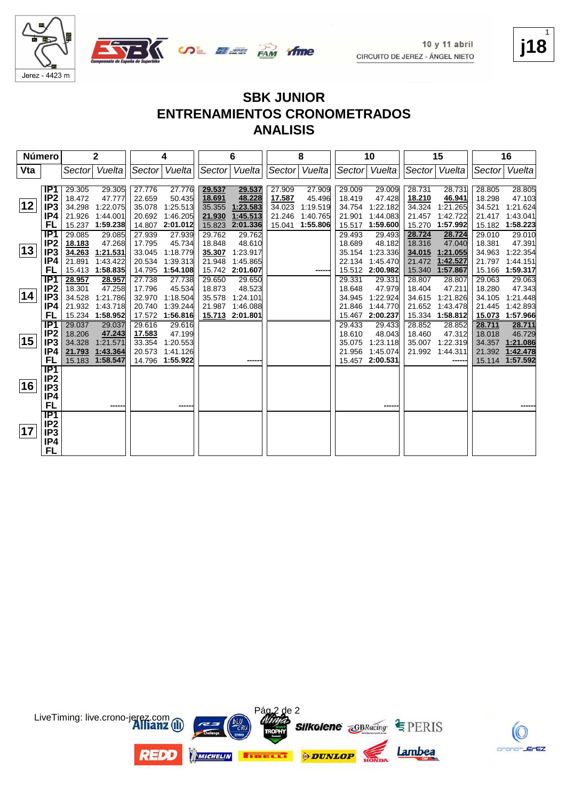





#### **SBK JUNIOR ENTRENAMIENTOS CRONOMETRADOS ANALISIS**

| Número |                                                                            |                                                | 2                                                                         |                                      | 4                                                                         |                                                | $\bf 6$                                                            |                                                | 8                                                    |                                                | 10                                                          |                                                | 15                                                   |                                                | 16                                                                 |
|--------|----------------------------------------------------------------------------|------------------------------------------------|---------------------------------------------------------------------------|--------------------------------------|---------------------------------------------------------------------------|------------------------------------------------|--------------------------------------------------------------------|------------------------------------------------|------------------------------------------------------|------------------------------------------------|-------------------------------------------------------------|------------------------------------------------|------------------------------------------------------|------------------------------------------------|--------------------------------------------------------------------|
| Vta    |                                                                            | Sectorl                                        | Vuelta                                                                    |                                      | Sector Vuelta                                                             | Sector                                         | Vuelta                                                             | Sector                                         | Vuelta                                               |                                                | Sector Vuelta                                               |                                                | Sector Vuelta                                        | Sector                                         | Vuelta                                                             |
| 12     | IP <sub>1</sub><br>IP <sub>2</sub><br>IP <sub>3</sub><br>IP4<br>FL         | 29.305<br>18.472<br>34.298<br>21.926<br>15.237 | 29.305<br>47.777<br>1:22.075<br>1:44.001<br>1:59.238                      | 27.776<br>22.659<br>35.078<br>20.692 | 27.776<br>50.435<br>1:25.513<br>1:46.205<br>14.807 2:01.012               | 29.537<br>18.691<br>35.355<br>21.930<br>15.823 | 29.537<br>48.228<br>1:23.583<br>1:45.513<br>2:01.336               | 27.909<br>17.587<br>34.023<br>21.246<br>15.041 | 27.909<br>45.496<br>1:19.519<br>1:40.765<br>1:55.806 | 29.009<br>18.419<br>34.754<br>21.901<br>15.517 | 29.009<br>47.428<br>1:22.182<br>1:44.083<br>1:59.600        | 28.731<br>18.210<br>34.324<br>21.457<br>15.270 | 28.731<br>46.941<br>1:21.265<br>1:42.722<br>1:57.992 | 28.805<br>18.298<br>34.521<br>21.417<br>15.182 | 28.805<br>47.103<br>1:21.624<br>1:43.041<br>1:58.223               |
| 13     | IP <sub>1</sub><br>IP2<br>IP <sub>3</sub><br>IP4<br>FL                     | 29.085<br>18.183<br>34.263<br>21.891           | 29.085<br>47.268<br>1:21.531<br>1:43.422<br>15.413 1:58.835               | 27.939<br>17.795                     | 27.939<br>45.734<br>33.045 1:18.779<br>20.534 1:39.313<br>14.795 1:54.108 | 29.762<br>18.848<br>21.948                     | 29.762<br>48.610<br>35.307 1:23.917<br>1:45.865<br>15.742 2:01.607 |                                                | -----                                                | 29.493<br>18.689<br>35.154<br>22.134           | 29.493<br>48.182<br>1:23.336<br>1:45.470<br>15.512 2:00.982 | 28.724<br>18.316<br>34.015<br>21.472<br>15.340 | 28.724<br>47.040<br>1:21.055<br>1:42.527<br>1:57.867 | 29.010<br>18.381<br>34.963<br>21.797<br>15.166 | 29.010<br>47.391<br>1:22.354<br>1:44.151<br>1:59.317               |
| 14     | IP1<br>IP2<br>IP <sub>3</sub><br>IP4<br>FL                                 | 28.957<br>18.301                               | 28.957<br>47.258<br>34.528 1:21.786<br>21.932 1:43.718<br>15.234 1:58.952 | 27.738<br>17.796<br>32.970<br>20.740 | 27.738<br>45.534<br>1:18.504<br>1:39.244<br>17.572 1:56.816               | 29.650<br>18.873<br>21.987                     | 29.650<br>48.523<br>35.578 1:24.101<br>1:46.088<br>15.713 2:01.801 |                                                |                                                      | 29.331<br>18.648<br>34.945<br>21.846<br>15.467 | 29.331<br>47.979<br>1:22.924<br>1:44.770<br>2:00.237        | 28.807<br>18.404<br>34.615<br>21.652<br>15.334 | 28.807<br>47.211<br>1:21.826<br>1:43.478<br>1:58.812 | 29.063<br>18.280<br>34.105<br>21.445<br>15.073 | 29.063<br>47.343<br>1:21.448<br>1:42.893<br>1:57.966               |
| 15     | IP <sub>1</sub><br>IP <sub>2</sub><br>IP <sub>3</sub><br>IP4<br>FL         | 29.037<br>18.206<br>34.328                     | 29.037<br>47.243<br>1:21.571<br>21.793 1:43.364<br>15.183 1:58.547        | 29.616<br>17.583<br>33.354<br>20.573 | 29.616<br>47.199<br>1:20.553<br>1:41.126<br>14.796 1:55.922               |                                                | ----                                                               |                                                |                                                      | 29.433<br>18.610<br>35.075<br>21.956<br>15.457 | 29.433<br>48.043<br>1:23.118<br>1:45.074<br>2:00.531        | 28.852<br>18.460<br>35.007<br>21.992           | 28.852<br>47.312<br>1:22.319<br>1:44.311<br>------   | 28.711<br>18.018<br>34.357                     | 28.711<br>46.729<br>1:21.086<br>21.392 1:42.478<br>15.114 1:57.592 |
| 16     | $\overline{IP1}$<br>IP <sub>2</sub><br>IP <sub>3</sub><br>IP4<br><b>FL</b> |                                                | -----                                                                     |                                      |                                                                           |                                                |                                                                    |                                                |                                                      |                                                |                                                             |                                                |                                                      |                                                |                                                                    |
| 17     | IP1<br>IP <sub>2</sub><br>IP <sub>3</sub><br>IP4<br>FL                     |                                                |                                                                           |                                      |                                                                           |                                                |                                                                    |                                                |                                                      |                                                |                                                             |                                                |                                                      |                                                |                                                                    |





**j18** 1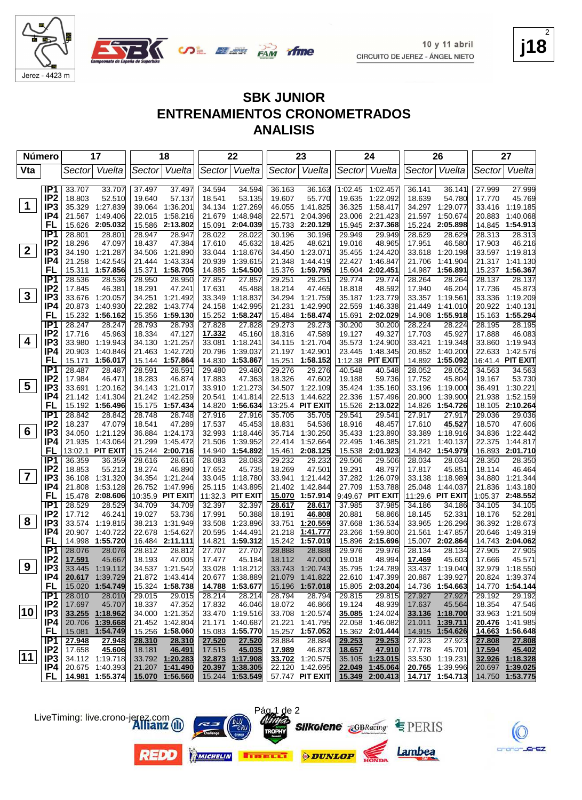





**j18** 2

#### **SBK JUNIOR ENTRENAMIENTOS CRONOMETRADOS ANALISIS**

| <b>Número</b>           |                                    | 17                                       | 18                                    | 22                                       | 23                                       | 24                                        | 26                                       | 27                                   |
|-------------------------|------------------------------------|------------------------------------------|---------------------------------------|------------------------------------------|------------------------------------------|-------------------------------------------|------------------------------------------|--------------------------------------|
| Vta                     |                                    | Vuelta<br>Sector                         | Sector Vuelta                         | Sector Vuelta                            | Sector<br>Vuelta                         | Sector Vuelta                             | Sector Vuelta                            | Sector Vuelta                        |
|                         |                                    |                                          |                                       |                                          |                                          |                                           |                                          |                                      |
|                         | IP1<br>IP <sub>2</sub>             | 33.707<br>33.707<br>18.803<br>52.510     | 37.497<br>37.497<br>19.640<br>57.137  | 34.594<br>34.594<br>53.135<br>18.541     | 36.163<br>36.163<br>19.607<br>55.770     | 1:02.45<br>1:02.457<br>19.635<br>1:22.092 | 36.141<br>36.141<br>18.639<br>54.780     | 27.999<br>27.999<br>17.770<br>45.769 |
| $\mathbf 1$             | IP <sub>3</sub>                    | 35.329 1:27.839                          | 39.064 1:36.201                       | 1:27.269<br>34.134                       | 46.055<br>1:41.825                       | 36.325<br>1:58.417                        | 34.297 1:29.077                          | 33.416 1:19.185                      |
|                         | IP4                                | 21.567<br>1:49.406                       | 1:58.216<br>22.015                    | 1:48.948<br>21.679                       | 22.571<br>2:04.396                       | 23.006<br>2:21.423                        | 21.597<br>1:50.674                       | 20.883<br>1:40.068                   |
|                         | FL                                 | 15.626<br>2:05.032                       | 15.586<br>2:13.802                    | 15.091<br>2:04.039                       | 15.733<br>2:20.129                       | 15.945<br>2:37.368                        | 15.224 2:05.898                          | 14.845 1:54.913                      |
|                         | IP <sub>1</sub>                    | 28.801<br>28.801                         | 28.947<br>28.947                      | 28.022<br>28.022                         | 30.196<br>30.196                         | 29.949<br>29.949                          | 28.629<br>28.629                         | 28.313<br>28.313                     |
|                         | IP <sub>2</sub>                    | 18.296<br>47.097                         | 18.437<br>47.384                      | 17.610<br>45.632                         | 18.425<br>48.621                         | 19.016<br>48.965                          | 17.951<br>46.580                         | 17.903<br>46.216                     |
| $\mathbf{2}$            | IP <sub>3</sub>                    | 34.190 1:21.287                          | 34.506<br>1:21.890                    | 33.044<br>1:18.676                       | 34.450<br>1:23.071                       | 35.455<br>1:24.420                        | 33.618<br>1:20.198                       | 33.597 1:19.813                      |
|                         | IP4                                | 1:42.545<br>21.258                       | 1:43.334<br>21.444                    | 1:39.615<br>20.939                       | 21.348<br>1:44.419                       | 1:46.847<br>22.427                        | 1:41.904<br>21.706                       | 21.317 1:41.130                      |
|                         | FL                                 | 15.311<br>1:57.856                       | 1:58.705<br>15.371                    | 14.885<br>1:54.500                       | 15.376<br>1:59.795                       | 2:02.451<br>15.604                        | 14.987<br>1:56.891                       | 15.237 1:56.367                      |
|                         | IP1                                | 28.536<br>28.536                         | 28.950<br>28.950                      | 27.857<br>27.857                         | 29.251<br>29.251                         | 29.774<br>29.774                          | 28.264<br>28.264                         | 28.137<br>28.137                     |
|                         | IP <sub>2</sub>                    | 17.845<br>46.381                         | 18.291<br>47.241                      | 17.631<br>45.488                         | 18.214<br>47.465                         | 18.818<br>48.592                          | 17.940<br>46.204                         | 17.736<br>45.873                     |
| $\mathbf{3}$            | IP <sub>3</sub>                    | 33.676<br>1:20.057                       | 34.251<br>1:21.492                    | 33.349<br>1:18.837                       | 34.294<br>1:21.759                       | 35.187 1:23.779                           | 33.357<br>1:19.561                       | 33.336 1:19.209                      |
|                         | IP4                                | 20.873<br>1:40.930                       | 22.282<br>1:43.774                    | 24.158<br>1:42.995                       | 21.231<br>1:42.990                       | 22.559<br>1:46.338                        | 21.449<br>1:41.010                       | 20.922<br>1:40.131                   |
|                         | FL                                 | 15.232<br>1:56.162                       | 15.356 1:59.130                       | 15.252<br>1:58.247                       | 15.484<br>1:58.474                       | 15.691<br>2:02.029                        | 14.908<br>1:55.918                       | 15.163 1:55.294                      |
|                         | IP <sub>1</sub>                    | 28.247<br>28.247                         | 28.793<br>28.793                      | 27.828<br>27.828                         | 29.273<br>29.273                         | 30.200<br>30.200                          | 28.224<br>28.224                         | 28.195<br>28.195                     |
| 4                       | IP <sub>2</sub>                    | 45.963<br>17.716                         | 47.127<br>18.334                      | 17.332<br>45.160                         | 18.316<br>47.589                         | 49.327<br>19.127                          | 17.703<br>45.927                         | 17.888<br>46.083                     |
|                         | IP <sub>3</sub>                    | 33.980 1:19.943                          | 1:21.257<br>34.130                    | 1:18.241<br>33.081                       | 34.115<br>1:21.704                       | 35.573<br>1:24.900                        | 33.421<br>1:19.348                       | 33.860 1:19.943                      |
|                         | IP4<br>FL                          | 20.903<br>1:40.846<br>15.171<br>1:56.017 | 21.463<br>1:42.720<br>15.144 1:57.864 | 20.796<br>1:39.037<br>14.830<br>1:53.867 | 21.197<br>1:42.901<br>15.251<br>1:58.152 | 23.445<br>1:48.345<br>1:12.38 PIT EXIT    | 20.852<br>1:40.200<br>14.892<br>1:55.092 | 22.633 1:42.576<br>16:41.4 PIT EXIT  |
|                         | IP1                                | 28.487<br>28.487                         | 28.591<br>28.591                      | 29.480<br>29.480                         | 29.276<br>29.276                         | 40.548<br>40.548                          | 28.052<br>28.052                         | 34.563<br>34.563                     |
|                         | IP <sub>2</sub>                    | 17.984<br>46.471                         | 18.283<br>46.874                      | 17.883<br>47.363                         | 18.326<br>47.602                         | 19.188<br>59.736                          | 17.752<br>45.804                         | 53.730<br>19.167                     |
| 5                       | IP <sub>3</sub>                    | 33.691<br>1:20.162                       | 34.143 1:21.017                       | 33.910 1:21.273                          | 34.507 1:22.109                          | 35.424 1:35.160                           | 33.196<br>1:19.000                       | 36.491 1:30.221                      |
|                         | IP4                                | 21.142<br>1:41.304                       | 21.242<br>1:42.259                    | 20.541<br>1:41.814                       | 22.513<br>1:44.622                       | 1:57.496<br>22.336                        | 20.900<br>1:39.900                       | 21.938<br>1:52.159                   |
|                         | FL                                 | 15.192 1:56.496                          | 15.175 1:57.434                       | 14.820 1:56.634                          | 13:25.4 PIT EXIT                         | 15.526 2:13.022                           | 14.826<br>1:54.726                       | 18.105 2:10.264                      |
|                         | IP <sub>1</sub>                    | 28.842<br>28.842                         | 28.748<br>28.748                      | 27.916<br>27.916                         | 35.705<br>35.705                         | 29.541<br>29.541                          | 27.917<br>27.917                         | 29.036<br>29.036                     |
|                         | IP <sub>2</sub>                    | 18.237<br>47.079                         | 47.289<br>18.541                      | 17.537<br>45.453                         | 18.831<br>54.536                         | 18.916<br>48.457                          | 17.610<br>45.527                         | 18.570<br>47.606                     |
| 6                       | IP <sub>3</sub>                    | 34.050 1:21.129                          | 36.884 1:24.173                       | 32.993<br>1:18.446                       | 35.714<br>1:30.250                       | 1:23.890<br>35.433                        | 33.389<br>1:18.916                       | 34.836<br>1:22.442                   |
|                         | IP4                                | 21.935<br>1:43.064                       | 21.299<br>1:45.472                    | 21.506<br>1:39.952                       | 22.414<br>1:52.664                       | 22.495<br>1:46.385                        | 21.221<br>1:40.137                       | 22.375<br>1:44.817                   |
|                         | FL                                 | 13:02.1 PIT EXIT                         | 15.244 2:00.716                       | 14.940 1:54.892                          | 2:08.125<br>15.461                       | 15.538<br>2:01.923                        | 14.842 1:54.979                          | 16.893 2:01.710                      |
|                         | IP1                                | 36.359<br>36.359                         | 28.616<br>28.616                      | 28.083<br>28.083                         | 29.232<br>29.232                         | 29.506<br>29.506                          | 28.034<br>28.034                         | 28.350<br>28.350                     |
|                         | IP <sub>2</sub>                    | 18.853<br>55.212                         | 18.274<br>46.890                      | 17.652<br>45.735                         | 18.269<br>47.501                         | 19.291<br>48.797                          | 17.817<br>45.851                         | 18.114<br>46.464                     |
| $\overline{\mathbf{7}}$ | IP <sub>3</sub>                    | 36.108<br>1:31.320                       | 34.354 1:21.244                       | 33.045<br>1:18.780                       | 33.941<br>1:21.442                       | 37.282<br>1:26.079                        | 33.138<br>1:18.989                       | 34.880 1:21.344                      |
|                         | IP4                                | 21.808<br>1:53.128                       | 26.752 1:47.996                       | 25.115<br>1:43.895                       | 21.402<br>1:42.844                       | 27.709<br>1:53.788                        | 25.048<br>1:44.037                       | 21.836 1:43.180                      |
|                         | FL                                 | 15.478 2:08.606                          | 10:35.9 PIT EXIT                      | 11:32.3 PIT EXIT                         | 15.070 1:57.914                          | 9:49.67 PIT EXIT                          | 11:29.6 PIT EXIT                         | 1:05.37 2:48.552                     |
|                         | IP1                                | 28.529<br>28.529                         | 34.709<br>34.709                      | 32.397<br>32.397                         | 28.617<br>28.617                         | 37.985<br>37.985                          | 34.186<br>34.186                         | 34.105<br>34.105                     |
| 8                       | IP <sub>2</sub><br>IP <sub>3</sub> | 17.712<br>46.241<br>33.574 1:19.815      | 19.027<br>53.736<br>38.213 1:31.949   | 17.991<br>50.388<br>1:23.896             | 18.191<br>46.808<br>33.751<br>1:20.559   | 20.881<br>58.866<br>37.668                | 18.145<br>52.331<br>1:26.296             | 18.176<br>52.281<br>36.392 1:28.673  |
|                         | IP4                                | 20.907<br>1:40.722                       | 1:54.627<br>22.678                    | 33.508<br>1:44.491<br>20.595             | 21.218<br>1:41.777                       | 1:36.534<br>23.266<br>1:59.800            | 33.965<br>1:47.857<br>21.561             | 20.646 1:49.319                      |
|                         | FL                                 | 14.998<br>1:55.720                       | 16.484 2:11.111                       | 1:59.312<br>14.821                       | 15.242<br>1:57.019                       | 2:15.696<br>15.896                        | 15.007 2:02.864                          | 14.743 2:04.062                      |
|                         | IP <sub>1</sub>                    | 28.076<br>28.076                         | 28.812<br>28.812                      | 27.707<br>27.707                         | 28.888<br>28.888                         | 29.976<br>29.976                          | 28.134<br>28.134                         | 27.905<br>27.905                     |
|                         | IP <sub>2</sub>                    | 17.591<br>45.667                         | 18.193<br>47.005                      | 17.477<br>45.184                         | 18.112<br>47.000                         | 19.018<br>48.994                          | 17.469<br>45.603                         | 17.666<br>45.571                     |
| 9                       | IP <sub>3</sub>                    | 33.445<br>1:19.112                       | 34.537 1:21.542                       | 33.028 1:18.212                          | 33.743 1:20.743                          | 35.795 1:24.789                           | 33.437 1:19.040                          | 32.979 1:18.550                      |
|                         | IP4                                | 20.617 1:39.729                          | 21.872 1:43.414                       | 20.677 1:38.889                          | 21.079 1:41.822                          | 22.610 1:47.399                           | 20.887 1:39.927                          | 20.824 1:39.374                      |
|                         | <b>FL</b>                          | 15.020 1:54.749                          | 15.324 1:58.738                       | 14.788 1:53.677                          | 15.196 1:57.018                          | 15.805 2:03.204                           | 14.736 1:54.663                          | 14.770 1:54.144                      |
|                         | IP1                                | 28.010<br>28.010                         | 29.015<br>29.015                      | 28.214<br>28.214                         | 28.794<br>28.794                         | 29.815<br>29.815                          | 27.927<br>27.927                         | 29.192<br>29.192                     |
|                         | IP <sub>2</sub>                    | 17.697<br>45.707                         | 47.352<br>18.337                      | 17.832<br>46.046                         | 18.072<br>46.866                         | 19.124<br>48.939                          | 17.637<br>45.564                         | 18.354<br>47.546                     |
| 10                      | IP <sub>3</sub>                    | 33.255 1:18.962                          | 34.000 1:21.352                       | 33.470 1:19.516                          | 33.708 1:20.574                          | 35.085 1:24.024                           | 33.136 1:18.700                          | 33.963 1:21.509                      |
|                         | IP4                                | 20.706 1:39.668                          | 21.452 1:42.804                       | 21.171 1:40.687                          | 21.221 1:41.795                          | 22.058 1:46.082                           | 21.011 1:39.711                          | 20.476 1:41.985                      |
|                         | FL,                                | 15.081 1:54.749                          | 15.256 1:58.060                       | 15.083 1:55.770                          | 15.257 1:57.052                          | 15.362 2:01.444                           | 14.915 1:54.626                          | 14.663 1:56.648                      |
|                         | IP1                                | 27.948<br>27.948                         | 28.310<br>28.310                      | 27.520<br>27.520                         | 28.884<br>28.884                         | 29.253<br>29.253                          | 27.923<br>27.923                         | 27.808<br>27.808                     |
| $ 11\rangle$            | IP <sub>2</sub>                    | 17.658<br>45.606                         | 18.181<br>46.491                      | 45.035<br>17.515                         | 17.989<br>46.873                         | 18.657<br>47.910                          | 17.778<br>45.701                         | 17.594<br>45.402                     |
|                         | IP <sub>3</sub><br>IP4             | 34.112 1:19.718<br>20.675 1:40.393       | 33.792 1:20.283<br>21.207 1:41.490    | 32.873 1:17.908                          | 33.702 1:20.575<br>22.120 1:42.695       | 35.105 1:23.015                           | 33.530 1:19.231                          | 32.926 1:18.328<br>20.697 1:39.025   |
|                         |                                    | FL 14.981 1:55.374                       | 15.070 1:56.560                       | 20.397 1:38.305<br>15.244 1:53.549       | 57.747 PIT EXIT                          | 22.049 1:45.064<br>15.349 2:00.413        | 20.765 1:39.996<br>14.717 1:54.713       | 14.750 1:53.775                      |
|                         |                                    |                                          |                                       |                                          |                                          |                                           |                                          |                                      |

LiveTiming: live.crono-jerez.com











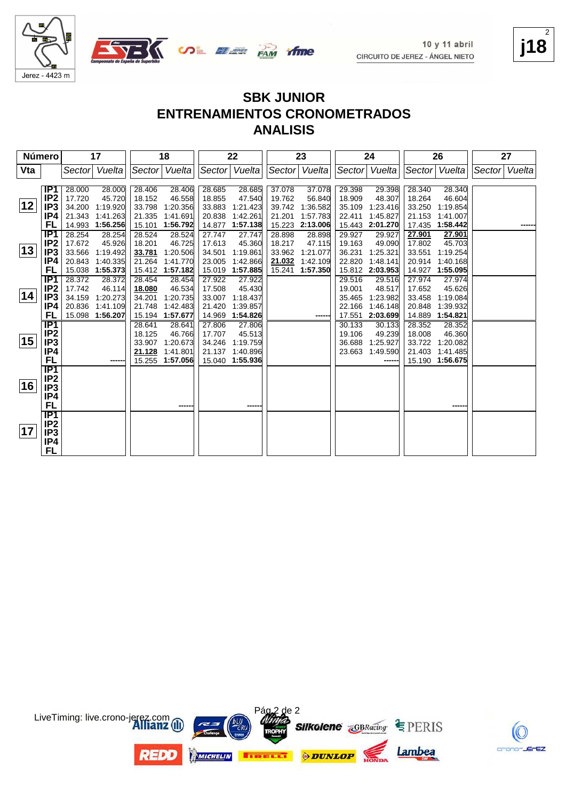







### **ENTRENAMIENTOS CRONOMETRADOS**

#### **ANALISIS**

| Número |                  |        | 17              |        | 18              |        | 22              |        | 23            |        | 24            |        | 26            |                | 27 |
|--------|------------------|--------|-----------------|--------|-----------------|--------|-----------------|--------|---------------|--------|---------------|--------|---------------|----------------|----|
| Vta    |                  | Sector | Vuelta          |        | Sector Vuelta   |        | Sector Vuelta   |        | Sector Vuelta |        | Sector Vuelta |        | Sector Vuelta | Sector  Vuelta |    |
|        |                  |        |                 |        |                 |        |                 |        |               |        |               |        |               |                |    |
|        | IP <sub>1</sub>  | 28.000 | 28.000          | 28.406 | 28.406          | 28.685 | 28.685          | 37.078 | 37.078        | 29.398 | 29.398        | 28.340 | 28.340        |                |    |
|        | IP2              | 17.720 | 45.720          | 18.152 | 46.558          | 18.855 | 47.540          | 19.762 | 56.840        | 18.909 | 48.307        | 18.264 | 46.604        |                |    |
| 12     | IP <sub>3</sub>  | 34.200 | 1:19.920        | 33.798 | 1:20.356        | 33.883 | 1:21.423        | 39.742 | 1:36.582      | 35.109 | 1:23.416      | 33.250 | 1:19.854      |                |    |
|        | IP4              | 21.343 | 1:41.263        | 21.335 | 1:41.691        | 20.838 | 1:42.261        | 21.201 | 1:57.783      | 22.411 | 1:45.827      | 21.153 | 1:41.007      |                |    |
|        | FL               | 14.993 | 1:56.256        | 15.101 | 1:56.792        | 14.877 | 1:57.138        | 15.223 | 2:13.006      | 15.443 | 2:01.270      | 17.435 | 1:58.442      |                |    |
|        | IP <sub>1</sub>  | 28.254 | 28.254          | 28.524 | 28.524          | 27.747 | 27.747          | 28.898 | 28.898        | 29.927 | 29.927        | 27.901 | 27.901        |                |    |
|        | IP2              | 17.672 | 45.926          | 18.201 | 46.725          | 17.613 | 45.360          | 18.217 | 47.115        | 19.163 | 49.090        | 17.802 | 45.703        |                |    |
| 13     | IP <sub>3</sub>  | 33.566 | 1:19.492        | 33.781 | 1:20.506        | 34.501 | 1:19.861        | 33.962 | 1:21.077      | 36.231 | 1:25.321      | 33.551 | 1:19.254      |                |    |
|        | IP4              | 20.843 | 1:40.335        | 21.264 | 1:41.770        | 23.005 | 1:42.866        | 21.032 | 1:42.109      | 22.820 | 1:48.141      | 20.914 | 1:40.168      |                |    |
|        | FL               |        | 15.038 1:55.373 |        | 15.412 1:57.182 | 15.019 | 1:57.885        | 15.241 | 1:57.350      | 15.812 | 2:03.953      | 14.927 | 1:55.095      |                |    |
|        | IP1              | 28.372 | 28.372          | 28.454 | 28.454          | 27.922 | 27.922          |        |               | 29.516 | 29.516        | 27.974 | 27.974        |                |    |
|        | IP <sub>2</sub>  | 17.742 | 46.114          | 18.080 | 46.534          | 17.508 | 45.430          |        |               | 19.001 | 48.517        | 17.652 | 45.626        |                |    |
| 14     | IP3              | 34.159 | 1:20.273        | 34.201 | 1:20.735        | 33.007 | 1:18.437        |        |               | 35.465 | 1:23.982      | 33.458 | 1:19.084      |                |    |
|        | IP4              | 20.836 | 1:41.109        | 21.748 | 1:42.483        | 21.420 | 1:39.857        |        |               | 22.166 | 1:46.148      | 20.848 | 1:39.932      |                |    |
|        | FL               |        | 15.098 1:56.207 |        | 15.194 1:57.677 | 14.969 | 1:54.826        |        |               | 17.551 | 2:03.699      | 14.889 | 1:54.821      |                |    |
|        | <b>IP1</b>       |        |                 | 28.641 | 28.641          | 27.806 | 27,806          |        |               | 30.133 | 30.133        | 28.352 | 28.352        |                |    |
|        | IP <sub>2</sub>  |        |                 | 18.125 | 46.766          | 17.707 | 45.513          |        |               | 19.106 | 49.239        | 18.008 | 46.360        |                |    |
| 15     | IP3              |        |                 | 33.907 | 1:20.673        | 34.246 | 1:19.759        |        |               | 36.688 | 1:25.927      | 33.722 | 1:20.082      |                |    |
|        | IP4              |        |                 | 21.128 | 1:41.801        | 21.137 | 1:40.896        |        |               | 23.663 | 1:49.590      | 21.403 | 1:41.485      |                |    |
|        | <b>FL</b>        |        |                 |        | 15.255 1:57.056 |        | 15.040 1:55.936 |        |               |        | ------        | 15.190 | 1:56.675      |                |    |
|        | $\overline{IP1}$ |        |                 |        |                 |        |                 |        |               |        |               |        |               |                |    |
|        | IP <sub>2</sub>  |        |                 |        |                 |        |                 |        |               |        |               |        |               |                |    |
| 16     | IP <sub>3</sub>  |        |                 |        |                 |        |                 |        |               |        |               |        |               |                |    |
|        | IP4              |        |                 |        |                 |        |                 |        |               |        |               |        |               |                |    |
|        | <b>FL</b>        |        |                 |        |                 |        | -----           |        |               |        |               |        | -----         |                |    |
|        | IP1              |        |                 |        |                 |        |                 |        |               |        |               |        |               |                |    |
| 17     | IP <sub>2</sub>  |        |                 |        |                 |        |                 |        |               |        |               |        |               |                |    |
|        | IP3              |        |                 |        |                 |        |                 |        |               |        |               |        |               |                |    |
|        | IP4              |        |                 |        |                 |        |                 |        |               |        |               |        |               |                |    |
|        | FL               |        |                 |        |                 |        |                 |        |               |        |               |        |               |                |    |





**j18** 2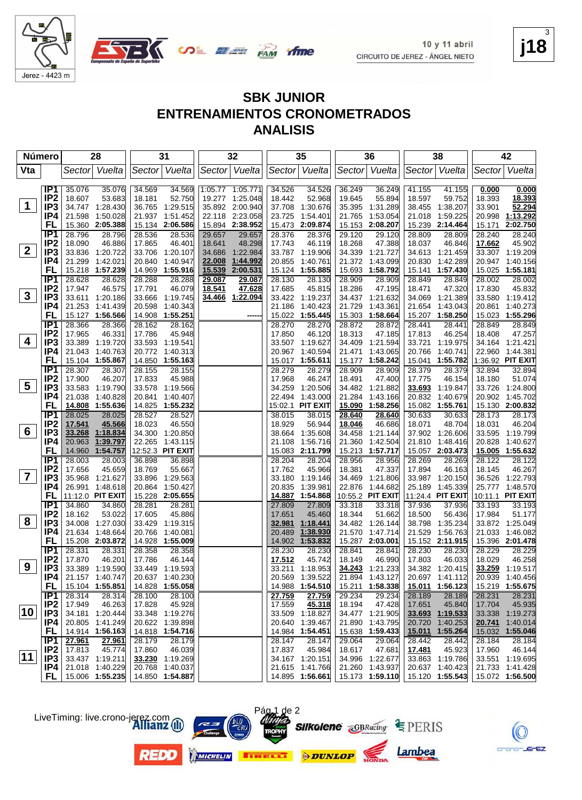

3



**ENTRENAMIENTOS CRONOMETRADOS**

| <b>ANALISIS</b> |  |
|-----------------|--|
|-----------------|--|

| Vta<br>Sector Vuelta<br>Sector Vuelta<br>Sector Vuelta<br>Sector Vuelta<br>Sector Vuelta<br>Vuelta<br>Sector Vuelta<br>Sector<br>IP1<br>35.076<br>34.569<br>1:05.77 1:05.771<br>36.249<br>35.076<br>34.569<br>34.526<br>34.526<br>36.249<br>41.155<br>41.155<br>0.000<br>0.000<br>IP <sub>2</sub><br>18.607<br>53.683<br>52.968<br>18.597<br>59.752<br>18.393<br>18.393<br>18.181<br>52.750<br>19.277 1:25.048<br>18.442<br>19.645<br>55.894<br>$\mathbf 1$<br>52.294<br>IP3<br>34.747 1:28.430<br>36.765 1:29.515<br>35.892 2:00.940<br>37.708<br>35.395 1:31.289<br>38.455 1:38.207<br>1:30.676<br>33.901<br>IP4<br>1:13.292<br>21.598<br>1:50.028<br>21.937 1:51.452<br>22.118 2:23.058<br>1:54.401<br>1:53.054<br>1:59.225<br>20.998<br>23.725<br>21.765<br>21.018<br>FL<br>2:02.750<br>15.360 2:05.388<br>15.134 2:06.586<br>15.894 2:38.952<br>15.473<br>2:09.874<br>15.153<br>2:08.207<br>15.239<br>2:14.464<br>15.171<br>IP <sub>1</sub><br>28.376<br>29.120<br>28.240<br>28.796<br>28.796<br>28.536<br>28.536<br>29.657<br>29.657<br>28.376<br>29.120<br>28.809<br>28.809<br>28.240<br>IP <sub>2</sub><br>46.886<br>17.865<br>46.401<br>48.298<br>18.268<br>18.037<br>45.902<br>18.090<br>18.641<br>17.743<br>46.119<br>47.388<br>46.846<br>17.662<br>$\mathbf{2}$<br>34.339 1:21.727<br>33.307 1:19.209<br>IP3<br>33.836 1:20.722<br>33.706 1:20.107<br>34.686<br>1:22.984<br>33.787 1:19.906<br>34.613 1:21.459<br>20.947 1:40.156<br>IP4<br>21.299<br>1:42.021<br>20.840<br>1:40.947<br>22.008<br>1:44.992<br>20.855<br>1:40.761<br>21.372 1:43.099<br>20.830 1:42.289<br>15.025 1:55.181<br>FL<br>15.218 1:57.239<br>14.969<br>1:55.916<br>15.539<br>2:00.531<br>15.124 1:55.885<br>15.693 1:58.792<br>15.141<br>1:57.430<br>IP <sub>1</sub><br>28.002<br>28.628<br>28.628<br>28.288<br>28.288<br>29.087<br>29.087<br>28.130<br>28.130<br>28.909<br>28.909<br>28.849<br>28.849<br>28.002<br>IP <sub>2</sub><br>46.079<br>18.286<br>47.320<br>45.832<br>17.947<br>46.575<br>17.791<br>18.541<br>47.628<br>17.685<br>45.815<br>47.195<br>18.471<br>17.830<br>$\mathbf{3}$<br>IP <sub>3</sub><br>33.611 1:20.186<br>33.666 1:19.745<br>34.466 1:22.094<br>33.422 1:19.237<br>34.437 1:21.632<br>34.069 1:21.389<br>33.580 1:19.412<br>IP4<br>1:40.273<br>21.253 1:41.439<br>20.598<br>1:40.343<br>21.186<br>1:40.423<br>21.729<br>1:43.361<br>21.654 1:43.043<br>20.861<br>15.023 1:55.296<br>FL<br>15.127 1:56.566<br>14.908 1:55.251<br>15.022 1:55.445<br>15.303 1:58.664<br>15.207 1:58.250<br>----<br>IP1<br>28.366<br>28.366<br>28.162<br>28.162<br>28.270<br>28.270<br>28.872<br>28.441<br>28.441<br>28.849<br>28.849<br>28.872<br>IP <sub>2</sub><br>17.965<br>46.331<br>17.786<br>45.948<br>17.850<br>46.120<br>18.313<br>47.185<br>17.813<br>46.254<br>18.408<br>47.257<br>4<br>IP <sub>3</sub><br>33.389 1:19.720<br>34.164 1:21.421<br>33.593 1:19.541<br>33.507 1:19.627<br>34.409 1:21.594<br>33.721<br>1:19.975<br>IP4<br>1:40.594<br>1:43.065<br>22.960 1:44.381<br>21.043 1:40.763<br>20.772 1:40.313<br>20.967<br>21.471<br>20.766 1:40.741<br>14.850 1:55.163<br>15.017 1:55.611<br>15.041 1:55.782<br>1:36.92 PIT EXIT<br>FL<br>15.104 1:55.867<br>15.177 1:58.242<br>IP <sub>1</sub><br>28.307<br>28.279<br>28.379<br>28.307<br>28.155<br>28.155<br>28.279<br>28.909<br>28.909<br>28.379<br>32.894<br>32.894<br>IP <sub>2</sub><br>17.900<br>46.207<br>17.833<br>45.988<br>17.968<br>46.247<br>18.491<br>47.400<br>17.775<br>46.154<br>18.180<br>51.074<br>$\overline{\mathbf{5}}$<br>IP <sub>3</sub><br>33.583 1:19.790<br>33.578 1:19.566<br>34.259<br>1:20.506<br>34.482 1:21.882<br>33.693<br>1:19.847<br>33.726 1:24.800<br>IP4<br>21.038<br>1:40.828<br>1:43.000<br>21.284<br>20.841<br>1:40.407<br>22.494<br>1:43.166<br>20.832<br>1:40.679<br>20.902 1:45.702<br>14.808 1:55.636<br>15:02.1 PIT EXIT<br>15.090 1:58.256<br>15.082 1:55.761<br>FL<br>14.825 1:55.232<br>15.130 2:00.832<br>IP <sub>1</sub><br>28.025<br>28.025<br>28.527<br>28.527<br>38.015<br>38.015<br>28.640<br>30.633<br>30.633<br>28.173<br>28.173<br>28.640<br>IP <sub>2</sub><br>45.566<br>18.071<br>17.541<br>18.023<br>46.550<br>18.929<br>56.944<br>18.046<br>46.686<br>48.704<br>18.031<br>46.204<br>$6\phantom{1}6$<br>IP <sub>3</sub><br>33.268<br>1:18.834<br>34.300 1:20.850<br>1:35.608<br>34.458<br>1:21.144<br>37.902 1:26.606<br>33.595 1:19.799<br>38.664<br>IP4<br>20.963 1:39.797<br>1:43.115<br>21.360<br>1:42.504<br>21.810 1:48.416<br>20.828 1:40.627<br>22.265<br>21.108<br>1:56.716<br>FL<br>14.960<br>1:54.757<br>12:52.3 PIT EXIT<br>15.083 2:11.799<br>15.213 1:57.717<br>15.057 2:03.473<br>15.005 1:55.632<br>IP1<br>36.898<br>28.956<br>28.003<br>28.003<br>36.898<br>28.204<br>28.204<br>28.956<br>28.269<br>28.269<br>28.122<br>28.122<br>IP <sub>2</sub><br>17.656<br>45.659<br>45.966<br>18.381<br>17.894<br>46.267<br>18.769<br>55.667<br>17.762<br>47.337<br>46.163<br>18.145<br>$\overline{7}$<br>IP <sub>3</sub><br>35.968 1:21.627<br>33.896<br>1:29.563<br>33.180<br>1:19.146<br>34.469<br>1:21.806<br>33.987 1:20.150<br>36.526 1:22.793<br>IP4<br>22.876 1:44.682<br>25.189 1:45.339<br>26.991 1:48.618<br>20.864 1:50.427<br>20.835<br>1:39.981<br>25.777 1:48.570<br>FL<br>10:11.1 PIT EXIT<br>11:12.0 PIT EXIT<br>15.228 2:05.655<br>14.887<br>1:54.868<br>10:55.2 PIT EXIT<br>11:24.4 PIT EXIT<br>IP1<br>34.860<br>27.809<br>33.318<br>33.193<br>34.860<br>28.281<br>28.281<br>27.809<br>33.318<br>37.936<br>37.936<br>33.193<br>IP <sub>2</sub><br>53.022<br>45.886<br>18.344<br>18.500<br>51.177<br>18.162<br>17.605<br>17.651<br>45.460<br>51.662<br>56.436<br>17.984<br>8<br>IP <sub>3</sub><br>33.872 1:25.049<br>34.008 1:27.030<br>33.429<br>1:19.315<br>32.981<br>1:18.441<br>34.482 1:26.144<br>38.798<br>1:35.234<br>IP4<br>21.529<br>21.634 1:48.664<br>20.766<br>1:40.081<br>20.489<br>1:38.930<br>21.570<br>1:47.714<br>1:56.763<br>21.033 1:46.082<br><b>FL</b><br>14.902<br>1:53.832<br>15.287 2:03.001<br>15.152 2:11.915<br>15.208 2:03.872<br>14.928 1:55.009<br>15.396 2:01.478<br>IP <sub>1</sub><br>28.358<br>28.230<br>28.229<br>28.331<br>28.331<br>28.358<br>28.230<br>28.841<br>28.841<br>28.230<br>28.230<br>28.229<br>IP <sub>2</sub><br>17.870<br>46.201<br>17.786<br>17.512<br>18.149<br>17.803<br>46.033<br>18.029<br>46.258<br>46.144<br>45.742<br>46.990<br>9<br>IP <sub>3</sub><br>33.389 1:19.590<br>33.449 1:19.593<br>33.211 1:18.953<br>34.243 1:21.233<br>34.382 1:20.415<br>33.259 1:19.517<br>20.569 1:39.522<br>21.894 1:43.127<br>20.697 1:41.112<br>20.939 1:40.456<br> P4 <br>21.157 1:40.747<br>20.637 1:40.230<br>15.104 1:55.851<br>14.828 1:55.058<br>14.988 1:54.510<br>15.211 1:58.338<br>15.011 1:56.123<br>15.219 1:55.675<br><b>FL</b><br>27.759<br>IP1<br>28.314<br>28.314<br>28.100<br>27.759<br>29.234<br>29.234<br>28.189<br>28.189<br>28.231<br>28.100<br>28.231<br>IP <sub>2</sub><br>17.949<br>46.263<br>17.828<br>45.928<br>17.559<br>45.318<br>18.194<br>47.428<br>17.651<br>45.840<br>17.704<br>45.935<br> 10 <br>IP <sub>3</sub><br>34.181 1:20.444<br>34.477 1:21.905<br>33.348 1:19.276<br>33.509 1:18.827<br>33.693 1:19.533<br>33.338 1:19.273<br>IP4<br>20.805 1:41.249<br>20.622 1:39.898<br>1:39.467<br>21.890 1:43.795<br>20.720<br>1:40.253<br>20.741<br>1:40.014<br>20.640<br>FL.<br>14.914 1:56.163<br>14.984 1:54.451<br>15.638 1:59.433<br>1:55.264<br>15.032 1:55.046<br>14.818 1:54.716<br><u>15.011</u><br>IP1<br>27.961<br>27.961<br>28.179<br>28.179<br>28.147<br>28.147<br>29.064<br>29.064<br>28.442<br>28.442<br>28.184<br>28.184<br>IP <sub>2</sub><br>17.813<br>45.774<br>17.860<br>17.960<br>46.039<br>17.837<br>45.984<br>18.617<br>47.681<br>17.481<br>45.923<br>46.144<br> 11 <br>IP3<br>34.996 1:22.677<br>33.863 1:19.786<br>33.437 1:19.211<br>33.230 1:19.269<br>34.167 1:20.151<br>33.551 1:19.695<br>IP4<br>21.018 1:40.229<br>20.768 1:40.037<br>21.615 1:41.766<br>21.260 1:43.937<br>20.637 1:40.423<br>21.733 1:41.428<br>14.895 1:56.661   15.173 1:59.110 | Número |      | 28              | 31              | 32 | 35 | 36 | 38              | 42              |
|---------------------------------------------------------------------------------------------------------------------------------------------------------------------------------------------------------------------------------------------------------------------------------------------------------------------------------------------------------------------------------------------------------------------------------------------------------------------------------------------------------------------------------------------------------------------------------------------------------------------------------------------------------------------------------------------------------------------------------------------------------------------------------------------------------------------------------------------------------------------------------------------------------------------------------------------------------------------------------------------------------------------------------------------------------------------------------------------------------------------------------------------------------------------------------------------------------------------------------------------------------------------------------------------------------------------------------------------------------------------------------------------------------------------------------------------------------------------------------------------------------------------------------------------------------------------------------------------------------------------------------------------------------------------------------------------------------------------------------------------------------------------------------------------------------------------------------------------------------------------------------------------------------------------------------------------------------------------------------------------------------------------------------------------------------------------------------------------------------------------------------------------------------------------------------------------------------------------------------------------------------------------------------------------------------------------------------------------------------------------------------------------------------------------------------------------------------------------------------------------------------------------------------------------------------------------------------------------------------------------------------------------------------------------------------------------------------------------------------------------------------------------------------------------------------------------------------------------------------------------------------------------------------------------------------------------------------------------------------------------------------------------------------------------------------------------------------------------------------------------------------------------------------------------------------------------------------------------------------------------------------------------------------------------------------------------------------------------------------------------------------------------------------------------------------------------------------------------------------------------------------------------------------------------------------------------------------------------------------------------------------------------------------------------------------------------------------------------------------------------------------------------------------------------------------------------------------------------------------------------------------------------------------------------------------------------------------------------------------------------------------------------------------------------------------------------------------------------------------------------------------------------------------------------------------------------------------------------------------------------------------------------------------------------------------------------------------------------------------------------------------------------------------------------------------------------------------------------------------------------------------------------------------------------------------------------------------------------------------------------------------------------------------------------------------------------------------------------------------------------------------------------------------------------------------------------------------------------------------------------------------------------------------------------------------------------------------------------------------------------------------------------------------------------------------------------------------------------------------------------------------------------------------------------------------------------------------------------------------------------------------------------------------------------------------------------------------------------------------------------------------------------------------------------------------------------------------------------------------------------------------------------------------------------------------------------------------------------------------------------------------------------------------------------------------------------------------------------------------------------------------------------------------------------------------------------------------------------------------------------------------------------------------------------------------------------------------------------------------------------------------------------------------------------------------------------------------------------------------------------------------------------------------------------------------------------------------------------------------------------------------------------------------------------------------------------------------------------------------------------------------------------------------------------------------------------------------------------------------------------------------------------------------------------------------------------------------------------------------------------------------------------------------------------------------------------------------------------------------------------------------------------------------------------------------------------------------------------------------------------------------------------------------------------------------------------------------------------------------------------------------------------------------------------------------------------------------------------------------------------------------------------------------------------------------------------------------------------------------------------------------------------------------------------------------------------------------------------------------------------------------------------------------------------------------------------------------------------------------------------------------------------------------------------------------------------------------------------------------------------------------------------------------------------------------------------------------------------------------------------------------------------------------------------------------------------------------------------------------------------------------------------------------------------------------------------------------------------------------------------------------------------------|--------|------|-----------------|-----------------|----|----|----|-----------------|-----------------|
|                                                                                                                                                                                                                                                                                                                                                                                                                                                                                                                                                                                                                                                                                                                                                                                                                                                                                                                                                                                                                                                                                                                                                                                                                                                                                                                                                                                                                                                                                                                                                                                                                                                                                                                                                                                                                                                                                                                                                                                                                                                                                                                                                                                                                                                                                                                                                                                                                                                                                                                                                                                                                                                                                                                                                                                                                                                                                                                                                                                                                                                                                                                                                                                                                                                                                                                                                                                                                                                                                                                                                                                                                                                                                                                                                                                                                                                                                                                                                                                                                                                                                                                                                                                                                                                                                                                                                                                                                                                                                                                                                                                                                                                                                                                                                                                                                                                                                                                                                                                                                                                                                                                                                                                                                                                                                                                                                                                                                                                                                                                                                                                                                                                                                                                                                                                                                                                                                                                                                                                                                                                                                                                                                                                                                                                                                                                                                                                                                                                                                                                                                                                                                                                                                                                                                                                                                                                                                                                                                                                                                                                                                                                                                                                                                                                                                                                                                                                                                                                                                                                                                                                                                                                                                                                                                                                                                                                                                                                                                                                                                           |        |      |                 |                 |    |    |    |                 |                 |
|                                                                                                                                                                                                                                                                                                                                                                                                                                                                                                                                                                                                                                                                                                                                                                                                                                                                                                                                                                                                                                                                                                                                                                                                                                                                                                                                                                                                                                                                                                                                                                                                                                                                                                                                                                                                                                                                                                                                                                                                                                                                                                                                                                                                                                                                                                                                                                                                                                                                                                                                                                                                                                                                                                                                                                                                                                                                                                                                                                                                                                                                                                                                                                                                                                                                                                                                                                                                                                                                                                                                                                                                                                                                                                                                                                                                                                                                                                                                                                                                                                                                                                                                                                                                                                                                                                                                                                                                                                                                                                                                                                                                                                                                                                                                                                                                                                                                                                                                                                                                                                                                                                                                                                                                                                                                                                                                                                                                                                                                                                                                                                                                                                                                                                                                                                                                                                                                                                                                                                                                                                                                                                                                                                                                                                                                                                                                                                                                                                                                                                                                                                                                                                                                                                                                                                                                                                                                                                                                                                                                                                                                                                                                                                                                                                                                                                                                                                                                                                                                                                                                                                                                                                                                                                                                                                                                                                                                                                                                                                                                                           |        |      |                 |                 |    |    |    |                 |                 |
|                                                                                                                                                                                                                                                                                                                                                                                                                                                                                                                                                                                                                                                                                                                                                                                                                                                                                                                                                                                                                                                                                                                                                                                                                                                                                                                                                                                                                                                                                                                                                                                                                                                                                                                                                                                                                                                                                                                                                                                                                                                                                                                                                                                                                                                                                                                                                                                                                                                                                                                                                                                                                                                                                                                                                                                                                                                                                                                                                                                                                                                                                                                                                                                                                                                                                                                                                                                                                                                                                                                                                                                                                                                                                                                                                                                                                                                                                                                                                                                                                                                                                                                                                                                                                                                                                                                                                                                                                                                                                                                                                                                                                                                                                                                                                                                                                                                                                                                                                                                                                                                                                                                                                                                                                                                                                                                                                                                                                                                                                                                                                                                                                                                                                                                                                                                                                                                                                                                                                                                                                                                                                                                                                                                                                                                                                                                                                                                                                                                                                                                                                                                                                                                                                                                                                                                                                                                                                                                                                                                                                                                                                                                                                                                                                                                                                                                                                                                                                                                                                                                                                                                                                                                                                                                                                                                                                                                                                                                                                                                                                           |        |      |                 |                 |    |    |    |                 |                 |
|                                                                                                                                                                                                                                                                                                                                                                                                                                                                                                                                                                                                                                                                                                                                                                                                                                                                                                                                                                                                                                                                                                                                                                                                                                                                                                                                                                                                                                                                                                                                                                                                                                                                                                                                                                                                                                                                                                                                                                                                                                                                                                                                                                                                                                                                                                                                                                                                                                                                                                                                                                                                                                                                                                                                                                                                                                                                                                                                                                                                                                                                                                                                                                                                                                                                                                                                                                                                                                                                                                                                                                                                                                                                                                                                                                                                                                                                                                                                                                                                                                                                                                                                                                                                                                                                                                                                                                                                                                                                                                                                                                                                                                                                                                                                                                                                                                                                                                                                                                                                                                                                                                                                                                                                                                                                                                                                                                                                                                                                                                                                                                                                                                                                                                                                                                                                                                                                                                                                                                                                                                                                                                                                                                                                                                                                                                                                                                                                                                                                                                                                                                                                                                                                                                                                                                                                                                                                                                                                                                                                                                                                                                                                                                                                                                                                                                                                                                                                                                                                                                                                                                                                                                                                                                                                                                                                                                                                                                                                                                                                                           |        |      |                 |                 |    |    |    |                 |                 |
|                                                                                                                                                                                                                                                                                                                                                                                                                                                                                                                                                                                                                                                                                                                                                                                                                                                                                                                                                                                                                                                                                                                                                                                                                                                                                                                                                                                                                                                                                                                                                                                                                                                                                                                                                                                                                                                                                                                                                                                                                                                                                                                                                                                                                                                                                                                                                                                                                                                                                                                                                                                                                                                                                                                                                                                                                                                                                                                                                                                                                                                                                                                                                                                                                                                                                                                                                                                                                                                                                                                                                                                                                                                                                                                                                                                                                                                                                                                                                                                                                                                                                                                                                                                                                                                                                                                                                                                                                                                                                                                                                                                                                                                                                                                                                                                                                                                                                                                                                                                                                                                                                                                                                                                                                                                                                                                                                                                                                                                                                                                                                                                                                                                                                                                                                                                                                                                                                                                                                                                                                                                                                                                                                                                                                                                                                                                                                                                                                                                                                                                                                                                                                                                                                                                                                                                                                                                                                                                                                                                                                                                                                                                                                                                                                                                                                                                                                                                                                                                                                                                                                                                                                                                                                                                                                                                                                                                                                                                                                                                                                           |        |      |                 |                 |    |    |    |                 |                 |
|                                                                                                                                                                                                                                                                                                                                                                                                                                                                                                                                                                                                                                                                                                                                                                                                                                                                                                                                                                                                                                                                                                                                                                                                                                                                                                                                                                                                                                                                                                                                                                                                                                                                                                                                                                                                                                                                                                                                                                                                                                                                                                                                                                                                                                                                                                                                                                                                                                                                                                                                                                                                                                                                                                                                                                                                                                                                                                                                                                                                                                                                                                                                                                                                                                                                                                                                                                                                                                                                                                                                                                                                                                                                                                                                                                                                                                                                                                                                                                                                                                                                                                                                                                                                                                                                                                                                                                                                                                                                                                                                                                                                                                                                                                                                                                                                                                                                                                                                                                                                                                                                                                                                                                                                                                                                                                                                                                                                                                                                                                                                                                                                                                                                                                                                                                                                                                                                                                                                                                                                                                                                                                                                                                                                                                                                                                                                                                                                                                                                                                                                                                                                                                                                                                                                                                                                                                                                                                                                                                                                                                                                                                                                                                                                                                                                                                                                                                                                                                                                                                                                                                                                                                                                                                                                                                                                                                                                                                                                                                                                                           |        |      |                 |                 |    |    |    |                 |                 |
|                                                                                                                                                                                                                                                                                                                                                                                                                                                                                                                                                                                                                                                                                                                                                                                                                                                                                                                                                                                                                                                                                                                                                                                                                                                                                                                                                                                                                                                                                                                                                                                                                                                                                                                                                                                                                                                                                                                                                                                                                                                                                                                                                                                                                                                                                                                                                                                                                                                                                                                                                                                                                                                                                                                                                                                                                                                                                                                                                                                                                                                                                                                                                                                                                                                                                                                                                                                                                                                                                                                                                                                                                                                                                                                                                                                                                                                                                                                                                                                                                                                                                                                                                                                                                                                                                                                                                                                                                                                                                                                                                                                                                                                                                                                                                                                                                                                                                                                                                                                                                                                                                                                                                                                                                                                                                                                                                                                                                                                                                                                                                                                                                                                                                                                                                                                                                                                                                                                                                                                                                                                                                                                                                                                                                                                                                                                                                                                                                                                                                                                                                                                                                                                                                                                                                                                                                                                                                                                                                                                                                                                                                                                                                                                                                                                                                                                                                                                                                                                                                                                                                                                                                                                                                                                                                                                                                                                                                                                                                                                                                           |        |      |                 |                 |    |    |    |                 |                 |
|                                                                                                                                                                                                                                                                                                                                                                                                                                                                                                                                                                                                                                                                                                                                                                                                                                                                                                                                                                                                                                                                                                                                                                                                                                                                                                                                                                                                                                                                                                                                                                                                                                                                                                                                                                                                                                                                                                                                                                                                                                                                                                                                                                                                                                                                                                                                                                                                                                                                                                                                                                                                                                                                                                                                                                                                                                                                                                                                                                                                                                                                                                                                                                                                                                                                                                                                                                                                                                                                                                                                                                                                                                                                                                                                                                                                                                                                                                                                                                                                                                                                                                                                                                                                                                                                                                                                                                                                                                                                                                                                                                                                                                                                                                                                                                                                                                                                                                                                                                                                                                                                                                                                                                                                                                                                                                                                                                                                                                                                                                                                                                                                                                                                                                                                                                                                                                                                                                                                                                                                                                                                                                                                                                                                                                                                                                                                                                                                                                                                                                                                                                                                                                                                                                                                                                                                                                                                                                                                                                                                                                                                                                                                                                                                                                                                                                                                                                                                                                                                                                                                                                                                                                                                                                                                                                                                                                                                                                                                                                                                                           |        |      |                 |                 |    |    |    |                 |                 |
|                                                                                                                                                                                                                                                                                                                                                                                                                                                                                                                                                                                                                                                                                                                                                                                                                                                                                                                                                                                                                                                                                                                                                                                                                                                                                                                                                                                                                                                                                                                                                                                                                                                                                                                                                                                                                                                                                                                                                                                                                                                                                                                                                                                                                                                                                                                                                                                                                                                                                                                                                                                                                                                                                                                                                                                                                                                                                                                                                                                                                                                                                                                                                                                                                                                                                                                                                                                                                                                                                                                                                                                                                                                                                                                                                                                                                                                                                                                                                                                                                                                                                                                                                                                                                                                                                                                                                                                                                                                                                                                                                                                                                                                                                                                                                                                                                                                                                                                                                                                                                                                                                                                                                                                                                                                                                                                                                                                                                                                                                                                                                                                                                                                                                                                                                                                                                                                                                                                                                                                                                                                                                                                                                                                                                                                                                                                                                                                                                                                                                                                                                                                                                                                                                                                                                                                                                                                                                                                                                                                                                                                                                                                                                                                                                                                                                                                                                                                                                                                                                                                                                                                                                                                                                                                                                                                                                                                                                                                                                                                                                           |        |      |                 |                 |    |    |    |                 |                 |
|                                                                                                                                                                                                                                                                                                                                                                                                                                                                                                                                                                                                                                                                                                                                                                                                                                                                                                                                                                                                                                                                                                                                                                                                                                                                                                                                                                                                                                                                                                                                                                                                                                                                                                                                                                                                                                                                                                                                                                                                                                                                                                                                                                                                                                                                                                                                                                                                                                                                                                                                                                                                                                                                                                                                                                                                                                                                                                                                                                                                                                                                                                                                                                                                                                                                                                                                                                                                                                                                                                                                                                                                                                                                                                                                                                                                                                                                                                                                                                                                                                                                                                                                                                                                                                                                                                                                                                                                                                                                                                                                                                                                                                                                                                                                                                                                                                                                                                                                                                                                                                                                                                                                                                                                                                                                                                                                                                                                                                                                                                                                                                                                                                                                                                                                                                                                                                                                                                                                                                                                                                                                                                                                                                                                                                                                                                                                                                                                                                                                                                                                                                                                                                                                                                                                                                                                                                                                                                                                                                                                                                                                                                                                                                                                                                                                                                                                                                                                                                                                                                                                                                                                                                                                                                                                                                                                                                                                                                                                                                                                                           |        |      |                 |                 |    |    |    |                 |                 |
|                                                                                                                                                                                                                                                                                                                                                                                                                                                                                                                                                                                                                                                                                                                                                                                                                                                                                                                                                                                                                                                                                                                                                                                                                                                                                                                                                                                                                                                                                                                                                                                                                                                                                                                                                                                                                                                                                                                                                                                                                                                                                                                                                                                                                                                                                                                                                                                                                                                                                                                                                                                                                                                                                                                                                                                                                                                                                                                                                                                                                                                                                                                                                                                                                                                                                                                                                                                                                                                                                                                                                                                                                                                                                                                                                                                                                                                                                                                                                                                                                                                                                                                                                                                                                                                                                                                                                                                                                                                                                                                                                                                                                                                                                                                                                                                                                                                                                                                                                                                                                                                                                                                                                                                                                                                                                                                                                                                                                                                                                                                                                                                                                                                                                                                                                                                                                                                                                                                                                                                                                                                                                                                                                                                                                                                                                                                                                                                                                                                                                                                                                                                                                                                                                                                                                                                                                                                                                                                                                                                                                                                                                                                                                                                                                                                                                                                                                                                                                                                                                                                                                                                                                                                                                                                                                                                                                                                                                                                                                                                                                           |        |      |                 |                 |    |    |    |                 |                 |
|                                                                                                                                                                                                                                                                                                                                                                                                                                                                                                                                                                                                                                                                                                                                                                                                                                                                                                                                                                                                                                                                                                                                                                                                                                                                                                                                                                                                                                                                                                                                                                                                                                                                                                                                                                                                                                                                                                                                                                                                                                                                                                                                                                                                                                                                                                                                                                                                                                                                                                                                                                                                                                                                                                                                                                                                                                                                                                                                                                                                                                                                                                                                                                                                                                                                                                                                                                                                                                                                                                                                                                                                                                                                                                                                                                                                                                                                                                                                                                                                                                                                                                                                                                                                                                                                                                                                                                                                                                                                                                                                                                                                                                                                                                                                                                                                                                                                                                                                                                                                                                                                                                                                                                                                                                                                                                                                                                                                                                                                                                                                                                                                                                                                                                                                                                                                                                                                                                                                                                                                                                                                                                                                                                                                                                                                                                                                                                                                                                                                                                                                                                                                                                                                                                                                                                                                                                                                                                                                                                                                                                                                                                                                                                                                                                                                                                                                                                                                                                                                                                                                                                                                                                                                                                                                                                                                                                                                                                                                                                                                                           |        |      |                 |                 |    |    |    |                 |                 |
|                                                                                                                                                                                                                                                                                                                                                                                                                                                                                                                                                                                                                                                                                                                                                                                                                                                                                                                                                                                                                                                                                                                                                                                                                                                                                                                                                                                                                                                                                                                                                                                                                                                                                                                                                                                                                                                                                                                                                                                                                                                                                                                                                                                                                                                                                                                                                                                                                                                                                                                                                                                                                                                                                                                                                                                                                                                                                                                                                                                                                                                                                                                                                                                                                                                                                                                                                                                                                                                                                                                                                                                                                                                                                                                                                                                                                                                                                                                                                                                                                                                                                                                                                                                                                                                                                                                                                                                                                                                                                                                                                                                                                                                                                                                                                                                                                                                                                                                                                                                                                                                                                                                                                                                                                                                                                                                                                                                                                                                                                                                                                                                                                                                                                                                                                                                                                                                                                                                                                                                                                                                                                                                                                                                                                                                                                                                                                                                                                                                                                                                                                                                                                                                                                                                                                                                                                                                                                                                                                                                                                                                                                                                                                                                                                                                                                                                                                                                                                                                                                                                                                                                                                                                                                                                                                                                                                                                                                                                                                                                                                           |        |      |                 |                 |    |    |    |                 |                 |
|                                                                                                                                                                                                                                                                                                                                                                                                                                                                                                                                                                                                                                                                                                                                                                                                                                                                                                                                                                                                                                                                                                                                                                                                                                                                                                                                                                                                                                                                                                                                                                                                                                                                                                                                                                                                                                                                                                                                                                                                                                                                                                                                                                                                                                                                                                                                                                                                                                                                                                                                                                                                                                                                                                                                                                                                                                                                                                                                                                                                                                                                                                                                                                                                                                                                                                                                                                                                                                                                                                                                                                                                                                                                                                                                                                                                                                                                                                                                                                                                                                                                                                                                                                                                                                                                                                                                                                                                                                                                                                                                                                                                                                                                                                                                                                                                                                                                                                                                                                                                                                                                                                                                                                                                                                                                                                                                                                                                                                                                                                                                                                                                                                                                                                                                                                                                                                                                                                                                                                                                                                                                                                                                                                                                                                                                                                                                                                                                                                                                                                                                                                                                                                                                                                                                                                                                                                                                                                                                                                                                                                                                                                                                                                                                                                                                                                                                                                                                                                                                                                                                                                                                                                                                                                                                                                                                                                                                                                                                                                                                                           |        |      |                 |                 |    |    |    |                 |                 |
|                                                                                                                                                                                                                                                                                                                                                                                                                                                                                                                                                                                                                                                                                                                                                                                                                                                                                                                                                                                                                                                                                                                                                                                                                                                                                                                                                                                                                                                                                                                                                                                                                                                                                                                                                                                                                                                                                                                                                                                                                                                                                                                                                                                                                                                                                                                                                                                                                                                                                                                                                                                                                                                                                                                                                                                                                                                                                                                                                                                                                                                                                                                                                                                                                                                                                                                                                                                                                                                                                                                                                                                                                                                                                                                                                                                                                                                                                                                                                                                                                                                                                                                                                                                                                                                                                                                                                                                                                                                                                                                                                                                                                                                                                                                                                                                                                                                                                                                                                                                                                                                                                                                                                                                                                                                                                                                                                                                                                                                                                                                                                                                                                                                                                                                                                                                                                                                                                                                                                                                                                                                                                                                                                                                                                                                                                                                                                                                                                                                                                                                                                                                                                                                                                                                                                                                                                                                                                                                                                                                                                                                                                                                                                                                                                                                                                                                                                                                                                                                                                                                                                                                                                                                                                                                                                                                                                                                                                                                                                                                                                           |        |      |                 |                 |    |    |    |                 |                 |
|                                                                                                                                                                                                                                                                                                                                                                                                                                                                                                                                                                                                                                                                                                                                                                                                                                                                                                                                                                                                                                                                                                                                                                                                                                                                                                                                                                                                                                                                                                                                                                                                                                                                                                                                                                                                                                                                                                                                                                                                                                                                                                                                                                                                                                                                                                                                                                                                                                                                                                                                                                                                                                                                                                                                                                                                                                                                                                                                                                                                                                                                                                                                                                                                                                                                                                                                                                                                                                                                                                                                                                                                                                                                                                                                                                                                                                                                                                                                                                                                                                                                                                                                                                                                                                                                                                                                                                                                                                                                                                                                                                                                                                                                                                                                                                                                                                                                                                                                                                                                                                                                                                                                                                                                                                                                                                                                                                                                                                                                                                                                                                                                                                                                                                                                                                                                                                                                                                                                                                                                                                                                                                                                                                                                                                                                                                                                                                                                                                                                                                                                                                                                                                                                                                                                                                                                                                                                                                                                                                                                                                                                                                                                                                                                                                                                                                                                                                                                                                                                                                                                                                                                                                                                                                                                                                                                                                                                                                                                                                                                                           |        |      |                 |                 |    |    |    |                 |                 |
|                                                                                                                                                                                                                                                                                                                                                                                                                                                                                                                                                                                                                                                                                                                                                                                                                                                                                                                                                                                                                                                                                                                                                                                                                                                                                                                                                                                                                                                                                                                                                                                                                                                                                                                                                                                                                                                                                                                                                                                                                                                                                                                                                                                                                                                                                                                                                                                                                                                                                                                                                                                                                                                                                                                                                                                                                                                                                                                                                                                                                                                                                                                                                                                                                                                                                                                                                                                                                                                                                                                                                                                                                                                                                                                                                                                                                                                                                                                                                                                                                                                                                                                                                                                                                                                                                                                                                                                                                                                                                                                                                                                                                                                                                                                                                                                                                                                                                                                                                                                                                                                                                                                                                                                                                                                                                                                                                                                                                                                                                                                                                                                                                                                                                                                                                                                                                                                                                                                                                                                                                                                                                                                                                                                                                                                                                                                                                                                                                                                                                                                                                                                                                                                                                                                                                                                                                                                                                                                                                                                                                                                                                                                                                                                                                                                                                                                                                                                                                                                                                                                                                                                                                                                                                                                                                                                                                                                                                                                                                                                                                           |        |      |                 |                 |    |    |    |                 |                 |
|                                                                                                                                                                                                                                                                                                                                                                                                                                                                                                                                                                                                                                                                                                                                                                                                                                                                                                                                                                                                                                                                                                                                                                                                                                                                                                                                                                                                                                                                                                                                                                                                                                                                                                                                                                                                                                                                                                                                                                                                                                                                                                                                                                                                                                                                                                                                                                                                                                                                                                                                                                                                                                                                                                                                                                                                                                                                                                                                                                                                                                                                                                                                                                                                                                                                                                                                                                                                                                                                                                                                                                                                                                                                                                                                                                                                                                                                                                                                                                                                                                                                                                                                                                                                                                                                                                                                                                                                                                                                                                                                                                                                                                                                                                                                                                                                                                                                                                                                                                                                                                                                                                                                                                                                                                                                                                                                                                                                                                                                                                                                                                                                                                                                                                                                                                                                                                                                                                                                                                                                                                                                                                                                                                                                                                                                                                                                                                                                                                                                                                                                                                                                                                                                                                                                                                                                                                                                                                                                                                                                                                                                                                                                                                                                                                                                                                                                                                                                                                                                                                                                                                                                                                                                                                                                                                                                                                                                                                                                                                                                                           |        |      |                 |                 |    |    |    |                 |                 |
|                                                                                                                                                                                                                                                                                                                                                                                                                                                                                                                                                                                                                                                                                                                                                                                                                                                                                                                                                                                                                                                                                                                                                                                                                                                                                                                                                                                                                                                                                                                                                                                                                                                                                                                                                                                                                                                                                                                                                                                                                                                                                                                                                                                                                                                                                                                                                                                                                                                                                                                                                                                                                                                                                                                                                                                                                                                                                                                                                                                                                                                                                                                                                                                                                                                                                                                                                                                                                                                                                                                                                                                                                                                                                                                                                                                                                                                                                                                                                                                                                                                                                                                                                                                                                                                                                                                                                                                                                                                                                                                                                                                                                                                                                                                                                                                                                                                                                                                                                                                                                                                                                                                                                                                                                                                                                                                                                                                                                                                                                                                                                                                                                                                                                                                                                                                                                                                                                                                                                                                                                                                                                                                                                                                                                                                                                                                                                                                                                                                                                                                                                                                                                                                                                                                                                                                                                                                                                                                                                                                                                                                                                                                                                                                                                                                                                                                                                                                                                                                                                                                                                                                                                                                                                                                                                                                                                                                                                                                                                                                                                           |        |      |                 |                 |    |    |    |                 |                 |
|                                                                                                                                                                                                                                                                                                                                                                                                                                                                                                                                                                                                                                                                                                                                                                                                                                                                                                                                                                                                                                                                                                                                                                                                                                                                                                                                                                                                                                                                                                                                                                                                                                                                                                                                                                                                                                                                                                                                                                                                                                                                                                                                                                                                                                                                                                                                                                                                                                                                                                                                                                                                                                                                                                                                                                                                                                                                                                                                                                                                                                                                                                                                                                                                                                                                                                                                                                                                                                                                                                                                                                                                                                                                                                                                                                                                                                                                                                                                                                                                                                                                                                                                                                                                                                                                                                                                                                                                                                                                                                                                                                                                                                                                                                                                                                                                                                                                                                                                                                                                                                                                                                                                                                                                                                                                                                                                                                                                                                                                                                                                                                                                                                                                                                                                                                                                                                                                                                                                                                                                                                                                                                                                                                                                                                                                                                                                                                                                                                                                                                                                                                                                                                                                                                                                                                                                                                                                                                                                                                                                                                                                                                                                                                                                                                                                                                                                                                                                                                                                                                                                                                                                                                                                                                                                                                                                                                                                                                                                                                                                                           |        |      |                 |                 |    |    |    |                 |                 |
|                                                                                                                                                                                                                                                                                                                                                                                                                                                                                                                                                                                                                                                                                                                                                                                                                                                                                                                                                                                                                                                                                                                                                                                                                                                                                                                                                                                                                                                                                                                                                                                                                                                                                                                                                                                                                                                                                                                                                                                                                                                                                                                                                                                                                                                                                                                                                                                                                                                                                                                                                                                                                                                                                                                                                                                                                                                                                                                                                                                                                                                                                                                                                                                                                                                                                                                                                                                                                                                                                                                                                                                                                                                                                                                                                                                                                                                                                                                                                                                                                                                                                                                                                                                                                                                                                                                                                                                                                                                                                                                                                                                                                                                                                                                                                                                                                                                                                                                                                                                                                                                                                                                                                                                                                                                                                                                                                                                                                                                                                                                                                                                                                                                                                                                                                                                                                                                                                                                                                                                                                                                                                                                                                                                                                                                                                                                                                                                                                                                                                                                                                                                                                                                                                                                                                                                                                                                                                                                                                                                                                                                                                                                                                                                                                                                                                                                                                                                                                                                                                                                                                                                                                                                                                                                                                                                                                                                                                                                                                                                                                           |        |      |                 |                 |    |    |    |                 |                 |
|                                                                                                                                                                                                                                                                                                                                                                                                                                                                                                                                                                                                                                                                                                                                                                                                                                                                                                                                                                                                                                                                                                                                                                                                                                                                                                                                                                                                                                                                                                                                                                                                                                                                                                                                                                                                                                                                                                                                                                                                                                                                                                                                                                                                                                                                                                                                                                                                                                                                                                                                                                                                                                                                                                                                                                                                                                                                                                                                                                                                                                                                                                                                                                                                                                                                                                                                                                                                                                                                                                                                                                                                                                                                                                                                                                                                                                                                                                                                                                                                                                                                                                                                                                                                                                                                                                                                                                                                                                                                                                                                                                                                                                                                                                                                                                                                                                                                                                                                                                                                                                                                                                                                                                                                                                                                                                                                                                                                                                                                                                                                                                                                                                                                                                                                                                                                                                                                                                                                                                                                                                                                                                                                                                                                                                                                                                                                                                                                                                                                                                                                                                                                                                                                                                                                                                                                                                                                                                                                                                                                                                                                                                                                                                                                                                                                                                                                                                                                                                                                                                                                                                                                                                                                                                                                                                                                                                                                                                                                                                                                                           |        |      |                 |                 |    |    |    |                 |                 |
|                                                                                                                                                                                                                                                                                                                                                                                                                                                                                                                                                                                                                                                                                                                                                                                                                                                                                                                                                                                                                                                                                                                                                                                                                                                                                                                                                                                                                                                                                                                                                                                                                                                                                                                                                                                                                                                                                                                                                                                                                                                                                                                                                                                                                                                                                                                                                                                                                                                                                                                                                                                                                                                                                                                                                                                                                                                                                                                                                                                                                                                                                                                                                                                                                                                                                                                                                                                                                                                                                                                                                                                                                                                                                                                                                                                                                                                                                                                                                                                                                                                                                                                                                                                                                                                                                                                                                                                                                                                                                                                                                                                                                                                                                                                                                                                                                                                                                                                                                                                                                                                                                                                                                                                                                                                                                                                                                                                                                                                                                                                                                                                                                                                                                                                                                                                                                                                                                                                                                                                                                                                                                                                                                                                                                                                                                                                                                                                                                                                                                                                                                                                                                                                                                                                                                                                                                                                                                                                                                                                                                                                                                                                                                                                                                                                                                                                                                                                                                                                                                                                                                                                                                                                                                                                                                                                                                                                                                                                                                                                                                           |        |      |                 |                 |    |    |    |                 |                 |
|                                                                                                                                                                                                                                                                                                                                                                                                                                                                                                                                                                                                                                                                                                                                                                                                                                                                                                                                                                                                                                                                                                                                                                                                                                                                                                                                                                                                                                                                                                                                                                                                                                                                                                                                                                                                                                                                                                                                                                                                                                                                                                                                                                                                                                                                                                                                                                                                                                                                                                                                                                                                                                                                                                                                                                                                                                                                                                                                                                                                                                                                                                                                                                                                                                                                                                                                                                                                                                                                                                                                                                                                                                                                                                                                                                                                                                                                                                                                                                                                                                                                                                                                                                                                                                                                                                                                                                                                                                                                                                                                                                                                                                                                                                                                                                                                                                                                                                                                                                                                                                                                                                                                                                                                                                                                                                                                                                                                                                                                                                                                                                                                                                                                                                                                                                                                                                                                                                                                                                                                                                                                                                                                                                                                                                                                                                                                                                                                                                                                                                                                                                                                                                                                                                                                                                                                                                                                                                                                                                                                                                                                                                                                                                                                                                                                                                                                                                                                                                                                                                                                                                                                                                                                                                                                                                                                                                                                                                                                                                                                                           |        |      |                 |                 |    |    |    |                 |                 |
|                                                                                                                                                                                                                                                                                                                                                                                                                                                                                                                                                                                                                                                                                                                                                                                                                                                                                                                                                                                                                                                                                                                                                                                                                                                                                                                                                                                                                                                                                                                                                                                                                                                                                                                                                                                                                                                                                                                                                                                                                                                                                                                                                                                                                                                                                                                                                                                                                                                                                                                                                                                                                                                                                                                                                                                                                                                                                                                                                                                                                                                                                                                                                                                                                                                                                                                                                                                                                                                                                                                                                                                                                                                                                                                                                                                                                                                                                                                                                                                                                                                                                                                                                                                                                                                                                                                                                                                                                                                                                                                                                                                                                                                                                                                                                                                                                                                                                                                                                                                                                                                                                                                                                                                                                                                                                                                                                                                                                                                                                                                                                                                                                                                                                                                                                                                                                                                                                                                                                                                                                                                                                                                                                                                                                                                                                                                                                                                                                                                                                                                                                                                                                                                                                                                                                                                                                                                                                                                                                                                                                                                                                                                                                                                                                                                                                                                                                                                                                                                                                                                                                                                                                                                                                                                                                                                                                                                                                                                                                                                                                           |        |      |                 |                 |    |    |    |                 |                 |
|                                                                                                                                                                                                                                                                                                                                                                                                                                                                                                                                                                                                                                                                                                                                                                                                                                                                                                                                                                                                                                                                                                                                                                                                                                                                                                                                                                                                                                                                                                                                                                                                                                                                                                                                                                                                                                                                                                                                                                                                                                                                                                                                                                                                                                                                                                                                                                                                                                                                                                                                                                                                                                                                                                                                                                                                                                                                                                                                                                                                                                                                                                                                                                                                                                                                                                                                                                                                                                                                                                                                                                                                                                                                                                                                                                                                                                                                                                                                                                                                                                                                                                                                                                                                                                                                                                                                                                                                                                                                                                                                                                                                                                                                                                                                                                                                                                                                                                                                                                                                                                                                                                                                                                                                                                                                                                                                                                                                                                                                                                                                                                                                                                                                                                                                                                                                                                                                                                                                                                                                                                                                                                                                                                                                                                                                                                                                                                                                                                                                                                                                                                                                                                                                                                                                                                                                                                                                                                                                                                                                                                                                                                                                                                                                                                                                                                                                                                                                                                                                                                                                                                                                                                                                                                                                                                                                                                                                                                                                                                                                                           |        |      |                 |                 |    |    |    |                 |                 |
|                                                                                                                                                                                                                                                                                                                                                                                                                                                                                                                                                                                                                                                                                                                                                                                                                                                                                                                                                                                                                                                                                                                                                                                                                                                                                                                                                                                                                                                                                                                                                                                                                                                                                                                                                                                                                                                                                                                                                                                                                                                                                                                                                                                                                                                                                                                                                                                                                                                                                                                                                                                                                                                                                                                                                                                                                                                                                                                                                                                                                                                                                                                                                                                                                                                                                                                                                                                                                                                                                                                                                                                                                                                                                                                                                                                                                                                                                                                                                                                                                                                                                                                                                                                                                                                                                                                                                                                                                                                                                                                                                                                                                                                                                                                                                                                                                                                                                                                                                                                                                                                                                                                                                                                                                                                                                                                                                                                                                                                                                                                                                                                                                                                                                                                                                                                                                                                                                                                                                                                                                                                                                                                                                                                                                                                                                                                                                                                                                                                                                                                                                                                                                                                                                                                                                                                                                                                                                                                                                                                                                                                                                                                                                                                                                                                                                                                                                                                                                                                                                                                                                                                                                                                                                                                                                                                                                                                                                                                                                                                                                           |        |      |                 |                 |    |    |    |                 |                 |
|                                                                                                                                                                                                                                                                                                                                                                                                                                                                                                                                                                                                                                                                                                                                                                                                                                                                                                                                                                                                                                                                                                                                                                                                                                                                                                                                                                                                                                                                                                                                                                                                                                                                                                                                                                                                                                                                                                                                                                                                                                                                                                                                                                                                                                                                                                                                                                                                                                                                                                                                                                                                                                                                                                                                                                                                                                                                                                                                                                                                                                                                                                                                                                                                                                                                                                                                                                                                                                                                                                                                                                                                                                                                                                                                                                                                                                                                                                                                                                                                                                                                                                                                                                                                                                                                                                                                                                                                                                                                                                                                                                                                                                                                                                                                                                                                                                                                                                                                                                                                                                                                                                                                                                                                                                                                                                                                                                                                                                                                                                                                                                                                                                                                                                                                                                                                                                                                                                                                                                                                                                                                                                                                                                                                                                                                                                                                                                                                                                                                                                                                                                                                                                                                                                                                                                                                                                                                                                                                                                                                                                                                                                                                                                                                                                                                                                                                                                                                                                                                                                                                                                                                                                                                                                                                                                                                                                                                                                                                                                                                                           |        |      |                 |                 |    |    |    |                 |                 |
|                                                                                                                                                                                                                                                                                                                                                                                                                                                                                                                                                                                                                                                                                                                                                                                                                                                                                                                                                                                                                                                                                                                                                                                                                                                                                                                                                                                                                                                                                                                                                                                                                                                                                                                                                                                                                                                                                                                                                                                                                                                                                                                                                                                                                                                                                                                                                                                                                                                                                                                                                                                                                                                                                                                                                                                                                                                                                                                                                                                                                                                                                                                                                                                                                                                                                                                                                                                                                                                                                                                                                                                                                                                                                                                                                                                                                                                                                                                                                                                                                                                                                                                                                                                                                                                                                                                                                                                                                                                                                                                                                                                                                                                                                                                                                                                                                                                                                                                                                                                                                                                                                                                                                                                                                                                                                                                                                                                                                                                                                                                                                                                                                                                                                                                                                                                                                                                                                                                                                                                                                                                                                                                                                                                                                                                                                                                                                                                                                                                                                                                                                                                                                                                                                                                                                                                                                                                                                                                                                                                                                                                                                                                                                                                                                                                                                                                                                                                                                                                                                                                                                                                                                                                                                                                                                                                                                                                                                                                                                                                                                           |        |      |                 |                 |    |    |    |                 |                 |
|                                                                                                                                                                                                                                                                                                                                                                                                                                                                                                                                                                                                                                                                                                                                                                                                                                                                                                                                                                                                                                                                                                                                                                                                                                                                                                                                                                                                                                                                                                                                                                                                                                                                                                                                                                                                                                                                                                                                                                                                                                                                                                                                                                                                                                                                                                                                                                                                                                                                                                                                                                                                                                                                                                                                                                                                                                                                                                                                                                                                                                                                                                                                                                                                                                                                                                                                                                                                                                                                                                                                                                                                                                                                                                                                                                                                                                                                                                                                                                                                                                                                                                                                                                                                                                                                                                                                                                                                                                                                                                                                                                                                                                                                                                                                                                                                                                                                                                                                                                                                                                                                                                                                                                                                                                                                                                                                                                                                                                                                                                                                                                                                                                                                                                                                                                                                                                                                                                                                                                                                                                                                                                                                                                                                                                                                                                                                                                                                                                                                                                                                                                                                                                                                                                                                                                                                                                                                                                                                                                                                                                                                                                                                                                                                                                                                                                                                                                                                                                                                                                                                                                                                                                                                                                                                                                                                                                                                                                                                                                                                                           |        |      |                 |                 |    |    |    |                 |                 |
|                                                                                                                                                                                                                                                                                                                                                                                                                                                                                                                                                                                                                                                                                                                                                                                                                                                                                                                                                                                                                                                                                                                                                                                                                                                                                                                                                                                                                                                                                                                                                                                                                                                                                                                                                                                                                                                                                                                                                                                                                                                                                                                                                                                                                                                                                                                                                                                                                                                                                                                                                                                                                                                                                                                                                                                                                                                                                                                                                                                                                                                                                                                                                                                                                                                                                                                                                                                                                                                                                                                                                                                                                                                                                                                                                                                                                                                                                                                                                                                                                                                                                                                                                                                                                                                                                                                                                                                                                                                                                                                                                                                                                                                                                                                                                                                                                                                                                                                                                                                                                                                                                                                                                                                                                                                                                                                                                                                                                                                                                                                                                                                                                                                                                                                                                                                                                                                                                                                                                                                                                                                                                                                                                                                                                                                                                                                                                                                                                                                                                                                                                                                                                                                                                                                                                                                                                                                                                                                                                                                                                                                                                                                                                                                                                                                                                                                                                                                                                                                                                                                                                                                                                                                                                                                                                                                                                                                                                                                                                                                                                           |        |      |                 |                 |    |    |    |                 |                 |
|                                                                                                                                                                                                                                                                                                                                                                                                                                                                                                                                                                                                                                                                                                                                                                                                                                                                                                                                                                                                                                                                                                                                                                                                                                                                                                                                                                                                                                                                                                                                                                                                                                                                                                                                                                                                                                                                                                                                                                                                                                                                                                                                                                                                                                                                                                                                                                                                                                                                                                                                                                                                                                                                                                                                                                                                                                                                                                                                                                                                                                                                                                                                                                                                                                                                                                                                                                                                                                                                                                                                                                                                                                                                                                                                                                                                                                                                                                                                                                                                                                                                                                                                                                                                                                                                                                                                                                                                                                                                                                                                                                                                                                                                                                                                                                                                                                                                                                                                                                                                                                                                                                                                                                                                                                                                                                                                                                                                                                                                                                                                                                                                                                                                                                                                                                                                                                                                                                                                                                                                                                                                                                                                                                                                                                                                                                                                                                                                                                                                                                                                                                                                                                                                                                                                                                                                                                                                                                                                                                                                                                                                                                                                                                                                                                                                                                                                                                                                                                                                                                                                                                                                                                                                                                                                                                                                                                                                                                                                                                                                                           |        |      |                 |                 |    |    |    |                 |                 |
|                                                                                                                                                                                                                                                                                                                                                                                                                                                                                                                                                                                                                                                                                                                                                                                                                                                                                                                                                                                                                                                                                                                                                                                                                                                                                                                                                                                                                                                                                                                                                                                                                                                                                                                                                                                                                                                                                                                                                                                                                                                                                                                                                                                                                                                                                                                                                                                                                                                                                                                                                                                                                                                                                                                                                                                                                                                                                                                                                                                                                                                                                                                                                                                                                                                                                                                                                                                                                                                                                                                                                                                                                                                                                                                                                                                                                                                                                                                                                                                                                                                                                                                                                                                                                                                                                                                                                                                                                                                                                                                                                                                                                                                                                                                                                                                                                                                                                                                                                                                                                                                                                                                                                                                                                                                                                                                                                                                                                                                                                                                                                                                                                                                                                                                                                                                                                                                                                                                                                                                                                                                                                                                                                                                                                                                                                                                                                                                                                                                                                                                                                                                                                                                                                                                                                                                                                                                                                                                                                                                                                                                                                                                                                                                                                                                                                                                                                                                                                                                                                                                                                                                                                                                                                                                                                                                                                                                                                                                                                                                                                           |        |      |                 |                 |    |    |    |                 |                 |
|                                                                                                                                                                                                                                                                                                                                                                                                                                                                                                                                                                                                                                                                                                                                                                                                                                                                                                                                                                                                                                                                                                                                                                                                                                                                                                                                                                                                                                                                                                                                                                                                                                                                                                                                                                                                                                                                                                                                                                                                                                                                                                                                                                                                                                                                                                                                                                                                                                                                                                                                                                                                                                                                                                                                                                                                                                                                                                                                                                                                                                                                                                                                                                                                                                                                                                                                                                                                                                                                                                                                                                                                                                                                                                                                                                                                                                                                                                                                                                                                                                                                                                                                                                                                                                                                                                                                                                                                                                                                                                                                                                                                                                                                                                                                                                                                                                                                                                                                                                                                                                                                                                                                                                                                                                                                                                                                                                                                                                                                                                                                                                                                                                                                                                                                                                                                                                                                                                                                                                                                                                                                                                                                                                                                                                                                                                                                                                                                                                                                                                                                                                                                                                                                                                                                                                                                                                                                                                                                                                                                                                                                                                                                                                                                                                                                                                                                                                                                                                                                                                                                                                                                                                                                                                                                                                                                                                                                                                                                                                                                                           |        |      |                 |                 |    |    |    |                 |                 |
|                                                                                                                                                                                                                                                                                                                                                                                                                                                                                                                                                                                                                                                                                                                                                                                                                                                                                                                                                                                                                                                                                                                                                                                                                                                                                                                                                                                                                                                                                                                                                                                                                                                                                                                                                                                                                                                                                                                                                                                                                                                                                                                                                                                                                                                                                                                                                                                                                                                                                                                                                                                                                                                                                                                                                                                                                                                                                                                                                                                                                                                                                                                                                                                                                                                                                                                                                                                                                                                                                                                                                                                                                                                                                                                                                                                                                                                                                                                                                                                                                                                                                                                                                                                                                                                                                                                                                                                                                                                                                                                                                                                                                                                                                                                                                                                                                                                                                                                                                                                                                                                                                                                                                                                                                                                                                                                                                                                                                                                                                                                                                                                                                                                                                                                                                                                                                                                                                                                                                                                                                                                                                                                                                                                                                                                                                                                                                                                                                                                                                                                                                                                                                                                                                                                                                                                                                                                                                                                                                                                                                                                                                                                                                                                                                                                                                                                                                                                                                                                                                                                                                                                                                                                                                                                                                                                                                                                                                                                                                                                                                           |        |      |                 |                 |    |    |    |                 |                 |
|                                                                                                                                                                                                                                                                                                                                                                                                                                                                                                                                                                                                                                                                                                                                                                                                                                                                                                                                                                                                                                                                                                                                                                                                                                                                                                                                                                                                                                                                                                                                                                                                                                                                                                                                                                                                                                                                                                                                                                                                                                                                                                                                                                                                                                                                                                                                                                                                                                                                                                                                                                                                                                                                                                                                                                                                                                                                                                                                                                                                                                                                                                                                                                                                                                                                                                                                                                                                                                                                                                                                                                                                                                                                                                                                                                                                                                                                                                                                                                                                                                                                                                                                                                                                                                                                                                                                                                                                                                                                                                                                                                                                                                                                                                                                                                                                                                                                                                                                                                                                                                                                                                                                                                                                                                                                                                                                                                                                                                                                                                                                                                                                                                                                                                                                                                                                                                                                                                                                                                                                                                                                                                                                                                                                                                                                                                                                                                                                                                                                                                                                                                                                                                                                                                                                                                                                                                                                                                                                                                                                                                                                                                                                                                                                                                                                                                                                                                                                                                                                                                                                                                                                                                                                                                                                                                                                                                                                                                                                                                                                                           |        |      |                 |                 |    |    |    |                 |                 |
|                                                                                                                                                                                                                                                                                                                                                                                                                                                                                                                                                                                                                                                                                                                                                                                                                                                                                                                                                                                                                                                                                                                                                                                                                                                                                                                                                                                                                                                                                                                                                                                                                                                                                                                                                                                                                                                                                                                                                                                                                                                                                                                                                                                                                                                                                                                                                                                                                                                                                                                                                                                                                                                                                                                                                                                                                                                                                                                                                                                                                                                                                                                                                                                                                                                                                                                                                                                                                                                                                                                                                                                                                                                                                                                                                                                                                                                                                                                                                                                                                                                                                                                                                                                                                                                                                                                                                                                                                                                                                                                                                                                                                                                                                                                                                                                                                                                                                                                                                                                                                                                                                                                                                                                                                                                                                                                                                                                                                                                                                                                                                                                                                                                                                                                                                                                                                                                                                                                                                                                                                                                                                                                                                                                                                                                                                                                                                                                                                                                                                                                                                                                                                                                                                                                                                                                                                                                                                                                                                                                                                                                                                                                                                                                                                                                                                                                                                                                                                                                                                                                                                                                                                                                                                                                                                                                                                                                                                                                                                                                                                           |        |      |                 |                 |    |    |    |                 |                 |
|                                                                                                                                                                                                                                                                                                                                                                                                                                                                                                                                                                                                                                                                                                                                                                                                                                                                                                                                                                                                                                                                                                                                                                                                                                                                                                                                                                                                                                                                                                                                                                                                                                                                                                                                                                                                                                                                                                                                                                                                                                                                                                                                                                                                                                                                                                                                                                                                                                                                                                                                                                                                                                                                                                                                                                                                                                                                                                                                                                                                                                                                                                                                                                                                                                                                                                                                                                                                                                                                                                                                                                                                                                                                                                                                                                                                                                                                                                                                                                                                                                                                                                                                                                                                                                                                                                                                                                                                                                                                                                                                                                                                                                                                                                                                                                                                                                                                                                                                                                                                                                                                                                                                                                                                                                                                                                                                                                                                                                                                                                                                                                                                                                                                                                                                                                                                                                                                                                                                                                                                                                                                                                                                                                                                                                                                                                                                                                                                                                                                                                                                                                                                                                                                                                                                                                                                                                                                                                                                                                                                                                                                                                                                                                                                                                                                                                                                                                                                                                                                                                                                                                                                                                                                                                                                                                                                                                                                                                                                                                                                                           |        |      |                 |                 |    |    |    |                 |                 |
|                                                                                                                                                                                                                                                                                                                                                                                                                                                                                                                                                                                                                                                                                                                                                                                                                                                                                                                                                                                                                                                                                                                                                                                                                                                                                                                                                                                                                                                                                                                                                                                                                                                                                                                                                                                                                                                                                                                                                                                                                                                                                                                                                                                                                                                                                                                                                                                                                                                                                                                                                                                                                                                                                                                                                                                                                                                                                                                                                                                                                                                                                                                                                                                                                                                                                                                                                                                                                                                                                                                                                                                                                                                                                                                                                                                                                                                                                                                                                                                                                                                                                                                                                                                                                                                                                                                                                                                                                                                                                                                                                                                                                                                                                                                                                                                                                                                                                                                                                                                                                                                                                                                                                                                                                                                                                                                                                                                                                                                                                                                                                                                                                                                                                                                                                                                                                                                                                                                                                                                                                                                                                                                                                                                                                                                                                                                                                                                                                                                                                                                                                                                                                                                                                                                                                                                                                                                                                                                                                                                                                                                                                                                                                                                                                                                                                                                                                                                                                                                                                                                                                                                                                                                                                                                                                                                                                                                                                                                                                                                                                           |        |      |                 |                 |    |    |    |                 |                 |
|                                                                                                                                                                                                                                                                                                                                                                                                                                                                                                                                                                                                                                                                                                                                                                                                                                                                                                                                                                                                                                                                                                                                                                                                                                                                                                                                                                                                                                                                                                                                                                                                                                                                                                                                                                                                                                                                                                                                                                                                                                                                                                                                                                                                                                                                                                                                                                                                                                                                                                                                                                                                                                                                                                                                                                                                                                                                                                                                                                                                                                                                                                                                                                                                                                                                                                                                                                                                                                                                                                                                                                                                                                                                                                                                                                                                                                                                                                                                                                                                                                                                                                                                                                                                                                                                                                                                                                                                                                                                                                                                                                                                                                                                                                                                                                                                                                                                                                                                                                                                                                                                                                                                                                                                                                                                                                                                                                                                                                                                                                                                                                                                                                                                                                                                                                                                                                                                                                                                                                                                                                                                                                                                                                                                                                                                                                                                                                                                                                                                                                                                                                                                                                                                                                                                                                                                                                                                                                                                                                                                                                                                                                                                                                                                                                                                                                                                                                                                                                                                                                                                                                                                                                                                                                                                                                                                                                                                                                                                                                                                                           |        |      |                 |                 |    |    |    |                 |                 |
|                                                                                                                                                                                                                                                                                                                                                                                                                                                                                                                                                                                                                                                                                                                                                                                                                                                                                                                                                                                                                                                                                                                                                                                                                                                                                                                                                                                                                                                                                                                                                                                                                                                                                                                                                                                                                                                                                                                                                                                                                                                                                                                                                                                                                                                                                                                                                                                                                                                                                                                                                                                                                                                                                                                                                                                                                                                                                                                                                                                                                                                                                                                                                                                                                                                                                                                                                                                                                                                                                                                                                                                                                                                                                                                                                                                                                                                                                                                                                                                                                                                                                                                                                                                                                                                                                                                                                                                                                                                                                                                                                                                                                                                                                                                                                                                                                                                                                                                                                                                                                                                                                                                                                                                                                                                                                                                                                                                                                                                                                                                                                                                                                                                                                                                                                                                                                                                                                                                                                                                                                                                                                                                                                                                                                                                                                                                                                                                                                                                                                                                                                                                                                                                                                                                                                                                                                                                                                                                                                                                                                                                                                                                                                                                                                                                                                                                                                                                                                                                                                                                                                                                                                                                                                                                                                                                                                                                                                                                                                                                                                           |        |      |                 |                 |    |    |    |                 |                 |
|                                                                                                                                                                                                                                                                                                                                                                                                                                                                                                                                                                                                                                                                                                                                                                                                                                                                                                                                                                                                                                                                                                                                                                                                                                                                                                                                                                                                                                                                                                                                                                                                                                                                                                                                                                                                                                                                                                                                                                                                                                                                                                                                                                                                                                                                                                                                                                                                                                                                                                                                                                                                                                                                                                                                                                                                                                                                                                                                                                                                                                                                                                                                                                                                                                                                                                                                                                                                                                                                                                                                                                                                                                                                                                                                                                                                                                                                                                                                                                                                                                                                                                                                                                                                                                                                                                                                                                                                                                                                                                                                                                                                                                                                                                                                                                                                                                                                                                                                                                                                                                                                                                                                                                                                                                                                                                                                                                                                                                                                                                                                                                                                                                                                                                                                                                                                                                                                                                                                                                                                                                                                                                                                                                                                                                                                                                                                                                                                                                                                                                                                                                                                                                                                                                                                                                                                                                                                                                                                                                                                                                                                                                                                                                                                                                                                                                                                                                                                                                                                                                                                                                                                                                                                                                                                                                                                                                                                                                                                                                                                                           |        |      |                 |                 |    |    |    |                 |                 |
|                                                                                                                                                                                                                                                                                                                                                                                                                                                                                                                                                                                                                                                                                                                                                                                                                                                                                                                                                                                                                                                                                                                                                                                                                                                                                                                                                                                                                                                                                                                                                                                                                                                                                                                                                                                                                                                                                                                                                                                                                                                                                                                                                                                                                                                                                                                                                                                                                                                                                                                                                                                                                                                                                                                                                                                                                                                                                                                                                                                                                                                                                                                                                                                                                                                                                                                                                                                                                                                                                                                                                                                                                                                                                                                                                                                                                                                                                                                                                                                                                                                                                                                                                                                                                                                                                                                                                                                                                                                                                                                                                                                                                                                                                                                                                                                                                                                                                                                                                                                                                                                                                                                                                                                                                                                                                                                                                                                                                                                                                                                                                                                                                                                                                                                                                                                                                                                                                                                                                                                                                                                                                                                                                                                                                                                                                                                                                                                                                                                                                                                                                                                                                                                                                                                                                                                                                                                                                                                                                                                                                                                                                                                                                                                                                                                                                                                                                                                                                                                                                                                                                                                                                                                                                                                                                                                                                                                                                                                                                                                                                           |        |      |                 |                 |    |    |    |                 |                 |
|                                                                                                                                                                                                                                                                                                                                                                                                                                                                                                                                                                                                                                                                                                                                                                                                                                                                                                                                                                                                                                                                                                                                                                                                                                                                                                                                                                                                                                                                                                                                                                                                                                                                                                                                                                                                                                                                                                                                                                                                                                                                                                                                                                                                                                                                                                                                                                                                                                                                                                                                                                                                                                                                                                                                                                                                                                                                                                                                                                                                                                                                                                                                                                                                                                                                                                                                                                                                                                                                                                                                                                                                                                                                                                                                                                                                                                                                                                                                                                                                                                                                                                                                                                                                                                                                                                                                                                                                                                                                                                                                                                                                                                                                                                                                                                                                                                                                                                                                                                                                                                                                                                                                                                                                                                                                                                                                                                                                                                                                                                                                                                                                                                                                                                                                                                                                                                                                                                                                                                                                                                                                                                                                                                                                                                                                                                                                                                                                                                                                                                                                                                                                                                                                                                                                                                                                                                                                                                                                                                                                                                                                                                                                                                                                                                                                                                                                                                                                                                                                                                                                                                                                                                                                                                                                                                                                                                                                                                                                                                                                                           |        |      |                 |                 |    |    |    |                 |                 |
|                                                                                                                                                                                                                                                                                                                                                                                                                                                                                                                                                                                                                                                                                                                                                                                                                                                                                                                                                                                                                                                                                                                                                                                                                                                                                                                                                                                                                                                                                                                                                                                                                                                                                                                                                                                                                                                                                                                                                                                                                                                                                                                                                                                                                                                                                                                                                                                                                                                                                                                                                                                                                                                                                                                                                                                                                                                                                                                                                                                                                                                                                                                                                                                                                                                                                                                                                                                                                                                                                                                                                                                                                                                                                                                                                                                                                                                                                                                                                                                                                                                                                                                                                                                                                                                                                                                                                                                                                                                                                                                                                                                                                                                                                                                                                                                                                                                                                                                                                                                                                                                                                                                                                                                                                                                                                                                                                                                                                                                                                                                                                                                                                                                                                                                                                                                                                                                                                                                                                                                                                                                                                                                                                                                                                                                                                                                                                                                                                                                                                                                                                                                                                                                                                                                                                                                                                                                                                                                                                                                                                                                                                                                                                                                                                                                                                                                                                                                                                                                                                                                                                                                                                                                                                                                                                                                                                                                                                                                                                                                                                           |        |      |                 |                 |    |    |    |                 |                 |
|                                                                                                                                                                                                                                                                                                                                                                                                                                                                                                                                                                                                                                                                                                                                                                                                                                                                                                                                                                                                                                                                                                                                                                                                                                                                                                                                                                                                                                                                                                                                                                                                                                                                                                                                                                                                                                                                                                                                                                                                                                                                                                                                                                                                                                                                                                                                                                                                                                                                                                                                                                                                                                                                                                                                                                                                                                                                                                                                                                                                                                                                                                                                                                                                                                                                                                                                                                                                                                                                                                                                                                                                                                                                                                                                                                                                                                                                                                                                                                                                                                                                                                                                                                                                                                                                                                                                                                                                                                                                                                                                                                                                                                                                                                                                                                                                                                                                                                                                                                                                                                                                                                                                                                                                                                                                                                                                                                                                                                                                                                                                                                                                                                                                                                                                                                                                                                                                                                                                                                                                                                                                                                                                                                                                                                                                                                                                                                                                                                                                                                                                                                                                                                                                                                                                                                                                                                                                                                                                                                                                                                                                                                                                                                                                                                                                                                                                                                                                                                                                                                                                                                                                                                                                                                                                                                                                                                                                                                                                                                                                                           |        |      |                 |                 |    |    |    |                 |                 |
|                                                                                                                                                                                                                                                                                                                                                                                                                                                                                                                                                                                                                                                                                                                                                                                                                                                                                                                                                                                                                                                                                                                                                                                                                                                                                                                                                                                                                                                                                                                                                                                                                                                                                                                                                                                                                                                                                                                                                                                                                                                                                                                                                                                                                                                                                                                                                                                                                                                                                                                                                                                                                                                                                                                                                                                                                                                                                                                                                                                                                                                                                                                                                                                                                                                                                                                                                                                                                                                                                                                                                                                                                                                                                                                                                                                                                                                                                                                                                                                                                                                                                                                                                                                                                                                                                                                                                                                                                                                                                                                                                                                                                                                                                                                                                                                                                                                                                                                                                                                                                                                                                                                                                                                                                                                                                                                                                                                                                                                                                                                                                                                                                                                                                                                                                                                                                                                                                                                                                                                                                                                                                                                                                                                                                                                                                                                                                                                                                                                                                                                                                                                                                                                                                                                                                                                                                                                                                                                                                                                                                                                                                                                                                                                                                                                                                                                                                                                                                                                                                                                                                                                                                                                                                                                                                                                                                                                                                                                                                                                                                           |        |      |                 |                 |    |    |    |                 |                 |
|                                                                                                                                                                                                                                                                                                                                                                                                                                                                                                                                                                                                                                                                                                                                                                                                                                                                                                                                                                                                                                                                                                                                                                                                                                                                                                                                                                                                                                                                                                                                                                                                                                                                                                                                                                                                                                                                                                                                                                                                                                                                                                                                                                                                                                                                                                                                                                                                                                                                                                                                                                                                                                                                                                                                                                                                                                                                                                                                                                                                                                                                                                                                                                                                                                                                                                                                                                                                                                                                                                                                                                                                                                                                                                                                                                                                                                                                                                                                                                                                                                                                                                                                                                                                                                                                                                                                                                                                                                                                                                                                                                                                                                                                                                                                                                                                                                                                                                                                                                                                                                                                                                                                                                                                                                                                                                                                                                                                                                                                                                                                                                                                                                                                                                                                                                                                                                                                                                                                                                                                                                                                                                                                                                                                                                                                                                                                                                                                                                                                                                                                                                                                                                                                                                                                                                                                                                                                                                                                                                                                                                                                                                                                                                                                                                                                                                                                                                                                                                                                                                                                                                                                                                                                                                                                                                                                                                                                                                                                                                                                                           |        |      |                 |                 |    |    |    |                 |                 |
|                                                                                                                                                                                                                                                                                                                                                                                                                                                                                                                                                                                                                                                                                                                                                                                                                                                                                                                                                                                                                                                                                                                                                                                                                                                                                                                                                                                                                                                                                                                                                                                                                                                                                                                                                                                                                                                                                                                                                                                                                                                                                                                                                                                                                                                                                                                                                                                                                                                                                                                                                                                                                                                                                                                                                                                                                                                                                                                                                                                                                                                                                                                                                                                                                                                                                                                                                                                                                                                                                                                                                                                                                                                                                                                                                                                                                                                                                                                                                                                                                                                                                                                                                                                                                                                                                                                                                                                                                                                                                                                                                                                                                                                                                                                                                                                                                                                                                                                                                                                                                                                                                                                                                                                                                                                                                                                                                                                                                                                                                                                                                                                                                                                                                                                                                                                                                                                                                                                                                                                                                                                                                                                                                                                                                                                                                                                                                                                                                                                                                                                                                                                                                                                                                                                                                                                                                                                                                                                                                                                                                                                                                                                                                                                                                                                                                                                                                                                                                                                                                                                                                                                                                                                                                                                                                                                                                                                                                                                                                                                                                           |        |      |                 |                 |    |    |    |                 |                 |
|                                                                                                                                                                                                                                                                                                                                                                                                                                                                                                                                                                                                                                                                                                                                                                                                                                                                                                                                                                                                                                                                                                                                                                                                                                                                                                                                                                                                                                                                                                                                                                                                                                                                                                                                                                                                                                                                                                                                                                                                                                                                                                                                                                                                                                                                                                                                                                                                                                                                                                                                                                                                                                                                                                                                                                                                                                                                                                                                                                                                                                                                                                                                                                                                                                                                                                                                                                                                                                                                                                                                                                                                                                                                                                                                                                                                                                                                                                                                                                                                                                                                                                                                                                                                                                                                                                                                                                                                                                                                                                                                                                                                                                                                                                                                                                                                                                                                                                                                                                                                                                                                                                                                                                                                                                                                                                                                                                                                                                                                                                                                                                                                                                                                                                                                                                                                                                                                                                                                                                                                                                                                                                                                                                                                                                                                                                                                                                                                                                                                                                                                                                                                                                                                                                                                                                                                                                                                                                                                                                                                                                                                                                                                                                                                                                                                                                                                                                                                                                                                                                                                                                                                                                                                                                                                                                                                                                                                                                                                                                                                                           |        |      |                 |                 |    |    |    |                 |                 |
|                                                                                                                                                                                                                                                                                                                                                                                                                                                                                                                                                                                                                                                                                                                                                                                                                                                                                                                                                                                                                                                                                                                                                                                                                                                                                                                                                                                                                                                                                                                                                                                                                                                                                                                                                                                                                                                                                                                                                                                                                                                                                                                                                                                                                                                                                                                                                                                                                                                                                                                                                                                                                                                                                                                                                                                                                                                                                                                                                                                                                                                                                                                                                                                                                                                                                                                                                                                                                                                                                                                                                                                                                                                                                                                                                                                                                                                                                                                                                                                                                                                                                                                                                                                                                                                                                                                                                                                                                                                                                                                                                                                                                                                                                                                                                                                                                                                                                                                                                                                                                                                                                                                                                                                                                                                                                                                                                                                                                                                                                                                                                                                                                                                                                                                                                                                                                                                                                                                                                                                                                                                                                                                                                                                                                                                                                                                                                                                                                                                                                                                                                                                                                                                                                                                                                                                                                                                                                                                                                                                                                                                                                                                                                                                                                                                                                                                                                                                                                                                                                                                                                                                                                                                                                                                                                                                                                                                                                                                                                                                                                           |        |      |                 |                 |    |    |    |                 |                 |
|                                                                                                                                                                                                                                                                                                                                                                                                                                                                                                                                                                                                                                                                                                                                                                                                                                                                                                                                                                                                                                                                                                                                                                                                                                                                                                                                                                                                                                                                                                                                                                                                                                                                                                                                                                                                                                                                                                                                                                                                                                                                                                                                                                                                                                                                                                                                                                                                                                                                                                                                                                                                                                                                                                                                                                                                                                                                                                                                                                                                                                                                                                                                                                                                                                                                                                                                                                                                                                                                                                                                                                                                                                                                                                                                                                                                                                                                                                                                                                                                                                                                                                                                                                                                                                                                                                                                                                                                                                                                                                                                                                                                                                                                                                                                                                                                                                                                                                                                                                                                                                                                                                                                                                                                                                                                                                                                                                                                                                                                                                                                                                                                                                                                                                                                                                                                                                                                                                                                                                                                                                                                                                                                                                                                                                                                                                                                                                                                                                                                                                                                                                                                                                                                                                                                                                                                                                                                                                                                                                                                                                                                                                                                                                                                                                                                                                                                                                                                                                                                                                                                                                                                                                                                                                                                                                                                                                                                                                                                                                                                                           |        |      |                 |                 |    |    |    |                 |                 |
|                                                                                                                                                                                                                                                                                                                                                                                                                                                                                                                                                                                                                                                                                                                                                                                                                                                                                                                                                                                                                                                                                                                                                                                                                                                                                                                                                                                                                                                                                                                                                                                                                                                                                                                                                                                                                                                                                                                                                                                                                                                                                                                                                                                                                                                                                                                                                                                                                                                                                                                                                                                                                                                                                                                                                                                                                                                                                                                                                                                                                                                                                                                                                                                                                                                                                                                                                                                                                                                                                                                                                                                                                                                                                                                                                                                                                                                                                                                                                                                                                                                                                                                                                                                                                                                                                                                                                                                                                                                                                                                                                                                                                                                                                                                                                                                                                                                                                                                                                                                                                                                                                                                                                                                                                                                                                                                                                                                                                                                                                                                                                                                                                                                                                                                                                                                                                                                                                                                                                                                                                                                                                                                                                                                                                                                                                                                                                                                                                                                                                                                                                                                                                                                                                                                                                                                                                                                                                                                                                                                                                                                                                                                                                                                                                                                                                                                                                                                                                                                                                                                                                                                                                                                                                                                                                                                                                                                                                                                                                                                                                           |        |      |                 |                 |    |    |    |                 |                 |
|                                                                                                                                                                                                                                                                                                                                                                                                                                                                                                                                                                                                                                                                                                                                                                                                                                                                                                                                                                                                                                                                                                                                                                                                                                                                                                                                                                                                                                                                                                                                                                                                                                                                                                                                                                                                                                                                                                                                                                                                                                                                                                                                                                                                                                                                                                                                                                                                                                                                                                                                                                                                                                                                                                                                                                                                                                                                                                                                                                                                                                                                                                                                                                                                                                                                                                                                                                                                                                                                                                                                                                                                                                                                                                                                                                                                                                                                                                                                                                                                                                                                                                                                                                                                                                                                                                                                                                                                                                                                                                                                                                                                                                                                                                                                                                                                                                                                                                                                                                                                                                                                                                                                                                                                                                                                                                                                                                                                                                                                                                                                                                                                                                                                                                                                                                                                                                                                                                                                                                                                                                                                                                                                                                                                                                                                                                                                                                                                                                                                                                                                                                                                                                                                                                                                                                                                                                                                                                                                                                                                                                                                                                                                                                                                                                                                                                                                                                                                                                                                                                                                                                                                                                                                                                                                                                                                                                                                                                                                                                                                                           |        |      |                 |                 |    |    |    |                 |                 |
|                                                                                                                                                                                                                                                                                                                                                                                                                                                                                                                                                                                                                                                                                                                                                                                                                                                                                                                                                                                                                                                                                                                                                                                                                                                                                                                                                                                                                                                                                                                                                                                                                                                                                                                                                                                                                                                                                                                                                                                                                                                                                                                                                                                                                                                                                                                                                                                                                                                                                                                                                                                                                                                                                                                                                                                                                                                                                                                                                                                                                                                                                                                                                                                                                                                                                                                                                                                                                                                                                                                                                                                                                                                                                                                                                                                                                                                                                                                                                                                                                                                                                                                                                                                                                                                                                                                                                                                                                                                                                                                                                                                                                                                                                                                                                                                                                                                                                                                                                                                                                                                                                                                                                                                                                                                                                                                                                                                                                                                                                                                                                                                                                                                                                                                                                                                                                                                                                                                                                                                                                                                                                                                                                                                                                                                                                                                                                                                                                                                                                                                                                                                                                                                                                                                                                                                                                                                                                                                                                                                                                                                                                                                                                                                                                                                                                                                                                                                                                                                                                                                                                                                                                                                                                                                                                                                                                                                                                                                                                                                                                           |        | FL I | 15.006 1:55.235 | 14.850 1:54.887 |    |    |    | 15.120 1:55.543 | 15.072 1:56.500 |

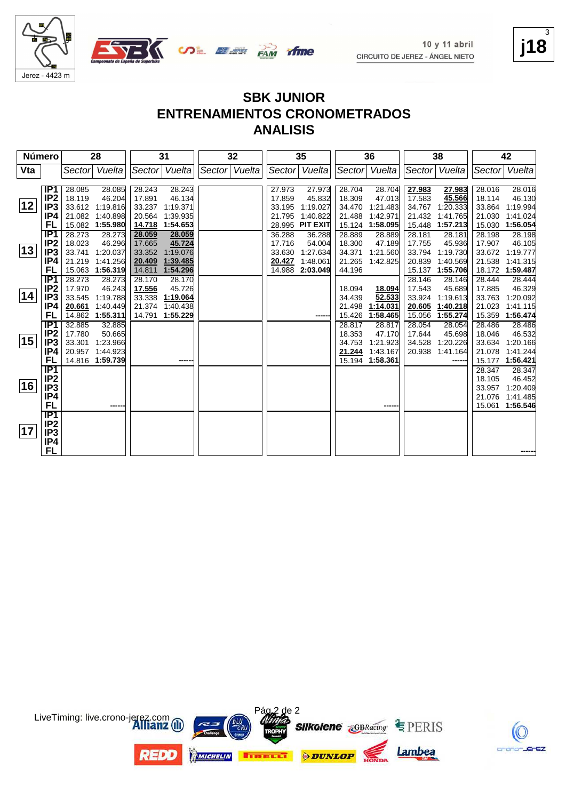

C

crano-JErEZ

3





## **SBK JUNIOR ENTRENAMIENTOS CRONOMETRADOS**

**ANALISIS**

| Número |                        |                  | 28                          |                  | 31                   |               | 32 |                  | 35                          |                  | 36                   |                  | 38                 |                  | 42                 |
|--------|------------------------|------------------|-----------------------------|------------------|----------------------|---------------|----|------------------|-----------------------------|------------------|----------------------|------------------|--------------------|------------------|--------------------|
| Vta    |                        |                  | Sector Vuelta               |                  | Sector Vuelta        | Sector Vuelta |    | Sector           | Vuelta                      | Sector           | Vuelta               | Sector           | Vuelta             | Sector           | Vuelta             |
|        |                        |                  |                             |                  |                      |               |    |                  |                             |                  |                      |                  |                    |                  |                    |
|        | IP1                    | 28.085           | 28.085                      | 28.243           | 28.243               |               |    | 27.973           | 27.973                      | 28.704           | 28.704               | 27.983           | 27.983             | 28.016           | 28.016             |
| 12     | IP <sub>2</sub>        | 18.119           | 46.204                      | 17.891           | 46.134               |               |    | 17.859           | 45.832                      | 18.309           | 47.013               | 17.583           | 45.566             | 18.114           | 46.130             |
|        | IP <sub>3</sub>        |                  | 33.612 1:19.816             | 33.237           | 1:19.371             |               |    | 33.195           | 1:19.027                    | 34.470           | 1:21.483             | 34.767           | 1:20.333           | 33.864           | 1:19.994           |
|        | IP4                    |                  | 21.082 1:40.898             | 20.564           | 1:39.935<br>1:54.653 |               |    | 21.795           | 1:40.822<br><b>PIT EXIT</b> | 21.488           | 1:42.971<br>1:58.095 | 21.432           | 1:41.765           | 21.030           | 1:41.024           |
|        | FL                     | 28.273           | 15.082 1:55.980             | 14.718           |                      |               |    | 28.995           |                             | 15.124           |                      | 15.448           | 1:57.213           | 15.030           | 1:56.054           |
|        | IP1                    |                  | 28.273                      | 28.059           | 28.059               |               |    | 36.288           | 36.288                      | 28.889           | 28.889               | 28.181           | 28.181             | 28.198           | 28.198             |
| 13     | IP <sub>2</sub>        | 18.023<br>33.741 | 46.296                      | 17.665           | 45.724               |               |    | 17.716<br>33.630 | 54.004                      | 18.300<br>34.371 | 47.189               | 17.755           | 45.936<br>1:19.730 | 17.907<br>33.672 | 46.105<br>1:19.777 |
|        | IP <sub>3</sub><br>IP4 |                  | 1:20.037<br>21.219 1:41.256 | 33.352           | 1:19.076<br>1:39.485 |               |    | 20.427           | 1:27.634<br>1:48.061        | 21.265           | 1:21.560<br>1:42.825 | 33.794<br>20.839 | 1:40.569           | 21.538           | 1:41.315           |
|        | FL                     |                  | 15.063 1:56.319             | 20.409<br>14.811 | 1:54.296             |               |    | 14.988           | 2:03.049                    | 44.196           |                      | 15.137           | 1:55.706           | 18.172           | 1:59.487           |
|        | IP1                    | 28.273           | 28.273                      | 28.170           | 28.170               |               |    |                  |                             |                  |                      | 28.146           | 28.146             | 28.444           | 28.444             |
|        | IP <sub>2</sub>        | 17.970           | 46.243                      | 17.556           | 45.726               |               |    |                  |                             | 18.094           | 18.094               | 17.543           | 45.689             | 17.885           | 46.329             |
| 14     | IP <sub>3</sub>        | 33.545           | 1:19.788                    | 33.338           | 1:19.064             |               |    |                  |                             | 34.439           | 52.533               | 33.924           | 1:19.613           | 33.763           | 1:20.092           |
|        | IP4                    | 20.661           | 1.40.449                    | 21.374           | 1.40.438             |               |    |                  |                             | 21.498           | 1:14.031             | 20.605           | 1:40.218           | 21.023           | 1:41.115           |
|        | FL                     |                  | 14.862 1:55.311             | 14.791           | 1:55.229             |               |    |                  |                             | 15.426           | 1:58.465             | 15.056           | 1:55.274           | 15.359           | 1:56.474           |
|        | IP1                    | 32.885           | 32.885                      |                  |                      |               |    |                  |                             | 28.817           | 28.817               | 28.054           | 28.054             | 28.486           | 28.486             |
|        | IP <sub>2</sub>        | 17.780           | 50.665                      |                  |                      |               |    |                  |                             | 18.353           | 47.170               | 17.644           | 45.698             | 18.046           | 46.532             |
| 15     | IP <sub>3</sub>        | 33.301           | 1:23.966                    |                  |                      |               |    |                  |                             | 34.753           | 1:21.923             | 34.528           | 1:20.226           | 33.634           | 1:20.166           |
|        | IP4                    |                  | 20.957 1:44.923             |                  |                      |               |    |                  |                             | 21.244           | 1:43.167             | 20.938           | 1:41.164           | 21.078           | 1:41.244           |
|        | FL                     |                  | 14.816 1:59.739             |                  |                      |               |    |                  |                             | 15.194           | 1:58.361             |                  | -----              | 15.177           | 1:56.421           |
|        | IP1                    |                  |                             |                  |                      |               |    |                  |                             |                  |                      |                  |                    | 28.347           | 28.347             |
|        | IP <sub>2</sub>        |                  |                             |                  |                      |               |    |                  |                             |                  |                      |                  |                    | 18.105           | 46.452             |
| 16     | IP <sub>3</sub>        |                  |                             |                  |                      |               |    |                  |                             |                  |                      |                  |                    | 33.957           | 1:20.409           |
|        | IP4                    |                  |                             |                  |                      |               |    |                  |                             |                  |                      |                  |                    | 21.076           | 1:41.485           |
|        | FL                     |                  |                             |                  |                      |               |    |                  |                             |                  |                      |                  |                    | 15.061           | 1:56.546           |
|        | IP1                    |                  |                             |                  |                      |               |    |                  |                             |                  |                      |                  |                    |                  |                    |
|        | IP <sub>2</sub>        |                  |                             |                  |                      |               |    |                  |                             |                  |                      |                  |                    |                  |                    |
| 17     | IP3                    |                  |                             |                  |                      |               |    |                  |                             |                  |                      |                  |                    |                  |                    |
|        | IP4                    |                  |                             |                  |                      |               |    |                  |                             |                  |                      |                  |                    |                  |                    |
|        | FL                     |                  |                             |                  |                      |               |    |                  |                             |                  |                      |                  |                    |                  |                    |

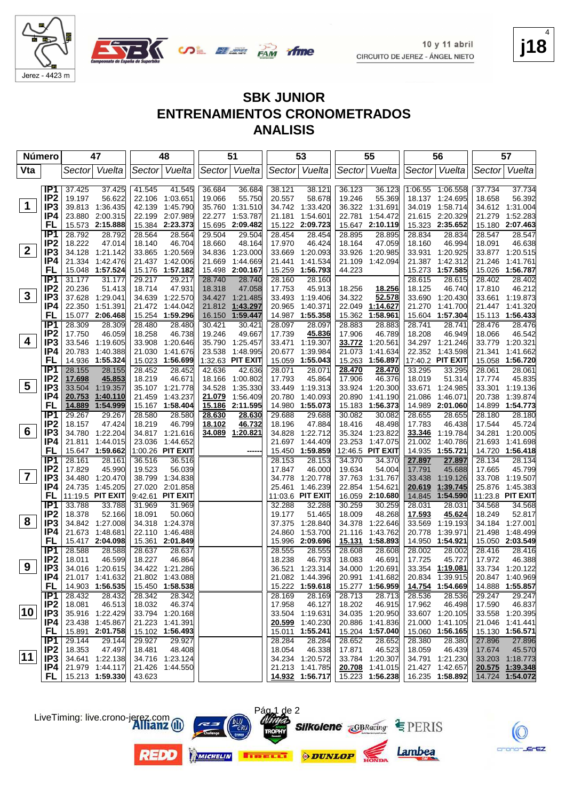



| <b>SBK JUNIOR</b>                   |
|-------------------------------------|
| <b>ENTRENAMIENTOS CRONOMETRADOS</b> |
| <b>ANALISIS</b>                     |

| <b>Número</b>           |                        | 47                        |                  |                  | 48                          |        | 51                          |                  | 53                        |                         | 55                        |                  | 56                                  |                  | 57                          |
|-------------------------|------------------------|---------------------------|------------------|------------------|-----------------------------|--------|-----------------------------|------------------|---------------------------|-------------------------|---------------------------|------------------|-------------------------------------|------------------|-----------------------------|
| Vta                     |                        | Sector                    | Vuelta           |                  | Sector Vuelta               |        | Sector Vuelta               | Sector           | Vuelta                    |                         | Sector Vuelta             |                  | Sector Vuelta                       | Sector           | Vuelta                      |
|                         | IP <sub>1</sub>        | 37.425                    | 37.425           | 41.545           | 41.545                      | 36.684 | 36.684                      | 38.121           | 38.121                    | 36.123                  | 36.123                    |                  | 1:06.55 1:06.558                    | 37.734           | 37.734                      |
|                         | IP <sub>2</sub>        | 19.197                    | 56.622           | 22.106           | 1:03.651                    | 19.066 | 55.750                      | 20.557           | 58.678                    | 19.246                  | 55.369                    |                  | 18.137 1:24.695                     | 18.658           | 56.392                      |
| $\mathbf 1$             | IP <sub>3</sub>        | 39.813                    | 1:36.435         | 42.139           | 1:45.790                    |        | 35.760 1:31.510             | 34.742           | 1:33.420                  |                         | 36.322 1:31.691           |                  | 34.019 1:58.714                     |                  | 34.612 1:31.004             |
|                         | IP4                    | 23.880 2:00.315           |                  |                  | 22.199 2:07.989             | 22.277 | 1:53.787                    | 21.181           | 1:54.601                  | 22.781                  | 1:54.472                  |                  | 21.615 2:20.329                     | 21.279           | 1:52.283                    |
|                         | <b>FL</b>              | 15.573 2:15.888           |                  |                  | 15.384 2:23.373             | 15.695 | 2:09.482                    | 15.122           | 2:09.723                  |                         | 15.647 2:10.119           |                  | 15.323 2:35.652                     |                  | 15.180 2:07.463             |
|                         | IP <sub>1</sub>        | 28.792                    | 28.792           | 28.564           | 28.564                      | 29.504 | 29.504                      | 28.454           | 28.454                    | 28.895                  | 28.895                    | 28.834           | 28.834                              | 28.547           | 28.547                      |
|                         | IP <sub>2</sub>        | 18.222                    | 47.014           | 18.140           | 46.704                      | 18.660 | 48.164                      | 17.970           | 46.424                    | 18.164                  | 47.059                    | 18.160           | 46.994                              | 18.091           | 46.638                      |
| $\mathbf{2}$            | IP3                    | 34.128 1:21.142           |                  |                  | 33.865 1:20.569             | 34.836 | 1:23.000                    | 33.669           | 1:20.093                  | 33.926                  | 1:20.985                  | 33.931           | 1:20.925                            |                  | 33.877 1:20.515             |
|                         | IP4                    | 21.334                    | 1:42.476         |                  | 21.437 1:42.006             | 21.669 | 1:44.669                    | 21.441           | 1:41.534                  |                         | 21.109 1:42.094           | 21.387           | 1:42.312                            | 21.246           | 1:41.761                    |
|                         | FL                     | 15.048                    | 1:57.524         |                  | 15.176 1:57.182             | 15.498 | 2:00.167                    | 15.259           | 1:56.793                  | 44.223                  |                           | 15.273           | 1:57.585                            |                  | 15.026 1:56.787             |
|                         | IP <sub>1</sub>        | 31.177                    | 31.177           | 29.217           | 29.217                      | 28.740 | 28.740                      | 28.160           | 28.160                    |                         |                           | 28.615           | 28.615                              | 28.402           | 28.402                      |
|                         | IP <sub>2</sub>        | 20.236                    | 51.413           | 18.714           | 47.931                      | 18.318 | 47.058                      | 17.753           | 45.913                    | 18.256                  | 18.256                    | 18.125           | 46.740                              | 17.810           | 46.212                      |
| $\mathbf{3}$            | IP <sub>3</sub>        | 37.628 1:29.041           |                  | 34.639           | 1:22.570                    |        | 34.427 1:21.485             | 33.493           | 1:19.406                  | 34.322                  | 52.578                    | 33.690           | 1:20.430                            |                  | 33.661 1:19.873             |
|                         | IP4                    | 22.350 1:51.391           |                  |                  | 21.472 1:44.042             | 21.812 | 1:43.297                    | 20.965           | 1:40.371                  | 22.049                  | 1:14.627                  | 21.270           | 1:41.700                            |                  | 21.447 1:41.320             |
|                         | FL                     | 15.077 2:06.468           |                  |                  | 15.254 1:59.296             | 16.150 | 1:59.447                    | 14.987           | 1:55.358                  | 15.362                  | 1:58.961                  |                  | 15.604 1:57.304                     |                  | 15.113 1:56.433             |
|                         | IP1                    | 28.309                    | 28.309           | 28.480           | 28.480                      | 30.421 | 30.421                      | 28.097           | 28.097                    | 28.883                  | 28.883                    | 28.741           | 28.741                              | 28.476           | 28.476                      |
| 4                       | IP <sub>2</sub>        | 17.750                    | 46.059           | 18.258           | 46.738                      | 19.246 | 49.667                      | 17.739           | 45.836                    | 17.906                  | 46.789                    | 18.208           | 46.949                              | 18.066           | 46.542                      |
|                         | IP3<br>IP4             | 33.546 1:19.605<br>20.783 | 1:40.388         |                  | 33.908 1:20.646<br>1:41.676 |        | 35.790 1:25.457<br>1:48.995 | 33.471           | 1:19.307                  | <u>33.772</u><br>21.073 | 1:20.561<br>1:41.634      |                  | 34.297 1:21.246                     |                  | 33.779 1:20.321<br>1:41.662 |
|                         | FL                     | 1:55.324<br>14.936        |                  | 21.030           | 15.023 1:56.699             | 23.538 | 1:32.63 PIT EXIT            | 20.677<br>15.059 | 1:39.984<br>1:55.043      | 15.263                  | 1:56.897                  |                  | 22.352 1:43.598<br>17:40.2 PIT EXIT | 21.341           | 15.058 1:56.720             |
|                         | IP <sub>1</sub>        | 28.155                    | 28.155           | 28.452           | 28.452                      | 42.636 | 42.636                      | 28.071           | 28.071                    | 28.470                  | 28.470                    | 33.295           | 33.295                              | 28.061           | 28.061                      |
|                         | IP <sub>2</sub>        | 17.698                    | 45.853           | 18.219           | 46.671                      |        | 18.166 1:00.802             | 17.793           | 45.864                    | 17.906                  | 46.376                    | 18.019           | 51.314                              | 17.774           | 45.835                      |
| 5                       | IP <sub>3</sub>        | 33.504                    | 1:19.357         |                  | 35.107 1:21.778             | 34.528 | 1:35.330                    | 33.449           | 1:19.313                  | 33.924                  | 1:20.300                  | 33.671           | 1:24.985                            |                  | 33.301 1:19.136             |
|                         | IP4                    | 20.753                    | 1:40.110         | 21.459           | 1:43.237                    | 21.079 | 1:56.409                    | 20.780           | 1:40.093                  | 20.890                  | 1:41.190                  | 21.086           | 1:46.071                            | 20.738           | 1:39.874                    |
|                         | FL                     | 14.889                    | 1:54.999         |                  | 15.167 1:58.404             | 15.186 | 2:11.595                    | 14.980           | 1:55.073                  |                         | 15.183 1:56.373           |                  | 14.989 2:01.060                     |                  | 14.899 1:54.773             |
|                         | $\overline{IP1}$       | 29.267                    | 29.267           | 28.580           | 28.580                      | 28.630 | 28.630                      | 29.688           | 29.688                    | 30.082                  | 30.082                    | 28.655           | 28.655                              | 28.180           | 28.180                      |
|                         | IP <sub>2</sub>        | 18.157                    | 47.424           | 18.219           | 46.799                      | 18.102 | 46.732                      | 18.196           | 47.884                    | 18.416                  | 48.498                    | 17.783           | 46.438                              | 17.544           | 45.724                      |
| 6                       | IP <sub>3</sub>        | 34.780 1:22.204           |                  |                  | 34.817 1:21.616             | 34.089 | 1:20.821                    | 34.828           | 1:22.712                  | 35.324                  | 1:23.822                  | 33.346           | 1:19.784                            | 34.281           | 1:20.005                    |
|                         | IP4                    | 21.811                    | 1:44.015         |                  | 23.036 1:44.652             |        |                             | 21.697           | 1:44.409                  | 23.253                  | 1:47.075                  | 21.002           | 1:40.786                            |                  | 21.693 1:41.698             |
|                         | FL                     | 15.647 1:59.662           |                  |                  | 1:00.26 PIT EXIT            |        |                             | 15.450           | 1:59.859                  |                         | 12:46.5 PIT EXIT          | 14.935           | 1:55.721                            |                  | 14.720 1:56.418             |
|                         | IP1                    | 28.161                    | 28.161           | 36.516           | 36.516                      |        |                             | 28.153           | 28.153                    | 34.370                  | 34.370                    | 27.897           | 27.897                              | 28.134           | 28.134                      |
| $\overline{\mathbf{7}}$ | IP <sub>2</sub>        | 17.829                    | 45.990           | 19.523           | 56.039                      |        |                             | 17.847           | 46.000                    | 19.634                  | 54.004                    | 17.791           | 45.688                              | 17.665           | 45.799                      |
|                         | IP <sub>3</sub>        | 34.480 1:20.470           |                  | 38.799           | 1:34.838                    |        |                             | 34.778           | 1:20.778                  | 37.763                  | 1:31.767                  | 33.438           | 1:19.126                            |                  | 33.708 1:19.507             |
|                         | IP4<br>FL              | 24.735 1:45.205           |                  |                  | 27.020 2:01.858             |        |                             | 25.461           | 1:46.239                  | 22.854                  | 1:54.621                  | 20.619           | 1:39.745                            |                  | 25.876 1:45.383             |
|                         | IP1                    | 11:19.5 PIT EXIT          |                  |                  | 9:42.61 PIT EXIT            |        |                             |                  | 11:03.6 PIT EXIT          |                         | 16.059 2:10.680           | 14.845           | 1:54.590                            |                  | 11:23.8 PIT EXIT            |
|                         | IP <sub>2</sub>        | 33.788<br>18.378          | 33.788<br>52.166 | 31.969<br>18.091 | 31.969<br>50.060            |        |                             | 32.288<br>19.177 | 32.288<br>51.465          | 30.259<br>18.009        | 30.259<br>48.268          | 28.031<br>17.593 | 28.031<br>45.624                    | 34.568<br>18.249 | 34.568<br>52.817            |
| 8                       | IP <sub>3</sub>        | 34.842 1:27.008           |                  |                  | 34.318 1:24.378             |        |                             | 37.375           | 1:28.840                  | 34.378                  | 1:22.646                  | 33.569           | 1:19.193                            |                  | 34.184 1:27.001             |
|                         | IP4                    | 21.673<br>1:48.681        |                  |                  | 22.110 1:46.488             |        |                             | 24.860           | 1:53.700                  | 21.116                  | 1:43.762                  | 20.778           | 1:39.971                            | 21.498           | 1:48.499                    |
|                         | FL                     | 15.417 2:04.098           |                  |                  | 15.361 2:01.849             |        |                             | 15.996           | 2:09.696                  | <u>15.131</u>           | 1:58.893                  | 14.950           | 1:54.921                            |                  | 15.050 2:03.549             |
|                         | IP <sub>1</sub>        | 28.588                    | 28.588           | 28.637           | 28.637                      |        |                             | 28.555           | 28.555                    | 28.608                  | 28.608                    | 28.002           | 28.002                              | 28.416           | 28.416                      |
|                         | IP <sub>2</sub>        | 18.011                    | 46.599           | 18.227           | 46.864                      |        |                             | 18.238           | 46.793                    | 18.083                  | 46.691                    | 17.725           | 45.727                              | 17.972           | 46.388                      |
| 9                       | IP <sub>3</sub>        | 34.016 1:20.615           |                  |                  | 34.422 1:21.286             |        |                             | 36.521           | 1:23.314                  |                         | 34.000 1:20.691           |                  | 33.354 1:19.081                     |                  | 33.734 1:20.122             |
|                         | IP4                    | 21.017 1:41.632           |                  |                  | 21.802 1:43.088             |        |                             |                  | 21.082 1:44.396           |                         | 20.991 1:41.682           |                  | 20.834 1:39.915                     |                  | 20.847 1:40.969             |
|                         | FL,                    | 14.903 1:56.535           |                  |                  | 15.450 1:58.538             |        |                             |                  | 15.222 1:59.618           |                         | 15.277 1:56.959           |                  | 14.754 1:54.669                     |                  | 14.888 1:55.857             |
|                         | IP1                    | 28.432                    | 28.432           | 28.342           | 28.342                      |        |                             | 28.169           | 28.169                    | 28.713                  | 28.713                    | 28.536           | 28.536                              | 29.247           | 29.247                      |
|                         | IP <sub>2</sub>        | 18.081                    | 46.513           | 18.032           | 46.374                      |        |                             | 17.958           | 46.127                    | 18.202                  | 46.915                    | 17.962           | 46.498                              | 17.590           | 46.837                      |
| 10                      | IP <sub>3</sub>        | 35.916 1:22.429           |                  |                  | 33.794 1:20.168             |        |                             |                  | 33.504 1:19.631           |                         | 34.035 1:20.950           |                  | 33.607 1:20.105                     |                  | 33.558 1:20.395             |
|                         | IP4                    | 23.438 1:45.867           |                  |                  | 21.223 1:41.391             |        |                             | 20.599           | 1:40.230                  |                         | 20.886 1:41.836           |                  | 21.000 1:41.105                     |                  | 21.046 1:41.441             |
|                         | <b>FL</b>              | 15.891 2:01.758           |                  |                  | 15.102 1:56.493             |        |                             | 15.011           | 1:55.241                  |                         | 15.204 1:57.040           |                  | 15.060 1:56.165                     |                  | 15.130 1:56.571             |
|                         | IP1<br>IP <sub>2</sub> | 29.144<br>18.353          | 29.144           | 29.927           | 29.927                      |        |                             | 28.284           | 28.284                    | 28.652                  | 28.652                    | 28.380           | 28.380                              | 27.896           | 27.896<br>45.570            |
| $ 11\rangle$            | IP3                    | 34.641 1:22.138           | 47.497           | 18.481           | 48.408<br>34.716 1:23.124   |        |                             | 18.054           | 46.338<br>34.234 1:20.572 | 17.871                  | 46.523<br>33.784 1:20.307 | 18.059           | 46.439<br>34.791 1:21.230           | 17.674           | 33.203 1:18.773             |
|                         | IP4                    | 21.979 1:44.117           |                  |                  | 21.426 1:44.550             |        |                             |                  | 21.213 1:41.785           |                         | 20.708 1:41.015           |                  | 21.427 1:42.657                     |                  | 20.575 1:39.348             |
|                         |                        | FL   15.213 1:59.330      |                  | 43.623           |                             |        |                             |                  | 14.932 1:56.717           |                         | 15.223 1:56.238           |                  | 16.235 1:58.892                     |                  | 14.724 1:54.072             |
|                         |                        |                           |                  |                  |                             |        |                             |                  |                           |                         |                           |                  |                                     |                  |                             |











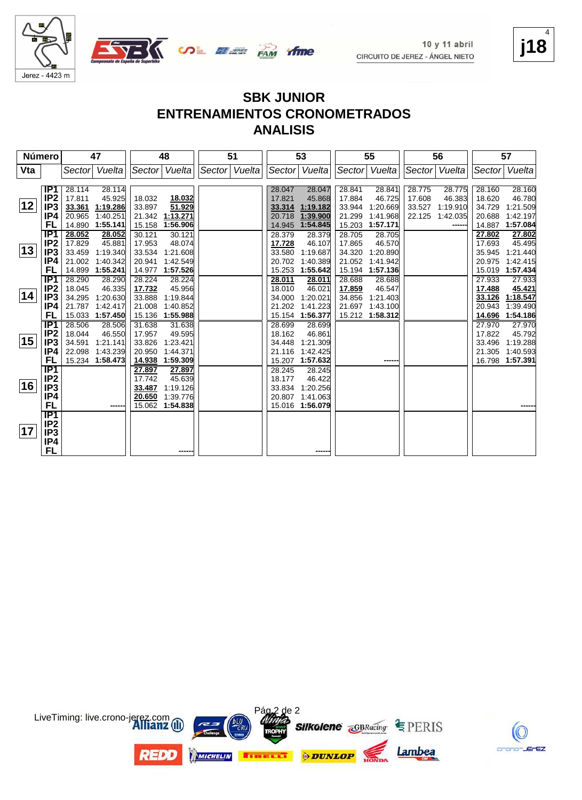



C

crano-JErEZ

4



#### **SBK JUNIOR ENTRENAMIENTOS CRONOMETRADOS ANALISIS**

| Número |                  |                           | 47       |                  | 48                   | 51              |                  | 53                   |        | 55              |        | 56              |        | 57                          |
|--------|------------------|---------------------------|----------|------------------|----------------------|-----------------|------------------|----------------------|--------|-----------------|--------|-----------------|--------|-----------------------------|
| Vta    |                  | Sector                    | Vuelta   |                  | Sector Vuelta        | Sector   Vuelta | Sector           | Vuelta               |        | Sector Vuelta   |        | Sector   Vuelta |        | Sector Vuelta               |
|        |                  |                           |          |                  |                      |                 |                  |                      |        |                 |        |                 |        |                             |
|        | IP1              | 28.114                    | 28.114   |                  |                      |                 | 28.047           | 28.047               | 28.841 | 28.841          | 28.775 | 28.775          | 28.160 | 28.160                      |
|        | IP <sub>2</sub>  | 17.811                    | 45.925   | 18.032           | 18.032               |                 | 17.821           | 45.868               | 17.884 | 46.725          | 17.608 | 46.383          | 18.620 | 46.780                      |
| 12     | IP3              | 33.361                    | 1:19.286 | 33.897           | 51.929               |                 | 33.314           | 1:19.182             | 33.944 | 1:20.669        | 33.527 | 1:19.910        | 34.729 | 1:21.509                    |
|        | IP4              | 20.965                    | 1:40.251 | 21.342           | 1:13.271             |                 | 20.718           | 1:39.900             | 21.299 | 1:41.968        | 22.125 | 1:42.035        | 20.688 | 1:42.197                    |
|        | FL               | 14.890 1:55.141           |          | 15.158           | 1:56.906             |                 | 14.945           | 1:54.845             | 15.203 | 1:57.171        |        | -----           | 14.887 | 1:57.084                    |
|        | IP <sub>1</sub>  | 28.052                    | 28.052   | 30.121           | 30.121               |                 | 28.379           | 28.379               | 28.705 | 28.705          |        |                 | 27.802 | 27.802                      |
|        | IP <sub>2</sub>  | 17.829                    | 45.881   | 17.953           | 48.074               |                 | 17.728           | 46.107               | 17.865 | 46.570          |        |                 | 17.693 | 45.495                      |
| 13     | IP <sub>3</sub>  | 33.459                    | 1:19.340 | 33.534           | 1:21.608             |                 | 33.580           | 1:19.687             | 34.320 | 1:20.890        |        |                 | 35.945 | 1:21.440                    |
|        | IP4              | 21.002                    | 1:40.342 | 20.941           | 1:42.549             |                 | 20.702           | 1:40.389             | 21.052 | 1:41.942        |        |                 | 20.975 | 1:42.415                    |
|        | FL               | 14.899 1:55.241           |          |                  | 14.977 1:57.526      |                 | 15.253           | 1:55.642             | 15.194 | 1:57.136        |        |                 | 15.019 | 1:57.434                    |
|        | $\overline{IP1}$ | 28.290                    | 28.290   | 28.224           | 28.224               |                 | 28.011           | 28.011               | 28.688 | 28.688          |        |                 | 27.933 | 27.933                      |
| 14     | IP <sub>2</sub>  | 18.045                    | 46.335   | 17.732           | 45.956               |                 | 18.010           | 46.021               | 17.859 | 46.547          |        |                 | 17.488 | 45.421                      |
|        | IP3              | 34.295                    | 1:20.630 | 33.888           | 1:19.844             |                 | 34.000           | 1:20.021             | 34.856 | 1:21.403        |        |                 | 33.126 | 1:18.547                    |
|        | IP4              | 21.787                    | 1:42.417 | 21.008           | 1:40.852             |                 | 21.202           | 1:41.223             | 21.697 | 1:43.100        |        |                 | 20.943 | 1:39.490                    |
|        | FL               | 15.033 1:57.450           |          |                  | 15.136 1:55.988      |                 | 15.154           | 1:56.377             |        | 15.212 1:58.312 |        |                 | 14.696 | 1:54.186                    |
|        | IP <sub>1</sub>  | 28.506                    | 28.506   | 31.638           | 31.638               |                 | 28.699           | 28.699               |        |                 |        |                 | 27.970 | 27.970                      |
| 15     | IP <sub>2</sub>  | 18.044                    | 46.550   | 17.957           | 49.595               |                 | 18.162           | 46.861               |        |                 |        |                 | 17.822 | 45.792                      |
|        | IP3              | 34.591                    | 1:21.141 | 33.826           | 1:23.421             |                 | 34.448           | 1:21.309             |        |                 |        |                 | 33.496 | 1:19.288                    |
|        | IP4<br>FL        | 22.098<br>15.234 1:58.473 | 1:43.239 | 20.950<br>14.938 | 1:44.371<br>1:59.309 |                 | 21.116           | 1:42.425<br>1:57.632 |        |                 |        |                 | 21.305 | 1:40.593<br>16.798 1:57.391 |
|        | $\overline{IP1}$ |                           |          |                  |                      |                 | 15.207           |                      |        | -----           |        |                 |        |                             |
|        | IP2              |                           |          | 27.897<br>17.742 | 27.897<br>45.639     |                 | 28.245<br>18.177 | 28.245<br>46.422     |        |                 |        |                 |        |                             |
| 16     | IP3              |                           |          | 33.487           | 1:19.126             |                 | 33.834           | 1:20.256             |        |                 |        |                 |        |                             |
|        | IP4              |                           |          | 20.650           | 1:39.776             |                 | 20.807           | 1:41.063             |        |                 |        |                 |        |                             |
|        | <b>FL</b>        |                           |          |                  | 15.062 1:54.838      |                 |                  | 15.016 1:56.079      |        |                 |        |                 |        |                             |
|        | IP1              |                           |          |                  |                      |                 |                  |                      |        |                 |        |                 |        |                             |
|        | IP <sub>2</sub>  |                           |          |                  |                      |                 |                  |                      |        |                 |        |                 |        |                             |
| 17     | IP3              |                           |          |                  |                      |                 |                  |                      |        |                 |        |                 |        |                             |
|        | IP4              |                           |          |                  |                      |                 |                  |                      |        |                 |        |                 |        |                             |
|        | FL               |                           |          |                  |                      |                 |                  |                      |        |                 |        |                 |        |                             |

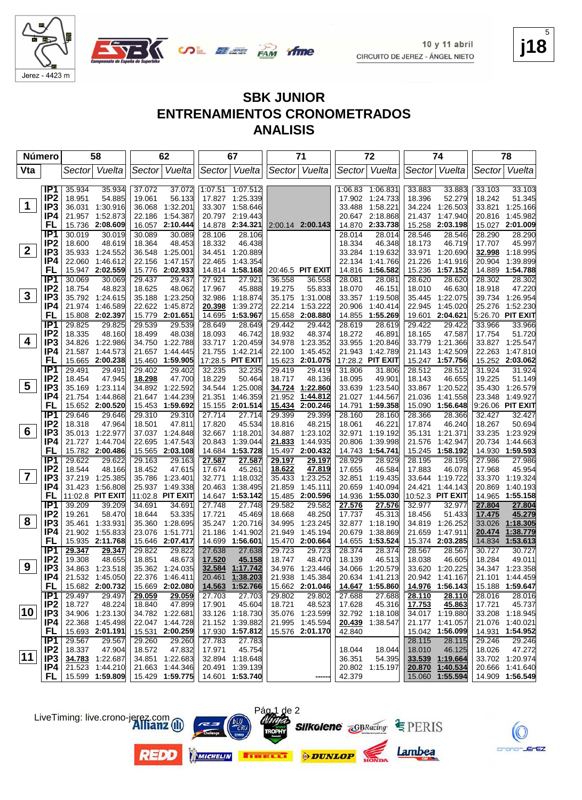

Jerez - 4423 m

#### **SBK JUNIOR ENTRENAMIENTOS CRONOMETRADOS ANALISIS**

| <b>Número</b>           |                                    |                  | 58                          |                  | 62                                 |                  | 67                           |                  | 71                        |                  | 72                        |                  | 74                          |                  | 78                          |
|-------------------------|------------------------------------|------------------|-----------------------------|------------------|------------------------------------|------------------|------------------------------|------------------|---------------------------|------------------|---------------------------|------------------|-----------------------------|------------------|-----------------------------|
| Vta                     |                                    | Sector           | Vuelta                      |                  | Sector Vuelta                      |                  | Sector Vuelta                |                  | Sector Vuelta             |                  | Sector Vuelta             | Sector           | Vuelta                      | Sector           | Vuelta                      |
|                         |                                    |                  |                             |                  |                                    |                  |                              |                  |                           |                  |                           |                  |                             |                  |                             |
|                         | IP1                                | 35.934           | 35.934                      | 37.072           | 37.072                             |                  | 1:07.51 1:07.512             |                  |                           |                  | 1:06.83 1:06.831          | 33.883           | 33.883                      | 33.103           | 33.103                      |
|                         | IP <sub>2</sub>                    | 18.951           | 54.885                      | 19.061           | 56.133                             |                  | 17.827 1:25.339              |                  |                           |                  | 17.902 1:24.733           | 18.396           | 52.279                      | 18.242           | 51.345                      |
| $\mathbf 1$             | IP <sub>3</sub>                    |                  | 36.031 1:30.916             | 36.068           | 1:32.201                           |                  | 33.307 1:58.646              |                  |                           | 33.488           | 1:58.221                  | 34.224           | 1:26.503                    | 33.821           | 1:25.166                    |
|                         | IP4                                | 21.957           | 1:52.873                    | 22.186           | 1:54.387                           |                  | 20.797 2:19.443              |                  |                           |                  | 20.647 2:18.868           | 21.437           | 1:47.940                    | 20.816           | 1:45.982                    |
|                         | FL                                 | 15.736           | 2:08.609                    |                  | 16.057 2:10.444                    |                  | 14.878 2:34.321              |                  | 2:00.14 2:00.143          |                  | 14.870 2:33.738           |                  | 15.258 2:03.198             |                  | 15.027 2:01.009             |
|                         | IP <sub>1</sub>                    | 30.019           | 30.019                      | 30.089           | 30.089                             | 28.106           | 28.106                       |                  |                           | 28.014           | 28.014                    | 28.546           | 28.546                      | 28.290           | 28.290                      |
| $\mathbf{2}$            | IP <sub>2</sub><br>IP <sub>3</sub> | 18.600           | 48.619<br>35.933 1:24.552   | 18.364           | 48.453<br>36.548 1:25.001          | 18.332           | 46.438<br>34.451 1:20.889    |                  |                           | 18.334           | 46.348<br>33.284 1:19.632 | 18.173<br>33.971 | 46.719<br>1:20.690          | 17.707<br>32.998 | 45.997<br>1:18.995          |
|                         | IP4                                | 22.060           | 1:46.612                    | 22.156           | 1:47.157                           |                  | 22.465 1:43.354              |                  |                           | 22.134           | 1:41.766                  | 21.226           | 1:41.916                    | 20.904           | 1:39.899                    |
|                         | FL                                 | 15.947           | 2:02.559                    |                  | 15.776 2:02.933                    |                  | 14.814 1:58.168              |                  | 20:46.5 PIT EXIT          |                  | 14.816 1:56.582           |                  | 15.236 1:57.152             |                  | 14.889 1:54.788             |
|                         | IP <sub>1</sub>                    | 30.069           | 30.069                      | 29.437           | 29.437                             | 27.921           | 27.921                       | 36.558           | 36.558                    | 28.081           | 28.081                    | 28.620           | 28.620                      | 28.302           | 28.302                      |
|                         | IP <sub>2</sub>                    | 18.754           | 48.823                      | 18.625           | 48.062                             | 17.967           | 45.888                       | 19.275           | 55.833                    | 18.070           | 46.151                    | 18.010           | 46.630                      | 18.918           | 47.220                      |
| 3                       | IP <sub>3</sub>                    |                  | 35.792 1:24.615             |                  | 35.188 1:23.250                    |                  | 32.986 1:18.874              | 35.175           | 1:31.008                  |                  | 33.357 1:19.508           |                  | 35.445 1:22.075             |                  | 39.734 1:26.954             |
|                         | IP4                                | 21.974           | 1:46.589                    |                  | 22.622 1:45.872                    | 20.398           | 1:39.272                     | 22.214           | 1:53.222                  | 20.906           | 1:40.414                  | 22.945           | 1:45.020                    | 25.276           | 1:52.230                    |
|                         | FL                                 | 15.808           | 2:02.397                    |                  | 15.779 2:01.651                    | 14.695           | 1:53.967                     | 15.658           | 2:08.880                  | 14.855           | 1:55.269                  | 19.601           | 2:04.621                    |                  | 5:26.70 PIT EXIT            |
|                         | IP <sub>1</sub>                    | 29.825           | 29.825                      | 29.539           | 29.539                             | 28.649           | 28.649                       | 29.442           | 29.442                    | 28.619           | 28.619                    | 29.422           | 29.422                      | 33.966           | 33.966                      |
|                         | IP <sub>2</sub>                    | 18.335           | 48.160                      | 18.499           | 48.038                             | 18.093           | 46.742                       | 18.932           | 48.374                    | 18.272           | 46.891                    | 18.165           | 47.587                      | 17.754           | 51.720                      |
| 4                       | IP <sub>3</sub>                    |                  | 34.826 1:22.986             | 34.750           | 1:22.788                           |                  | 33.717 1:20.459              | 34.978           | 1:23.352                  | 33.955           | 1:20.846                  |                  | 33.779 1:21.366             |                  | 33.827 1:25.547             |
|                         | IP4                                |                  | 21.587 1:44.573             |                  | 21.657 1:44.445                    | 21.755           | 1:42.214                     | 22.100           | 1:45.452                  | 21.943           | 1:42.789                  | 21.143           | 1:42.509                    | 22.263           | 1:47.810                    |
|                         | FL<br>IP1                          | 15.665           | 2:00.238                    |                  | 15.460 1:59.905                    |                  | 17:28.5 PIT EXIT             | 15.623           | 2:01.075                  |                  | 17:28.2 PIT EXIT          |                  | 15.247 1:57.756             |                  | 15.252 2:03.062             |
|                         | IP <sub>2</sub>                    | 29.491<br>18.454 | 29.491<br>47.945            | 29.402<br>18.298 | 29.402<br>47.700                   | 32.235<br>18.229 | 32.235<br>50.464             | 29.419<br>18.717 | 29.419<br>48.136          | 31.806<br>18.095 | 31.806<br>49.901          | 28.512<br>18.143 | 28.512<br>46.655            | 31.924<br>19.225 | 31.924<br>51.149            |
| $\overline{\mathbf{5}}$ | IP <sub>3</sub>                    | 35.169           | 1:23.114                    | 34.892           | 1:22.592                           | 34.544           | 1:25.008                     | 34.724           | 1:22.860                  | 33.639           | 1:23.540                  | 33.867           | 1:20.522                    | 35.430           | 1:26.579                    |
|                         | IP4                                | 21.754           | 1:44.868                    | 21.647           | 1:44.239                           | 21.351           | 1:46.359                     | 21.952           | 1:44.812                  | 21.027           | 1:44.567                  | 21.036           | 1:41.558                    | 23.348           | 1:49.927                    |
|                         | <b>FL</b>                          | 15.652           | 2:00.520                    | 15.453           | 1:59.692                           | 15.155           | 2:01.514                     | 15.434           | 2:00.246                  | 14.791           | 1:59.358                  | 15.090           | 1:56.648                    |                  | 9:26.06 PIT EXIT            |
|                         | IP <sub>1</sub>                    | 29.646           | 29.646                      | 29.310           | 29.310                             | 27.714           | 27.714                       | 29.399           | 29.399                    | 28.160           | 28.160                    | 28.366           | 28.366                      | 32.427           | 32.427                      |
|                         | IP <sub>2</sub>                    | 18.318           | 47.964                      | 18.501           | 47.811                             | 17.820           | 45.534                       | 18.816           | 48.215                    | 18.061           | 46.221                    | 17.874           | 46.240                      | 18.267           | 50.694                      |
| 6                       | IP3                                |                  | 35.013 1:22.977             |                  | 37.037 1:24.848                    |                  | 32.667 1:18.201              | 34.887           | 1:23.102                  | 32.971           | 1:19.192                  | 35.131           | 1:21.371                    | 33.235           | 1:23.929                    |
|                         | IP4                                | 21.727           | 1:44.704                    | 22.695           | 1:47.543                           | 20.843           | 1:39.044                     | 21.833           | 1:44.935                  | 20.806           | 1:39.998                  | 21.576           | 1:42.947                    | 20.734           | 1:44.663                    |
|                         | <b>FL</b>                          |                  | 15.782 2:00.486             |                  | 15.565 2:03.108                    |                  | 14.684 1:53.728              | 15.497           | 2:00.432                  | 14.743           | 1:54.741                  | 15.245           | 1:58.192                    | 14.930           | 1:59.593                    |
|                         | TP <sub>1</sub>                    | 29.622           | 29.622                      | 29.163           | 29.163                             | 27.587           | 27.587                       | 29.197           | 29.197                    | 28.929           | 28.929                    | 28.195           | 28.195                      | 27.986           | 27.986                      |
| $\overline{7}$          | IP <sub>2</sub>                    | 18.544           | 48.166                      | 18.452           | 47.615                             | 17.674           | 45.261                       | 18.622           | 47.819                    | 17.655           | 46.584                    | 17.883           | 46.078                      | 17.968           | 45.954                      |
|                         | IP <sub>3</sub><br>IP4             | 31.423           | 37.219 1:25.385<br>1:56.808 |                  | 35.786 1:23.401<br>25.937 1:49.338 | 32.771<br>20.463 | 1:18.032<br>1:38.495         | 35.433<br>21.859 | 1:23.252<br>1:45.111      | 32.851<br>20.659 | 1:19.435<br>1:40.094      | 24.421           | 33.644 1:19.722<br>1.44.143 | 20.869           | 33.370 1:19.324<br>1:40.193 |
|                         | FL                                 |                  | 11:02.8 PIT EXIT            |                  | 11:02.8 PIT EXIT                   |                  | 14.647 1:53.142              | 15.485           | 2:00.596                  | 14.936           | 1:55.030                  |                  | 10:52.3 PIT EXIT            | 14.965           | 1:55.158                    |
|                         | IP <sub>1</sub>                    | 39.209           | 39.209                      | 34.691           | 34.691                             | 27.748           | 27.748                       | 29.582           | 29.582                    | <u>27.576</u>    | 27.576                    | 32.977           | 32.977                      | <u>27.804</u>    | 27.804                      |
|                         | IP <sub>2</sub>                    | 19.261           | 58.470                      | 18.644           | 53.335                             | 17.721           | 45.469                       | 18.668           | 48.250                    | 17.737           | 45.313                    | 18.456           | 51.433                      | 17.475           | 45.279                      |
| 8                       | IP <sub>3</sub>                    |                  | 35.461 1:33.931             | 35.360           | 1:28.695                           |                  | 35.247 1:20.716              | 34.995           | 1:23.245                  | 32.877           | 1:18.190                  | 34.819           | 1:26.252                    | 33.026           | 1:18.305                    |
|                         | IP4                                |                  | 21.902 1:55.833             | 23.076           | 1:51.771                           | 21.186           | 1:41.902                     | 21.949           | 1:45.194                  | 20.679           | 1:38.869                  | 21.659           | 1:47.911                    | 20.474           | 1:38.779                    |
|                         | FL                                 |                  | 15.935 2:11.768             |                  | 15.646 2:07.417                    |                  | 14.699 1:56.601              |                  | 15.470 2:00.664           |                  | 14.655 1:53.524           |                  | 15.374 2:03.285             | 14.834           | 1:53.613                    |
|                         | IP <sub>1</sub>                    | 29.347           | 29.347                      | 29.822           | 29.822                             | 27.638           | 27.638                       | 29.723           | 29.723                    | 28.374           | 28.374                    | 28.567           | 28.567                      | 30.727           | 30.727                      |
|                         | IP <sub>2</sub>                    | 19.308           | 48.655                      | 18.851           | 48.673                             | 17.520           | 45.158                       | 18.747           | 48.470                    | 18.139           | 46.513                    | 18.038           | 46.605                      | 18.284           | 49.011                      |
| 9                       | IP <sub>3</sub>                    |                  | 34.863 1:23.518             |                  | 35.362 1:24.035                    | 32.584           | 1:17.742                     |                  | 34.976 1:23.446           |                  | 34.066 1:20.579           |                  | 33.620 1:20.225             |                  | 34.347 1:23.358             |
|                         | IP4                                |                  | 21.532 1:45.050             |                  | 22.376 1:46.411                    |                  | $\overline{20.461}$ 1:38.203 |                  | 21.938 1:45.384           |                  | 20.634 1:41.213           |                  | 20.942 1:41.167             |                  | 21.101 1:44.459             |
|                         | FL.                                |                  | 15.682 2:00.732             | 29.059           | 15.669 2:02.080                    |                  | 14.563 1:52.766              | 29.802           | 15.662 2:01.046<br>29.802 | 27.688           | 14.647 1:55.860           |                  | 14.976 1:56.143<br>28.110   | 28.016           | 15.188 1:59.647<br>28.016   |
|                         | IP1<br>IP <sub>2</sub>             | 29.497<br>18.727 | 29.497<br>48.224            | 18.840           | 29.059<br>47.899                   | 27.703<br>17.901 | 27.703<br>45.604             | 18.721           | 48.523                    | 17.628           | 27.688<br>45.316          | 28.110<br>17.753 | 45.863                      | 17.721           | 45.737                      |
| 10                      | IP <sub>3</sub>                    |                  | 34.906 1:23.130             |                  | 34.782 1:22.681                    |                  | 33.126 1:18.730              |                  | 35.076 1:23.599           | 32.792           | 1:18.108                  |                  | 34.017 1:19.880             |                  | 33.208 1:18.945             |
|                         | IP4                                |                  | 22.368 1:45.498             |                  | 22.047 1:44.728                    |                  | 21.152 1:39.882              |                  | 21.995 1:45.594           | 20.439           | 1:38.547                  |                  | 21.177 1:41.057             |                  | 21.076 1:40.021             |
|                         | FL,                                |                  | 15.693 2:01.191             |                  | 15.531 2:00.259                    |                  | 17.930 1:57.812              |                  | 15.576 2:01.170           | 42.840           |                           |                  | 15.042 1:56.099             |                  | 14.931 1:54.952             |
|                         | IP1                                | 29.567           | 29.567                      | 29.260           | 29.260                             | 27.783           | 27.783                       |                  |                           |                  |                           | 28.115           | 28.115                      | 29.246           | 29.246                      |
|                         | IP <sub>2</sub>                    | 18.337           | 47.904                      | 18.572           | 47.832                             | 17.971           | 45.754                       |                  |                           | 18.044           | 18.044                    | 18.010           | 46.125                      | 18.026           | 47.272                      |
| 11                      | IP3                                |                  | 34.783 1:22.687             |                  | 34.851 1:22.683                    |                  | 32.894 1:18.648              |                  |                           | 36.351           | 54.395                    | 33.539           | 1:19.664                    |                  | 33.702 1:20.974             |
|                         | IP4                                |                  | 21.523 1:44.210             |                  | 21.663 1:44.346                    |                  | 20.491 1:39.139              |                  |                           |                  | 20.802 1:15.197           | 20.870           | 1:40.534                    |                  | 20.666 1:41.640             |
|                         | FL.                                |                  | 15.599 1:59.809             |                  | 15.429 1:59.775                    |                  | 14.601 1:53.740              |                  |                           | 42.379           |                           |                  | 15.060 1:55.594             |                  | 14.909 1:56.549             |











C

crano-JErEZ

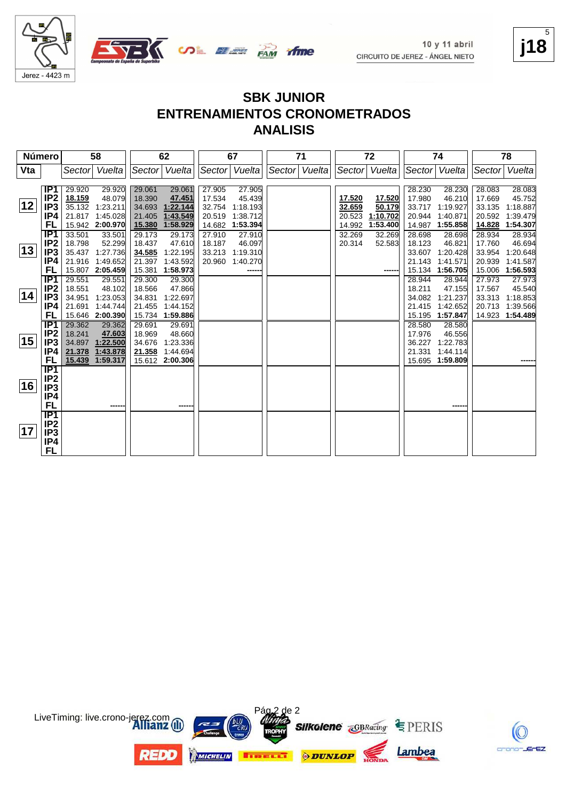





#### **SBK JUNIOR ENTRENAMIENTOS CRONOMETRADOS ANALISIS**

| Número |                        |                  | 58                 |                  | 62               |        | 67            | 71            |        | 72            |                  | 74               |        | 78       |
|--------|------------------------|------------------|--------------------|------------------|------------------|--------|---------------|---------------|--------|---------------|------------------|------------------|--------|----------|
| Vta    |                        |                  | Sector Vuelta      |                  | Sector Vuelta    |        | Sector Vuelta | Sector Vuelta |        | Sector Vuelta |                  | Sector Vuelta    | Sector | Vuelta   |
|        | IP1                    | 29.920           |                    |                  |                  | 27.905 | 27.905        |               |        |               |                  | 28.230           | 28.083 | 28.083   |
|        | IP <sub>2</sub>        | 18.159           | 29.920<br>48.079   | 29.061<br>18.390 | 29.061<br>47.451 | 17.534 | 45.439        |               | 17.520 | 17.520        | 28.230<br>17.980 | 46.210           | 17.669 | 45.752   |
| 12     | IP <sub>3</sub>        |                  | 35.132 1:23.211    |                  | 34.693 1:22.144  | 32.754 | 1:18.193      |               | 32.659 | 50.179        | 33.717           | 1:19.927         | 33.135 | 1:18.887 |
|        | IP4                    |                  | 21.817 1:45.028    | 21.405           | 1:43.549         | 20.519 | 1:38.712      |               | 20.523 | 1:10.702      | 20.944           | 1:40.871         | 20.592 | 1:39.479 |
|        | FL                     |                  | 15.942 2:00.970    | 15.380           | 1:58.929         | 14.682 | 1:53.394      |               | 14.992 | 1:53.400      | 14.987           | 1:55.858         | 14.828 | 1:54.307 |
|        | IP <sub>1</sub>        | 33.501           | 33.501             | 29.173           | 29.173           | 27.910 | 27.910        |               | 32.269 | 32.269        | 28.698           | 28.698           | 28.934 | 28.934   |
|        | IP <sub>2</sub>        | 18.798           | 52.299             | 18.437           | 47.610           | 18.187 | 46.097        |               | 20.314 | 52.583        | 18.123           | 46.821           | 17.760 | 46.694   |
| 13     | IP <sub>3</sub>        | 35.437           | 1:27.736           | 34.585           | 1:22.195         | 33.213 | 1:19.310      |               |        |               | 33.607           | 1:20.428         | 33.954 | 1:20.648 |
|        | IP4                    | 21.916           | 1:49.652           | 21.397           | 1:43.592         | 20.960 | 1:40.270      |               |        |               | 21.143           | 1:41.571         | 20.939 | 1:41.587 |
|        | FL                     |                  | 15.807 2:05.459    | 15.381           | 1:58.973         |        |               |               |        |               | 15.134           | 1:56.705         | 15.006 | 1:56.593 |
|        | IP1                    | 29.551           | 29.551             | 29.300           | 29.300           |        |               |               |        |               | 28.944           | 28.944           | 27.973 | 27.973   |
|        | IP <sub>2</sub>        | 18.551           | 48.102             | 18.566           | 47.866           |        |               |               |        |               | 18.211           | 47.155           | 17.567 | 45.540   |
| 14     | IP <sub>3</sub>        | 34.951           | 1:23.053           | 34.831           | 1:22.697         |        |               |               |        |               | 34.082           | 1:21.237         | 33.313 | 1:18.853 |
|        | IP4                    | 21.691           | 1:44.744           | 21.455           | 1:44.152         |        |               |               |        |               | 21.415           | 1:42.652         | 20.713 | 1:39.566 |
|        | FL                     |                  | 15.646 2:00.390    |                  | 15.734 1:59.886  |        |               |               |        |               | 15.195           | 1:57.847         | 14.923 | 1:54.489 |
|        | IP1<br>IP <sub>2</sub> | 29.362<br>18.241 | 29.362             | 29.691<br>18.969 | 29.691<br>48.660 |        |               |               |        |               | 28.580<br>17.976 | 28.580<br>46.556 |        |          |
| 15     | IP <sub>3</sub>        | 34.897           | 47.603<br>1:22.500 | 34.676           | 1:23.336         |        |               |               |        |               | 36.227           | 1:22.783         |        |          |
|        | IP4                    | 21.378           | 1:43.878           | 21.358           | 1:44.694         |        |               |               |        |               | 21.331           | 1:44.114         |        |          |
|        | FL                     | 15.439           | 1:59.317           |                  | 15.612 2:00.306  |        |               |               |        |               |                  | 15.695 1:59.809  |        |          |
|        | $\overline{IP1}$       |                  |                    |                  |                  |        |               |               |        |               |                  |                  |        |          |
|        | IP <sub>2</sub>        |                  |                    |                  |                  |        |               |               |        |               |                  |                  |        |          |
| 16     | IP <sub>3</sub>        |                  |                    |                  |                  |        |               |               |        |               |                  |                  |        |          |
|        | IP4                    |                  |                    |                  |                  |        |               |               |        |               |                  |                  |        |          |
|        | FL                     |                  | -----              |                  |                  |        |               |               |        |               |                  | ----             |        |          |
|        | $\overline{IP1}$       |                  |                    |                  |                  |        |               |               |        |               |                  |                  |        |          |
|        | IP <sub>2</sub>        |                  |                    |                  |                  |        |               |               |        |               |                  |                  |        |          |
| 17     | IP <sub>3</sub>        |                  |                    |                  |                  |        |               |               |        |               |                  |                  |        |          |
|        | IP4                    |                  |                    |                  |                  |        |               |               |        |               |                  |                  |        |          |
|        | FL                     |                  |                    |                  |                  |        |               |               |        |               |                  |                  |        |          |





**j18** 5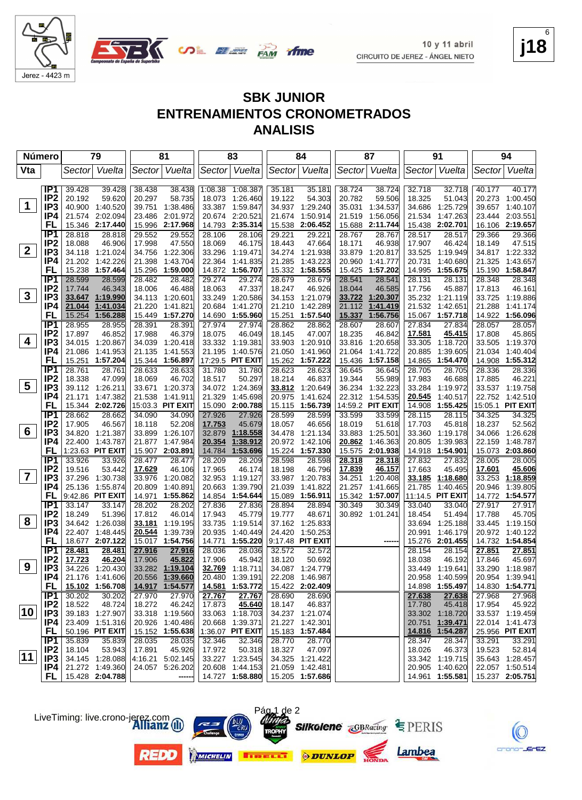

**SBK JUNIOR**

 $10y11$  abril CIRCUITO DE JEREZ - ÁNGEL NIETO

Jerez - 4423 m

|                |                                        |  |       | <b>ANALISIS</b> | <b>ENTRENAMIENTOS CRONOMETRADOS</b> |       |                                            |  |  |  |  |  |  |  |
|----------------|----------------------------------------|--|-------|-----------------|-------------------------------------|-------|--------------------------------------------|--|--|--|--|--|--|--|
| Número│        | 79<br>83<br>91<br>81<br>84<br>94<br>87 |  |       |                 |                                     |       |                                            |  |  |  |  |  |  |  |
| $\mathbf{r}$ . | 0.111                                  |  | 0.111 | 0.111           | 0.111                               | 0.111 | $\mathbf{Q}$ . $\mathbf{Q}$ . $\mathbf{Q}$ |  |  |  |  |  |  |  |

| Vta            |                        | Sector                             | Vuelta           | Sector           | Vuelta               |                   | Sector Vuelta        | Sector           | Vuelta                       | Sector           | Vuelta                    | Sector           | Vuelta                      | Sector | Vuelta                             |
|----------------|------------------------|------------------------------------|------------------|------------------|----------------------|-------------------|----------------------|------------------|------------------------------|------------------|---------------------------|------------------|-----------------------------|--------|------------------------------------|
|                | IP1                    |                                    |                  |                  |                      |                   |                      | 35.181           |                              |                  | 38.724                    |                  |                             |        |                                    |
|                | IP <sub>2</sub>        | 39.428<br>20.192                   | 39.428<br>59.620 | 38.438<br>20.297 | 38.438<br>58.735     | 1:08.38<br>18.073 | 1:08.387<br>1:26.460 | 19.122           | 35.181<br>54.303             | 38.724<br>20.782 | 59.506                    | 32.718<br>18.325 | 32.718<br>51.043            | 40.177 | 40.177<br>20.273 1:00.450          |
| 1              | IP <sub>3</sub>        | 40.900 1:40.520                    |                  | 39.751           | 1:38.486             | 33.387            | 1:59.847             | 34.937           | 1:29.240                     | 35.031           | 1:34.537                  | 34.686           | 1:25.729                    |        | 39.657 1:40.107                    |
|                | IP4                    | 21.574 2:02.094                    |                  | 23.486           | 2:01.972             | 20.674            | 2:20.521             | 21.674           | 1:50.914                     | 21.519           | 1:56.056                  | 21.534           | 1:47.263                    |        | 23.444 2:03.551                    |
|                | FL                     | 15.346 2:17.440                    |                  | 15.996           | 2:17.968             | 14.793            | 2:35.314             | 15.538           | 2:06.452                     | 15.688           | 2:11.744                  |                  | 15.438 2:02.701             |        | 16.106 2:19.657                    |
|                | IP <sub>1</sub>        | 28.818                             | 28.818           | 29.552           | 29.552               | 28.106            | 28.106               | 29.221           | 29.221                       | 28.767           | 28.767                    | 28.517           | 28.517                      | 29.366 | 29.366                             |
|                | IP <sub>2</sub>        | 18.088                             | 46.906           | 17.998           | 47.550               | 18.069            | 46.175               | 18.443           | 47.664                       | 18.171           | 46.938                    | 17.907           | 46.424                      | 18.149 | 47.515                             |
| $\mathbf{2}$   | IP <sub>3</sub>        | 34.118 1:21.024                    |                  | 34.756           | 1:22.306             | 33.296            | 1:19.471             | 34.274           | 1:21.938                     | 33.879           | 1:20.817                  | 33.525           | 1:19.949                    |        | 34.817 1:22.332                    |
|                | IP4                    | 21.202 1:42.226                    |                  | 21.398           | 1:43.704             | 22.364            | 1:41.835             | 21.285           | 1:43.223                     | 20.960           | 1:41.777                  | 20.731           | 1:40.680                    |        | 21.325 1:43.657                    |
|                | FL                     | 15.238 1:57.464                    |                  | 15.296           | 1:59.000             | 14.872            | 1:56.707             | 15.332           | 1:58.555                     | 15.425           | 1:57.202                  | 14.995           | 1:55.675                    |        | 15.190 1:58.847                    |
|                | IP1                    | 28.599                             | 28.599           | 28.482           | 28.482               | 29.274            | 29.274               | 28.679           | 28.679                       | 28.541           | 28.541                    | 28.131           | 28.131                      | 28.348 | 28.348                             |
|                | IP <sub>2</sub>        | 17.744                             | 46.343           | 18.006           | 46.488               | 18.063            | 47.337               | 18.247           | 46.926                       | 18.044           | 46.585                    | 17.756           | 45.887                      | 17.813 | 46.161                             |
| $\mathbf{3}$   | IP3                    | 33.647                             | 1:19.990         |                  | 34.113 1:20.601      | 33.249            | 1:20.586             | 34.153           | 1:21.079                     | 33.722           | 1:20.307                  | 35.232           | 1:21.119                    | 33.725 | 1:19.886                           |
|                | IP4                    | 21.044                             | 1:41.034         | 21.220           | 1:41.821             | 20.684            | 1:41.270             | 21.210           | 1:42.289                     | 21.112           | 1:41.419                  | 21.532           | 1:42.651                    | 21.288 | 1:41.174                           |
|                | FL                     | 15.254                             | 1:56.288         | 15.449           | 1:57.270             | 14.690            | 1:55.960             | 15.251           | 1:57.540                     | 15.337           | 1:56.756                  |                  | 15.067 1:57.718             |        | 14.922 1:56.096                    |
|                | IP <sub>1</sub>        | 28.955                             | 28.955           | 28.391           | 28.391               | 27.974            | 27.974               | 28.862           | 28.862                       | 28.607           | 28.607                    | 27.834           | 27.834                      | 28.057 | 28.057                             |
|                | IP <sub>2</sub>        | 17.897                             | 46.852           | 17.988           | 46.379               | 18.075            | 46.049               | 18.145           | 47.007                       | 18.235           | 46.842                    | 17.581           | 45.415                      | 17.808 | 45.865                             |
| 4              | IP3                    | 34.015 1:20.867                    |                  | 34.039           | 1:20.418             |                   | 33.332 1:19.381      | 33.903           | 1:20.910                     | 33.816           | 1:20.658                  | 33.305           | 1:18.720                    |        | 33.505 1:19.370                    |
|                | IP4                    | 21.086                             | 1:41.953         | 21.135           | 1:41.553             | 21.195            | 1:40.576             | 21.050           | 1:41.960                     | 21.064           | 1:41.722                  | 20.885           | 1:39.605                    | 21.034 | 1:40.404                           |
|                | FL                     | 15.251                             | 1:57.204         | 15.344           | 1:56.897             |                   | 17:29.5 PIT EXIT     | 15.262           | 1:57.222                     | 15.436           | 1:57.158                  | 14.865           | 1:54.470                    |        | 14.908 1:55.312                    |
|                | IP1                    | 28.761                             | 28.761           | 28.633           | 28.633               | 31.780            | 31.780               | 28.623           | 28.623                       | 36.645           | 36.645                    | 28.705           | 28.705                      | 28.336 | 28.336                             |
| 5              | IP <sub>2</sub><br>IP3 | 18.338<br>39.112 1:26.211          | 47.099           | 18.069<br>33.671 | 46.702<br>1:20.373   | 18.517<br>34.072  | 50.297<br>1:24.369   | 18.214<br>33.812 | 46.837<br>1:20.649           | 19.344           | 55.989<br>36.234 1:32.223 | 17.983<br>33.284 | 46.688<br>1:19.972          | 17.885 | 46.221<br>33.537 1:19.758          |
|                | IP4                    | 21.171                             | 1:47.382         | 21.538           | 1:41.911             | 21.329            | 1:45.698             | 20.975           | 1:41.624                     |                  | 22.312 1:54.535           | 20.545           | 1:40.517                    |        | 22.752 1:42.510                    |
|                | FL                     | 15.344 2:02.726                    |                  |                  | 15:03.3 PIT EXIT     | 15.090            | 2:00.788             | 15.115           | 1:56.739                     |                  | 14:59.2 PIT EXIT          | 14.908           | 1:55.425                    |        | 15:05.1 PIT EXIT                   |
|                | IP <sub>1</sub>        | 28.662                             | 28.662           | 34.090           | 34.090               | 27.926            | 27.926               | 28.599           | 28.599                       | 33.599           | 33.599                    | 28.115           | 28.115                      | 34.325 | 34.325                             |
|                | IP <sub>2</sub>        | 17.905                             | 46.567           | 18.118           | 52.208               | 17.753            | 45.679               | 18.057           | 46.656                       | 18.019           | 51.618                    | 17.703           | 45.818                      | 18.237 | 52.562                             |
| 6              | IP3                    | 34.820 1:21.387                    |                  | 33.899           | 1:26.107             | 32.879            | 1:18.558             | 34.478           | 1:21.134                     | 33.883           | 1:25.501                  | 33.360           | 1:19.178                    |        | 34.066 1:26.628                    |
|                | IP4                    | 22.400 1:43.787                    |                  | 21.877           | 1:47.984             | 20.354            | 1:38.912             | 20.972           | 1:42.106                     | 20.862           | 1:46.363                  | 20.805           | 1:39.983                    | 22.159 | 1:48.787                           |
|                | FL                     | 1:23.63 PIT EXIT                   |                  |                  | 15.907 2:03.891      | 14.784            | 1:53.696             |                  | 15.224 1:57.330              | 15.575           | 2:01.938                  |                  | 14.918 1:54.901             |        | 15.073 2:03.860                    |
|                | IP1                    | 33.926                             | 33.926           | 28.477           | 28.477               | 28.209            | 28.209               | 28.598           | 28.598                       | 28.318           | 28.318                    | 27.832           | 27.832                      | 28.005 | 28.005                             |
|                | IP <sub>2</sub>        | 19.516                             | 53.442           | 17.629           | 46.106               | 17.965            | 46.174               | 18.198           | 46.796                       | 17.839           | 46.157                    | 17.663           | 45.495                      | 17.601 | 45.606                             |
| $\overline{7}$ | IP3                    | 37.296 1:30.738                    |                  | 33.976           | 1:20.082             | 32.953            | 1:19.127             | 33.987           | 1:20.783                     | 34.251           | 1:20.408                  | 33.185           | 1:18.680                    | 33.253 | 1:18.859                           |
|                | IP4                    | 25.136 1:55.874                    |                  | 20.809           | 1:40.891             | 20.663            | 1:39.790             | 21.039           | 1:41.822                     | 21.257           | 1:41.665                  | 21.785           | 1:40.465                    | 20.946 | 1:39.805                           |
|                | FL                     | 9:42.86 PIT EXIT                   |                  | 14.971           | 1:55.862             | 14.854            | 1:54.644             | 15.089           | 1:56.911                     |                  | 15.342 1:57.007           |                  | 11:14.5 PIT EXIT            |        | 14.772 1:54.577                    |
|                | IP1                    | 33.147                             | 33.147           | 28.202           | 28.202               | 27.836            | 27.836               | 28.894           | 28.894                       | 30.349           | 30.349                    | 33.040           | 33.040                      | 27.917 | 27.917                             |
| 8              | IP <sub>2</sub>        | 18.249                             | 51.396           | 17.812           | 46.014               | 17.943            | 45.779               | 19.777           | 48.671                       |                  | 30.892 1:01.241           | 18.454           | 51.494                      | 17.788 | 45.705                             |
|                | IP <sub>3</sub>        | 34.642 1:26.038                    |                  |                  | 33.181 1:19.195      | 33.735            | 1:19.514             | 37.162           | 1:25.833                     |                  |                           | 33.694<br>20.991 | 1:25.188                    |        | 33.445 1:19.150<br>20.972 1:40.122 |
|                | IP4<br>FL              | 22.407 1:48.445<br>18.677 2:07.122 |                  | 20.544<br>15.017 | 1:39.739<br>1:54.756 | 20.935<br>14.771  | 1:40.449<br>1:55.220 | 24.420           | 1:50.253<br>9:17.48 PIT EXIT |                  | ----                      |                  | 1:46.179<br>15.276 2:01.455 |        | 14.732 1:54.854                    |
|                | IP <sub>1</sub>        | 28.481                             | 28.481           | 27.916           | 27.916               | 28.036            | 28.036               | 32.572           | 32.572                       |                  |                           | 28.154           | 28.154                      | 27.851 | 27.851                             |
|                | IP <sub>2</sub>        | 17.723                             | 46.204           | 17.906           | 45.822               | 17.906            | 45.942               | 18.120           | 50.692                       |                  |                           | 18.038           | 46.192                      | 17.846 | 45.697                             |
| 9              | IP <sub>3</sub>        | 34.226                             | 1:20.430         | 33.282           | 1:19.104             | 32.769            | 1:18.711             | 34.087           | 1:24.779                     |                  |                           | 33.449           | 1:19.641                    | 33.290 | 1:18.987                           |
|                | IP4                    | 21.176 1:41.606                    |                  | 20.556           | 1:39.660             | 20.480            | 1:39.191             |                  | 22.208 1:46.987              |                  |                           | 20.958           | 1:40.599                    | 20.954 | 1:39.941                           |
|                | FL                     | 15.102 1:56.708                    |                  |                  | 14.917 1:54.577      |                   |                      |                  | 15.422 2:02.409              |                  |                           |                  | 14.898 1:55.497             |        | 14.830 1:54.771                    |
|                | IP1                    | 30.202                             | 30.202           | 27.970           | 27.970               | 27.767            | 27.767               | 28.690           | 28.690                       |                  |                           | 27.638           | 27.638                      | 27.968 | 27.968                             |
|                | IP <sub>2</sub>        | 18.522                             | 48.724           | 18.272           | 46.242               | 17.873            | 45.640               | 18.147           | 46.837                       |                  |                           | 17.780           | 45.418                      | 17.954 | 45.922                             |
| 10             | IP <sub>3</sub>        | 39.183 1:27.907                    |                  |                  | 33.318 1:19.560      | 33.063            | 1:18.703             |                  | 34.237 1:21.074              |                  |                           | 33.302           | 1:18.720                    |        | 33.537 1:19.459                    |
|                | IP4                    | 23.409 1:51.316                    |                  | 20.926           | 1:40.486             | 20.668            | 1:39.371             | 21.227           | 1:42.301                     |                  |                           | 20.751           | 1:39.471                    |        | 22.014 1:41.473                    |
|                | FL                     | 50.196 PIT EXIT                    |                  |                  | 15.152 1:55.638      |                   | 1:36.07 PIT EXIT     |                  | 15.183 1:57.484              |                  |                           | 14.816           | 1:54.287                    |        | 25.956 PIT EXIT                    |
|                | IP <sub>1</sub>        | 35.839                             | 35.839           | 28.035           | 28.035               | 32.346            | 32.346               | 28.770           | 28.770                       |                  |                           | 28.347           | 28.347                      | 33.291 | 33.291                             |
| $ 11\rangle$   | IP <sub>2</sub>        | 18.104                             | 53.943           | 17.891           | 45.926               | 17.972            | 50.318               | 18.327           | 47.097                       |                  |                           | 18.026           | 46.373                      | 19.523 | 52.814                             |
|                | IP3                    | 34.145 1:28.088                    |                  | 4:16.21          | 5:02.145             | 33.227            | 1:23.545             |                  | 34.325 1:21.422              |                  |                           |                  | 33.342 1:19.715             |        | 35.643 1:28.457                    |
|                | IP4                    | 21.272 1:49.360                    |                  |                  | 24.057 5:26.202      | 20.608            | 1:44.153             | 21.059           | 1:42.481                     |                  |                           | 20.905           | 1:40.620                    |        | 22.057 1:50.514                    |
|                | FL                     | 15.428 2:04.788                    |                  |                  | ----                 |                   | 14.727 1:58.880      |                  | 15.205 1:57.686              |                  |                           |                  | 14.961 1:55.581             |        | 15.237 2:05.751                    |



**j18** 6









Pág 1 de 2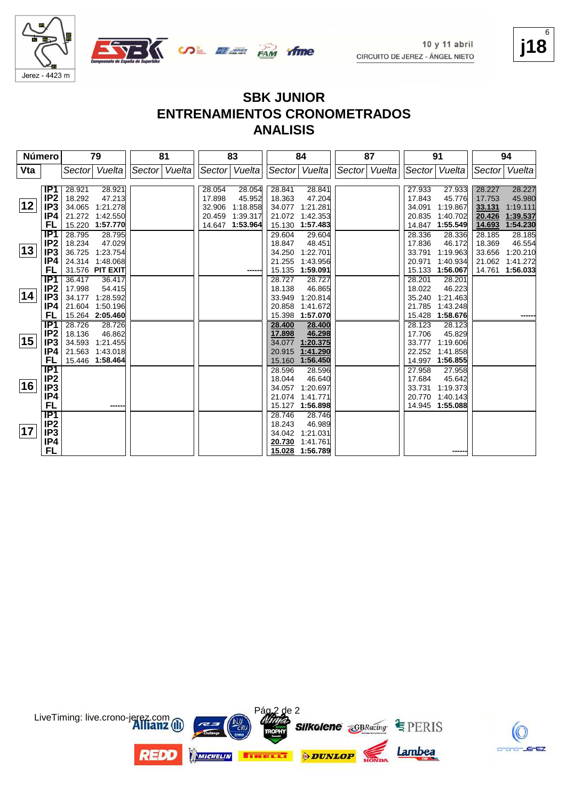





| Número |                  | 79               | 81            | 83                 | 84                 | 87            | 91                 | 94                 |
|--------|------------------|------------------|---------------|--------------------|--------------------|---------------|--------------------|--------------------|
| Vta    |                  | Sector Vuelta    | Sector Vuelta | Sector Vuelta      | Sector Vuelta      | Sector Vuelta | Sector Vuelta      | Vuelta<br> Sector  |
|        |                  |                  |               |                    |                    |               |                    |                    |
|        | IP <sub>1</sub>  | 28.921<br>28.921 |               | 28.054<br>28.054   | 28.841<br>28.841   |               | 27.933<br>27.933   | 28.227<br>28.227   |
|        | IP <sub>2</sub>  | 18.292<br>47.213 |               | 17.898<br>45.952   | 18.363<br>47.204   |               | 17.843<br>45.776   | 17.753<br>45.980   |
| 12     | IP <sub>3</sub>  | 34.065 1:21.278  |               | 1:18.858<br>32.906 | 34.077<br>1:21.281 |               | 34.091<br>1:19.867 | 33.131<br>1:19.111 |
|        | IP4              | 21.272 1:42.550  |               | 1:39.317<br>20.459 | 21.072<br>1:42.353 |               | 20.835<br>1:40.702 | 20.426<br>1:39.537 |
|        | FL               | 15.220 1:57.770  |               | 1:53.964<br>14.647 | 15.130<br>1:57.483 |               | 1:55.549<br>14.847 | 14.693<br>1:54.230 |
|        | IP <sub>1</sub>  | 28.795<br>28.795 |               |                    | 29.604<br>29.604   |               | 28.336<br>28.336   | 28.185<br>28.185   |
|        | IP <sub>2</sub>  | 18.234<br>47.029 |               |                    | 18.847<br>48.451   |               | 17.836<br>46.172   | 18.369<br>46.554   |
| 13     | IP <sub>3</sub>  | 36.725 1:23.754  |               |                    | 1:22.701<br>34.250 |               | 33.791<br>1:19.963 | 33.656<br>1:20.210 |
|        | IP4              | 24.314 1:48.068  |               |                    | 21.255<br>1:43.956 |               | 20.971<br>1:40.934 | 21.062<br>1:41.272 |
|        | FL               | 31.576 PIT EXIT  |               |                    | 15.135<br>1:59.091 |               | 15.133<br>1:56.067 | 14.761<br>1:56.033 |
|        | IP1              | 36.417<br>36.417 |               |                    | 28.727<br>28.727   |               | 28.201<br>28.201   |                    |
|        | IP2              | 17.998<br>54.415 |               |                    | 18.138<br>46.865   |               | 18.022<br>46.223   |                    |
| 14     | IP <sub>3</sub>  | 34.177 1:28.592  |               |                    | 33.949<br>1:20.814 |               | 35.240<br>1:21.463 |                    |
|        | IP4              | 21.604 1:50.196  |               |                    | 20.858<br>1:41.672 |               | 21.785<br>1:43.248 |                    |
|        | FL               | 15.264 2:05.460  |               |                    | 15.398<br>1:57.070 |               | 15.428<br>1:58.676 |                    |
|        | IP <sub>1</sub>  | 28.726<br>28.726 |               |                    | 28.400<br>28.400   |               | 28.123<br>28.123   |                    |
|        | IP <sub>2</sub>  | 18.136<br>46.862 |               |                    | 46.298<br>17.898   |               | 17.706<br>45.829   |                    |
| 15     | IP <sub>3</sub>  | 34.593 1:21.455  |               |                    | 34.077<br>1:20.375 |               | 1:19.606<br>33.777 |                    |
|        | IP4              | 21.563 1:43.018  |               |                    | 20.915<br>1:41.290 |               | 22.252<br>1:41.858 |                    |
|        | FL               | 15.446 1:58.464  |               |                    | 15.160<br>1:56.450 |               | 1:56.855<br>14.997 |                    |
|        | $\overline{IP1}$ |                  |               |                    | 28.596<br>28.596   |               | 27.958<br>27.958   |                    |
|        | IP <sub>2</sub>  |                  |               |                    | 18.044<br>46.640   |               | 17.684<br>45.642   |                    |
| 16     | IP <sub>3</sub>  |                  |               |                    | 34.057<br>1:20.697 |               | 33.731<br>1:19.373 |                    |
|        | IP4              |                  |               |                    | 1:41.771<br>21.074 |               | 20.770<br>1:40.143 |                    |
|        | FL               | -----            |               |                    | 1:56.898<br>15.127 |               | 14.945 1:55.088    |                    |
|        | $\overline{IP1}$ |                  |               |                    | 28.746<br>28.746   |               |                    |                    |
|        | IP <sub>2</sub>  |                  |               |                    | 18.243<br>46.989   |               |                    |                    |
| 17     | IP <sub>3</sub>  |                  |               |                    | 34.042<br>1:21.031 |               |                    |                    |
|        | IP4              |                  |               |                    | 20.730<br>1:41.761 |               |                    |                    |
|        | FL               |                  |               |                    | 15.028<br>1:56.789 |               |                    |                    |



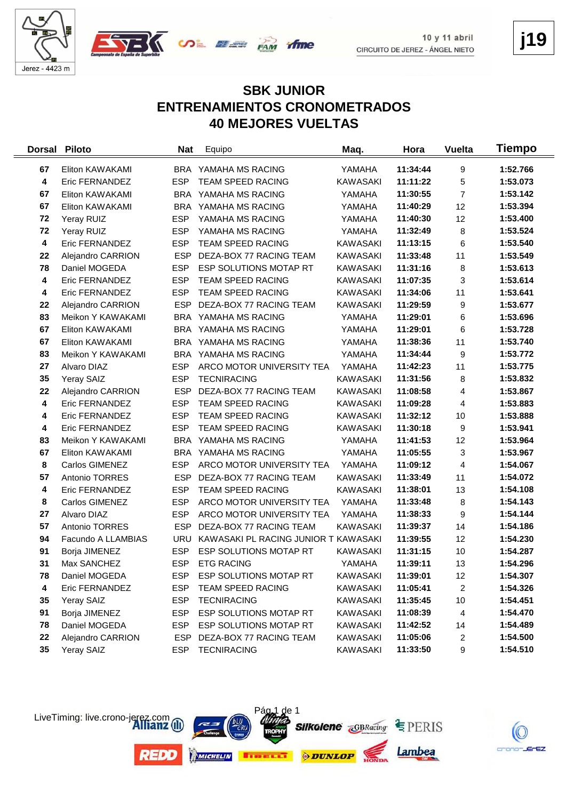



**j19**

#### **SBK JUNIOR ENTRENAMIENTOS CRONOMETRADOS 40 MEJORES VUELTAS**

| <b>Dorsal</b>    | <b>Piloto</b>      | <b>Nat</b> | Equipo                               | Maq.            | Hora     | <b>Vuelta</b>  | Tiempo   |
|------------------|--------------------|------------|--------------------------------------|-----------------|----------|----------------|----------|
| 67               | Eliton KAWAKAMI    | BRA        | YAMAHA MS RACING                     | YAMAHA          | 11:34:44 | 9              | 1:52.766 |
| 4                | Eric FERNANDEZ     | <b>ESP</b> | <b>TEAM SPEED RACING</b>             | <b>KAWASAKI</b> | 11:11:22 | 5              | 1:53.073 |
| 67               | Eliton KAWAKAMI    |            | BRA YAMAHA MS RACING                 | YAMAHA          | 11:30:55 | $\overline{7}$ | 1:53.142 |
| 67               | Eliton KAWAKAMI    |            | BRA YAMAHA MS RACING                 | YAMAHA          | 11:40:29 | 12             | 1:53.394 |
| 72               | Yeray RUIZ         | <b>ESP</b> | YAMAHA MS RACING                     | YAMAHA          | 11:40:30 | 12             | 1:53.400 |
| 72               | Yeray RUIZ         | <b>ESP</b> | YAMAHA MS RACING                     | YAMAHA          | 11:32:49 | 8              | 1:53.524 |
| $\boldsymbol{4}$ | Eric FERNANDEZ     | <b>ESP</b> | TEAM SPEED RACING                    | <b>KAWASAKI</b> | 11:13:15 | 6              | 1:53.540 |
| 22               | Alejandro CARRION  | <b>ESP</b> | DEZA-BOX 77 RACING TEAM              | <b>KAWASAKI</b> | 11:33:48 | 11             | 1:53.549 |
| 78               | Daniel MOGEDA      | <b>ESP</b> | ESP SOLUTIONS MOTAP RT               | KAWASAKI        | 11:31:16 | 8              | 1:53.613 |
| 4                | Eric FERNANDEZ     | <b>ESP</b> | <b>TEAM SPEED RACING</b>             | <b>KAWASAKI</b> | 11:07:35 | 3              | 1:53.614 |
| 4                | Eric FERNANDEZ     | <b>ESP</b> | <b>TEAM SPEED RACING</b>             | <b>KAWASAKI</b> | 11:34:06 | 11             | 1:53.641 |
| 22               | Alejandro CARRION  | <b>ESP</b> | DEZA-BOX 77 RACING TEAM              | <b>KAWASAKI</b> | 11:29:59 | 9              | 1:53.677 |
| 83               | Meikon Y KAWAKAMI  | <b>BRA</b> | YAMAHA MS RACING                     | YAMAHA          | 11:29:01 | 6              | 1:53.696 |
| 67               | Eliton KAWAKAMI    |            | BRA YAMAHA MS RACING                 | YAMAHA          | 11:29:01 | 6              | 1:53.728 |
| 67               | Eliton KAWAKAMI    |            | BRA YAMAHA MS RACING                 | YAMAHA          | 11:38:36 | 11             | 1:53.740 |
| 83               | Meikon Y KAWAKAMI  |            | BRA YAMAHA MS RACING                 | YAMAHA          | 11:34:44 | 9              | 1:53.772 |
| 27               | Alvaro DIAZ        | <b>ESP</b> | ARCO MOTOR UNIVERSITY TEA            | YAMAHA          | 11:42:23 | 11             | 1:53.775 |
| 35               | Yeray SAIZ         | <b>ESP</b> | <b>TECNIRACING</b>                   | <b>KAWASAKI</b> | 11:31:56 | 8              | 1:53.832 |
| 22               | Alejandro CARRION  | <b>ESP</b> | DEZA-BOX 77 RACING TEAM              | <b>KAWASAKI</b> | 11:08:58 | 4              | 1:53.867 |
| 4                | Eric FERNANDEZ     | <b>ESP</b> | TEAM SPEED RACING                    | <b>KAWASAKI</b> | 11:09:28 | 4              | 1:53.883 |
| 4                | Eric FERNANDEZ     | <b>ESP</b> | TEAM SPEED RACING                    | KAWASAKI        | 11:32:12 | 10             | 1:53.888 |
| 4                | Eric FERNANDEZ     | <b>ESP</b> | TEAM SPEED RACING                    | <b>KAWASAKI</b> | 11:30:18 | 9              | 1:53.941 |
| 83               | Meikon Y KAWAKAMI  |            | BRA YAMAHA MS RACING                 | YAMAHA          | 11:41:53 | 12             | 1:53.964 |
| 67               | Eliton KAWAKAMI    | <b>BRA</b> | YAMAHA MS RACING                     | YAMAHA          | 11:05:55 | 3              | 1:53.967 |
| 8                | Carlos GIMENEZ     | <b>ESP</b> | ARCO MOTOR UNIVERSITY TEA            | YAMAHA          | 11:09:12 | 4              | 1:54.067 |
| 57               | Antonio TORRES     | <b>ESP</b> | DEZA-BOX 77 RACING TEAM              | <b>KAWASAKI</b> | 11:33:49 | 11             | 1:54.072 |
| $\boldsymbol{4}$ | Eric FERNANDEZ     | <b>ESP</b> | TEAM SPEED RACING                    | <b>KAWASAKI</b> | 11:38:01 | 13             | 1:54.108 |
| 8                | Carlos GIMENEZ     | <b>ESP</b> | ARCO MOTOR UNIVERSITY TEA            | YAMAHA          | 11:33:48 | 8              | 1:54.143 |
| 27               | Alvaro DIAZ        | <b>ESP</b> | ARCO MOTOR UNIVERSITY TEA            | YAMAHA          | 11:38:33 | 9              | 1:54.144 |
| 57               | Antonio TORRES     | <b>ESP</b> | DEZA-BOX 77 RACING TEAM              | <b>KAWASAKI</b> | 11:39:37 | 14             | 1:54.186 |
| 94               | Facundo A LLAMBIAS | URU        | KAWASAKI PL RACING JUNIOR T KAWASAKI |                 | 11:39:55 | 12             | 1:54.230 |
| 91               | Borja JIMENEZ      | <b>ESP</b> | ESP SOLUTIONS MOTAP RT               | <b>KAWASAKI</b> | 11:31:15 | 10             | 1:54.287 |
| 31               | Max SANCHEZ        | <b>ESP</b> | <b>ETG RACING</b>                    | YAMAHA          | 11:39:11 | 13             | 1:54.296 |
| 78               | Daniel MOGEDA      | ESP        | ESP SOLUTIONS MOTAP RT               | <b>KAWASAKI</b> | 11:39:01 | 12             | 1:54.307 |
| 4                | Eric FERNANDEZ     | <b>ESP</b> | TEAM SPEED RACING                    | <b>KAWASAKI</b> | 11:05:41 | $\overline{c}$ | 1:54.326 |
| 35               | Yeray SAIZ         | <b>ESP</b> | <b>TECNIRACING</b>                   | KAWASAKI        | 11:35:45 | 10             | 1:54.451 |
| 91               | Borja JIMENEZ      | <b>ESP</b> | ESP SOLUTIONS MOTAP RT               | KAWASAKI        | 11:08:39 | 4              | 1:54.470 |
| 78               | Daniel MOGEDA      | <b>ESP</b> | ESP SOLUTIONS MOTAP RT               | KAWASAKI        | 11:42:52 | 14             | 1:54.489 |
| 22               | Alejandro CARRION  | <b>ESP</b> | DEZA-BOX 77 RACING TEAM              | KAWASAKI        | 11:05:06 | 2              | 1:54.500 |
| 35               | Yeray SAIZ         | <b>ESP</b> | <b>TECNIRACING</b>                   | <b>KAWASAKI</b> | 11:33:50 | 9              | 1:54.510 |



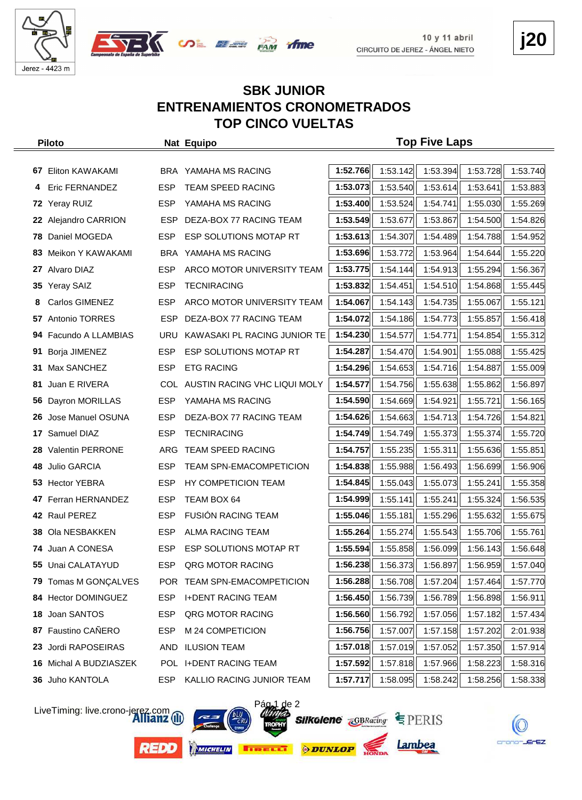



# **j20**

#### **SBK JUNIOR ENTRENAMIENTOS CRONOMETRADOS TOP CINCO VUELTAS**

*fime* 

|     | <b>Piloto</b>           |            | Nat Equipo                       |          |          | <b>Top Five Laps</b> |                                                               |          |
|-----|-------------------------|------------|----------------------------------|----------|----------|----------------------|---------------------------------------------------------------|----------|
|     |                         |            |                                  |          |          |                      |                                                               |          |
| 67  | Eliton KAWAKAMI         |            | BRA YAMAHA MS RACING             | 1:52.766 | 1:53.142 | 1:53.394             | 1:53.728                                                      | 1:53.740 |
| 4   | Eric FERNANDEZ          | <b>ESP</b> | <b>TEAM SPEED RACING</b>         | 1:53.073 | 1:53.540 | 1:53.614             | 1:53.641                                                      | 1:53.883 |
| 72  | Yeray RUIZ              | <b>ESP</b> | YAMAHA MS RACING                 | 1:53.400 | 1:53.524 | 1:54.741             | 1:55.030                                                      | 1:55.269 |
|     | 22 Alejandro CARRION    | <b>ESP</b> | DEZA-BOX 77 RACING TEAM          | 1:53.549 | 1:53.677 | 1:53.867             | 1:54.500                                                      | 1:54.826 |
|     | 78 Daniel MOGEDA        | ESP.       | ESP SOLUTIONS MOTAP RT           | 1:53.613 | 1:54.307 | 1:54.489             | 1:54.788                                                      | 1:54.952 |
| 83. | Meikon Y KAWAKAMI       | BRA        | YAMAHA MS RACING                 | 1:53.696 | 1:53.772 | 1:53.964             | 1:54.644                                                      | 1:55.220 |
|     | 27 Alvaro DIAZ          | <b>ESP</b> | ARCO MOTOR UNIVERSITY TEAM       | 1:53.775 | 1:54.144 | 1:54.913             | 1:55.294                                                      | 1:56.367 |
| 35  | <b>Yeray SAIZ</b>       | <b>ESP</b> | <b>TECNIRACING</b>               | 1:53.832 | 1:54.451 | 1:54.510             | 1:54.868                                                      | 1:55.445 |
| 8   | Carlos GIMENEZ          | <b>ESP</b> | ARCO MOTOR UNIVERSITY TEAM       | 1:54.067 | 1:54.143 | 1:54.735             | 1:55.067                                                      | 1:55.121 |
| 57  | Antonio TORRES          | <b>ESP</b> | DEZA-BOX 77 RACING TEAM          | 1:54.072 | 1:54.186 | 1:54.773             | 1:55.857                                                      | 1:56.418 |
| 94  | Facundo A LLAMBIAS      | <b>URU</b> | KAWASAKI PL RACING JUNIOR TE     | 1:54.230 | 1:54.577 | 1:54.771             | 1:54.854                                                      | 1:55.312 |
| 91  | Borja JIMENEZ           | <b>ESP</b> | ESP SOLUTIONS MOTAP RT           | 1:54.287 | 1:54.470 | 1:54.901             | 1:55.088                                                      | 1:55.425 |
| 31  | Max SANCHEZ             | ESP.       | <b>ETG RACING</b>                | 1:54.296 | 1:54.653 | 1:54.716             | 1:54.887                                                      | 1:55.009 |
| 81  | Juan E RIVERA           |            | COL AUSTIN RACING VHC LIQUI MOLY | 1:54.577 | 1:54.756 | 1:55.638             | 1:55.862                                                      | 1:56.897 |
| 56  | Dayron MORILLAS         | <b>ESP</b> | YAMAHA MS RACING                 | 1:54.590 | 1:54.669 | 1:54.921             | 1:55.721                                                      | 1:56.165 |
| 26. | Jose Manuel OSUNA       | <b>ESP</b> | DEZA-BOX 77 RACING TEAM          | 1:54.626 | 1:54.663 | 1:54.713             | 1:54.726                                                      | 1:54.821 |
| 17  | Samuel DIAZ             | <b>ESP</b> | <b>TECNIRACING</b>               | 1:54.749 | 1:54.749 | 1:55.373             | 1:55.374                                                      | 1:55.720 |
| 28. | <b>Valentin PERRONE</b> | ARG        | TEAM SPEED RACING                | 1:54.757 | 1:55.235 | 1:55.311             | 1:55.636                                                      | 1:55.851 |
| 48  | <b>Julio GARCIA</b>     | <b>ESP</b> | <b>TEAM SPN-EMACOMPETICION</b>   | 1:54.838 | 1:55.988 | 1:56.493             | 1:56.699                                                      | 1:56.906 |
|     | 53 Hector YEBRA         | <b>ESP</b> | HY COMPETICION TEAM              | 1:54.845 | 1:55.043 | 1:55.073             | 1:55.241                                                      | 1:55.358 |
| 47  | Ferran HERNANDEZ        | <b>ESP</b> | TEAM BOX 64                      | 1:54.999 | 1:55.141 | 1:55.241             | 1:55.324                                                      | 1:56.535 |
|     | 42 Raul PEREZ           | ESP.       | <b>FUSION RACING TEAM</b>        | 1:55.046 | 1:55.181 | 1:55.296             | 1:55.632                                                      | 1:55.675 |
|     | 38 Ola NESBAKKEN        | <b>ESP</b> | ALMA RACING TEAM                 | 1:55.264 | 1:55.274 | 1:55.543             | 1:55.706                                                      | 1:55.761 |
|     | 74 Juan A CONESA        | <b>ESP</b> | ESP SOLUTIONS MOTAP RT           | 1:55.594 | 1:55.858 | 1:56.099             | 1:56.143                                                      | 1:56.648 |
|     | 55 Unai CALATAYUD       | <b>ESP</b> | QRG MOTOR RACING                 |          |          |                      | $\left  \right $ 1:56.238 1:56.373 1:56.897 1:56.959 1:57.040 |          |
|     | 79 Tomas M GONÇALVES    |            | POR TEAM SPN-EMACOMPETICION      | 1:56.288 | 1:56.708 | 1:57.204             | 1:57.464                                                      | 1:57.770 |
| 84  | Hector DOMINGUEZ        | <b>ESP</b> | <b>I+DENT RACING TEAM</b>        | 1:56.450 | 1:56.739 | 1:56.789             | 1:56.898                                                      | 1:56.911 |
| 18  | Joan SANTOS             | <b>ESP</b> | QRG MOTOR RACING                 | 1:56.560 | 1:56.792 | 1:57.056             | 1:57.182                                                      | 1:57.434 |
| 87  | Faustino CAÑERO         | ESP        | M 24 COMPETICION                 | 1:56.756 | 1:57.007 | 1:57.158             | 1:57.202                                                      | 2:01.938 |
| 23  | Jordi RAPOSEIRAS        | AND        | <b>ILUSION TEAM</b>              | 1:57.018 | 1:57.019 | 1:57.052             | 1:57.350                                                      | 1:57.914 |
|     | 16 Michal A BUDZIASZEK  |            | POL I+DENT RACING TEAM           | 1:57.592 | 1:57.818 | 1:57.966             | 1:58.223                                                      | 1:58.316 |
|     | 36 Juho KANTOLA         | ESP.       | KALLIO RACING JUNIOR TEAM        | 1:57.717 | 1:58.095 | 1:58.242             | 1:58.256                                                      | 1:58.338 |

LiveTiming: live.crono-jerez.com

**REDD** 







Lambea

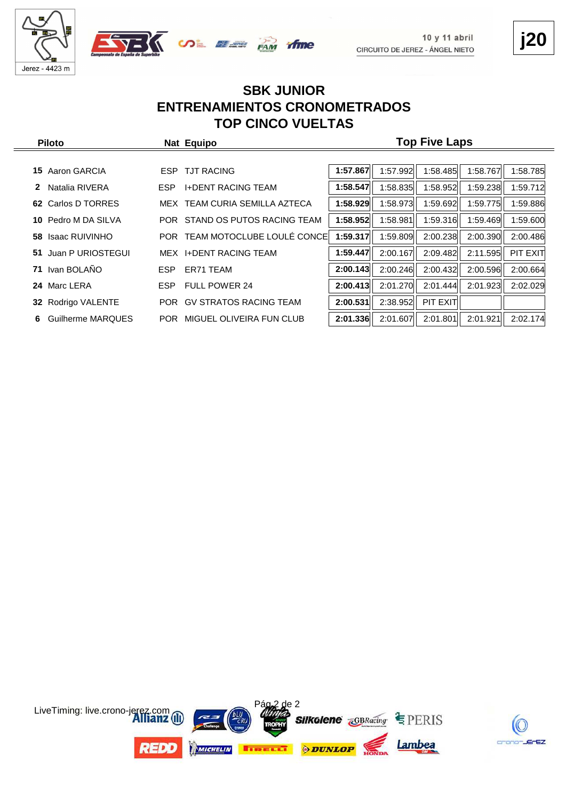





#### **SBK JUNIOR ENTRENAMIENTOS CRONOMETRADOS TOP CINCO VUELTAS**

| <b>Piloto</b>          |            | Nat Equipo                     |          |          | <b>Top Five Laps</b> |          |          |
|------------------------|------------|--------------------------------|----------|----------|----------------------|----------|----------|
|                        |            |                                |          |          |                      |          |          |
| Aaron GARCIA<br>15.    | ESP        | <b>TJT RACING</b>              | 1:57.867 | 1:57.992 | 1:58.485             | 1:58.767 | 1:58.785 |
| Natalia RIVERA<br>2    | ESP.       | <b>I+DENT RACING TEAM</b>      | 1:58.547 | 1:58.835 | 1:58.952             | 1:59.238 | 1:59.712 |
| Carlos D TORRES<br>62. |            | MEX TEAM CURIA SEMILLA AZTECA  | 1:58.929 | 1:58.973 | 1:59.692             | 1:59.775 | 1:59.886 |
| Pedro M DA SILVA<br>10 |            | POR STAND OS PUTOS RACING TEAM | 1:58.952 | 1:58.981 | 1:59.316             | 1:59.469 | 1:59.600 |
| Isaac RUIVINHO<br>58.  | <b>POR</b> | TEAM MOTOCLUBE LOULÉ CONCE     | 1:59.317 | 1:59.809 | 2:00.238             | 2:00.390 | 2:00.486 |
| 51 Juan P URIOSTEGUI   |            | MEX I+DENT RACING TEAM         | 1:59.447 | 2:00.167 | 2:09.482             | 2:11.595 | PIT EXIT |
| Ivan BOLAÑO<br>71      | ESP.       | ER71 TEAM                      | 2:00.143 | 2:00.246 | 2:00.432             | 2:00.596 | 2:00.664 |
| 24 Marc LERA           | ESP.       | <b>FULL POWER 24</b>           | 2:00.413 | 2:01.270 | 2:01.444             | 2:01.923 | 2:02.029 |
| 32 Rodrigo VALENTE     |            | POR GV STRATOS RACING TEAM     | 2:00.531 | 2:38.952 | PIT EXIT             |          |          |
| Guilherme MARQUES<br>6 |            | POR MIGUEL OLIVEIRA FUN CLUB   | 2:01.336 | 2:01.607 | 2:01.801             | 2:01.921 | 2:02.174 |



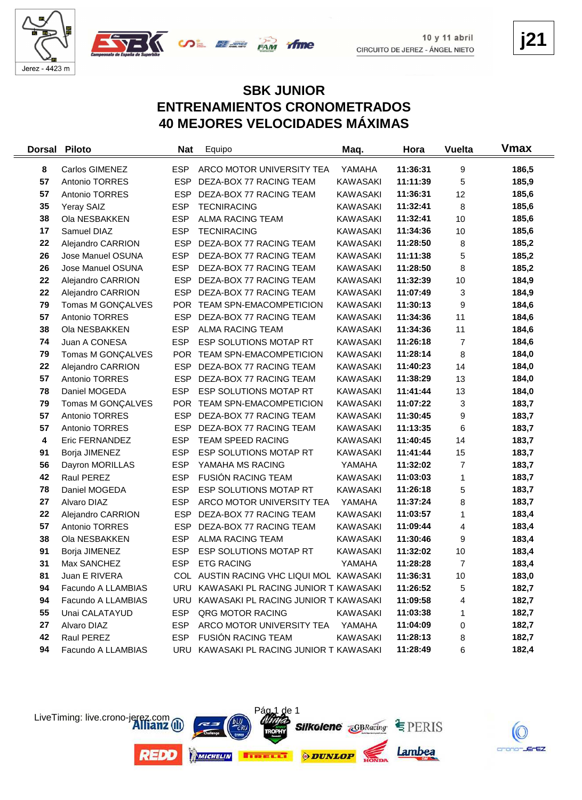



**j21**

#### **SBK JUNIOR ENTRENAMIENTOS CRONOMETRADOS 40 MEJORES VELOCIDADES MÁXIMAS**

| <b>Dorsal</b> | <b>Piloto</b>      | <b>Nat</b> | Equipo                                   | Maq.            | Hora     | <b>Vuelta</b> | Vmax  |
|---------------|--------------------|------------|------------------------------------------|-----------------|----------|---------------|-------|
| 8             | Carlos GIMENEZ     | <b>ESP</b> | ARCO MOTOR UNIVERSITY TEA                | YAMAHA          | 11:36:31 | 9             | 186,5 |
| 57            | Antonio TORRES     | <b>ESP</b> | DEZA-BOX 77 RACING TEAM                  | <b>KAWASAKI</b> | 11:11:39 | 5             | 185,9 |
| 57            | Antonio TORRES     | <b>ESP</b> | DEZA-BOX 77 RACING TEAM                  | <b>KAWASAKI</b> | 11:36:31 | 12            | 185,6 |
| 35            | Yeray SAIZ         | <b>ESP</b> | <b>TECNIRACING</b>                       | <b>KAWASAKI</b> | 11:32:41 | 8             | 185,6 |
| 38            | Ola NESBAKKEN      | <b>ESP</b> | ALMA RACING TEAM                         | KAWASAKI        | 11:32:41 | 10            | 185,6 |
| 17            | Samuel DIAZ        | <b>ESP</b> | <b>TECNIRACING</b>                       | KAWASAKI        | 11:34:36 | 10            | 185,6 |
| 22            | Alejandro CARRION  | <b>ESP</b> | DEZA-BOX 77 RACING TEAM                  | KAWASAKI        | 11:28:50 | 8             | 185,2 |
| 26            | Jose Manuel OSUNA  | <b>ESP</b> | DEZA-BOX 77 RACING TEAM                  | <b>KAWASAKI</b> | 11:11:38 | 5             | 185,2 |
| 26            | Jose Manuel OSUNA  | <b>ESP</b> | DEZA-BOX 77 RACING TEAM                  | KAWASAKI        | 11:28:50 | 8             | 185,2 |
| 22            | Alejandro CARRION  | <b>ESP</b> | DEZA-BOX 77 RACING TEAM                  | KAWASAKI        | 11:32:39 | 10            | 184,9 |
| 22            | Alejandro CARRION  | <b>ESP</b> | DEZA-BOX 77 RACING TEAM                  | <b>KAWASAKI</b> | 11:07:49 | 3             | 184,9 |
| 79            | Tomas M GONÇALVES  | <b>POR</b> | TEAM SPN-EMACOMPETICION                  | <b>KAWASAKI</b> | 11:30:13 | 9             | 184,6 |
| 57            | Antonio TORRES     | <b>ESP</b> | DEZA-BOX 77 RACING TEAM                  | <b>KAWASAKI</b> | 11:34:36 | 11            | 184,6 |
| 38            | Ola NESBAKKEN      | <b>ESP</b> | <b>ALMA RACING TEAM</b>                  | <b>KAWASAKI</b> | 11:34:36 | 11            | 184,6 |
| 74            | Juan A CONESA      | <b>ESP</b> | ESP SOLUTIONS MOTAP RT                   | <b>KAWASAKI</b> | 11:26:18 | 7             | 184,6 |
| 79            | Tomas M GONÇALVES  |            | POR TEAM SPN-EMACOMPETICION              | KAWASAKI        | 11:28:14 | 8             | 184,0 |
| 22            | Alejandro CARRION  | <b>ESP</b> | DEZA-BOX 77 RACING TEAM                  | KAWASAKI        | 11:40:23 | 14            | 184,0 |
| 57            | Antonio TORRES     | <b>ESP</b> | DEZA-BOX 77 RACING TEAM                  | <b>KAWASAKI</b> | 11:38:29 | 13            | 184,0 |
| 78            | Daniel MOGEDA      | <b>ESP</b> | ESP SOLUTIONS MOTAP RT                   | <b>KAWASAKI</b> | 11:41:44 | 13            | 184,0 |
| 79            | Tomas M GONÇALVES  | <b>POR</b> | <b>TEAM SPN-EMACOMPETICION</b>           | <b>KAWASAKI</b> | 11:07:22 | 3             | 183,7 |
| 57            | Antonio TORRES     | <b>ESP</b> | DEZA-BOX 77 RACING TEAM                  | KAWASAKI        | 11:30:45 | 9             | 183,7 |
| 57            | Antonio TORRES     | <b>ESP</b> | DEZA-BOX 77 RACING TEAM                  | KAWASAKI        | 11:13:35 | 6             | 183,7 |
| 4             | Eric FERNANDEZ     | <b>ESP</b> | TEAM SPEED RACING                        | KAWASAKI        | 11:40:45 | 14            | 183,7 |
| 91            | Borja JIMENEZ      | <b>ESP</b> | ESP SOLUTIONS MOTAP RT                   | KAWASAKI        | 11:41:44 | 15            | 183,7 |
| 56            | Dayron MORILLAS    | <b>ESP</b> | YAMAHA MS RACING                         | YAMAHA          | 11:32:02 | 7             | 183,7 |
| 42            | Raul PEREZ         | <b>ESP</b> | <b>FUSION RACING TEAM</b>                | <b>KAWASAKI</b> | 11:03:03 | 1             | 183,7 |
| 78            | Daniel MOGEDA      | <b>ESP</b> | ESP SOLUTIONS MOTAP RT                   | <b>KAWASAKI</b> | 11:26:18 | 5             | 183,7 |
| 27            | Alvaro DIAZ        | <b>ESP</b> | ARCO MOTOR UNIVERSITY TEA                | YAMAHA          | 11:37:24 | 8             | 183,7 |
| 22            | Alejandro CARRION  | <b>ESP</b> | DEZA-BOX 77 RACING TEAM                  | <b>KAWASAKI</b> | 11:03:57 | 1             | 183,4 |
| 57            | Antonio TORRES     | <b>ESP</b> | DEZA-BOX 77 RACING TEAM                  | <b>KAWASAKI</b> | 11:09:44 | 4             | 183,4 |
| 38            | Ola NESBAKKEN      | <b>ESP</b> | <b>ALMA RACING TEAM</b>                  | KAWASAKI        | 11:30:46 | 9             | 183,4 |
| 91            | Borja JIMENEZ      | <b>ESP</b> | ESP SOLUTIONS MOTAP RT                   | <b>KAWASAKI</b> | 11:32:02 | 10            | 183,4 |
| 31            | Max SANCHEZ        | <b>ESP</b> | <b>ETG RACING</b>                        | YAMAHA          | 11:28:28 | 7             | 183,4 |
| 81            | Juan E RIVERA      |            | COL AUSTIN RACING VHC LIQUI MOL KAWASAKI |                 | 11:36:31 | 10            | 183,0 |
| 94            | Facundo A LLAMBIAS |            | URU KAWASAKI PL RACING JUNIOR T KAWASAKI |                 | 11:26:52 | 5             | 182,7 |
| 94            | Facundo A LLAMBIAS |            | URU KAWASAKI PL RACING JUNIOR T KAWASAKI |                 | 11:09:58 | 4             | 182,7 |
| 55            | Unai CALATAYUD     | ESP        | QRG MOTOR RACING                         | <b>KAWASAKI</b> | 11:03:38 | 1             | 182,7 |
| 27            | Alvaro DIAZ        | ESP.       | ARCO MOTOR UNIVERSITY TEA                | YAMAHA          | 11:04:09 | 0             | 182,7 |
| 42            | Raul PEREZ         | ESP        | <b>FUSIÓN RACING TEAM</b>                | <b>KAWASAKI</b> | 11:28:13 | 8             | 182,7 |
| 94            | Facundo A LLAMBIAS |            | URU KAWASAKI PL RACING JUNIOR T KAWASAKI |                 | 11:28:49 | 6             | 182,4 |



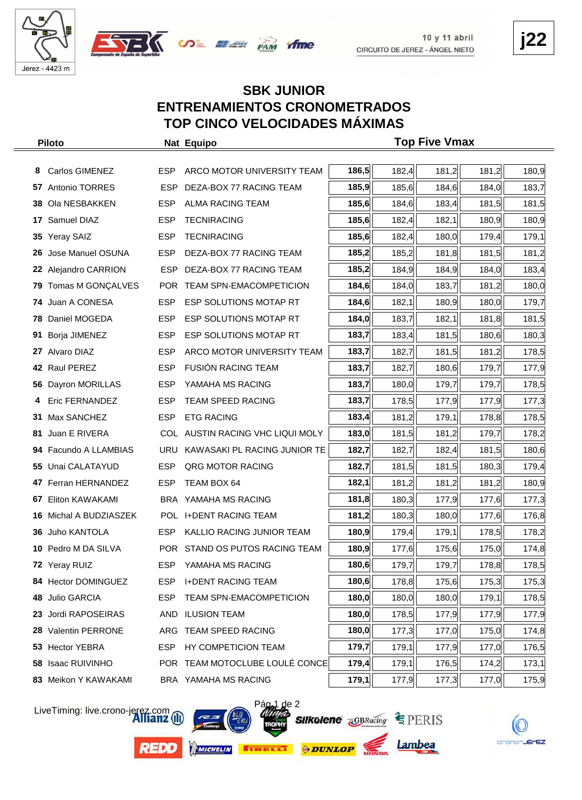





#### **SBK JUNIOR ENTRENAMIENTOS CRONOMETRADOS TOP CINCO VELOCIDADES MÁXIMAS**

| <b>Piloto</b> |                        |            | Nat Equipo                       | <b>Top Five Vmax</b> |       |       |       |       |
|---------------|------------------------|------------|----------------------------------|----------------------|-------|-------|-------|-------|
|               |                        |            |                                  |                      |       |       |       |       |
| 8             | Carlos GIMENEZ         | <b>ESP</b> | ARCO MOTOR UNIVERSITY TEAM       | 186,5                | 182,4 | 181,2 | 181,2 | 180,9 |
|               | 57 Antonio TORRES      | ESP.       | DEZA-BOX 77 RACING TEAM          | 185,9                | 185,6 | 184,6 | 184,0 | 183,7 |
|               | 38 Ola NESBAKKEN       | <b>ESP</b> | ALMA RACING TEAM                 | 185,6                | 184,6 | 183,4 | 181,5 | 181,5 |
| 17            | Samuel DIAZ            | <b>ESP</b> | <b>TECNIRACING</b>               | 185,6                | 182,4 | 182,1 | 180,9 | 180,9 |
|               | 35 Yeray SAIZ          | <b>ESP</b> | <b>TECNIRACING</b>               | 185,6                | 182,4 | 180,0 | 179,4 | 179,1 |
| 26            | Jose Manuel OSUNA      | <b>ESP</b> | DEZA-BOX 77 RACING TEAM          | 185,2                | 185,2 | 181,8 | 181,5 | 181,2 |
|               | 22 Alejandro CARRION   |            | ESP DEZA-BOX 77 RACING TEAM      | 185,2                | 184,9 | 184,9 | 184,0 | 183,4 |
| 79            | Tomas M GONÇALVES      |            | POR TEAM SPN-EMACOMPETICION      | 184,6                | 184,0 | 183,7 | 181,2 | 180,0 |
|               | 74 Juan A CONESA       | <b>ESP</b> | ESP SOLUTIONS MOTAP RT           | 184,6                | 182,1 | 180,9 | 180,0 | 179,7 |
| 78            | Daniel MOGEDA          | <b>ESP</b> | ESP SOLUTIONS MOTAP RT           | 184,0                | 183,7 | 182,1 | 181,8 | 181,5 |
| 91            | Borja JIMENEZ          | <b>ESP</b> | ESP SOLUTIONS MOTAP RT           | 183,7                | 183,4 | 181,5 | 180,6 | 180,3 |
|               | 27 Alvaro DIAZ         | <b>ESP</b> | ARCO MOTOR UNIVERSITY TEAM       | 183,7                | 182,7 | 181,5 | 181,2 | 178,5 |
|               | 42 Raul PEREZ          | <b>ESP</b> | <b>FUSIÓN RACING TEAM</b>        | 183,7                | 182,7 | 180,6 | 179,7 | 177,9 |
|               | 56 Dayron MORILLAS     | <b>ESP</b> | YAMAHA MS RACING                 | 183,7                | 180,0 | 179,7 | 179,7 | 178,5 |
|               | Eric FERNANDEZ         | <b>ESP</b> | TEAM SPEED RACING                | 183,7                | 178,5 | 177,9 | 177,9 | 177,3 |
|               | 31 Max SANCHEZ         | <b>ESP</b> | <b>ETG RACING</b>                | 183,4                | 181,2 | 179,1 | 178,8 | 178,5 |
| 81            | Juan E RIVERA          |            | COL AUSTIN RACING VHC LIQUI MOLY | 183,0                | 181,5 | 181,2 | 179,7 | 178,2 |
| 94            | Facundo A LLAMBIAS     | URU        | KAWASAKI PL RACING JUNIOR TE     | 182,7                | 182,7 | 182,4 | 181,5 | 180,6 |
|               | 55 Unai CALATAYUD      | <b>ESP</b> | QRG MOTOR RACING                 | 182,7                | 181,5 | 181,5 | 180,3 | 179,4 |
|               | 47 Ferran HERNANDEZ    | <b>ESP</b> | TEAM BOX 64                      | 182,1                | 181,2 | 181,2 | 181,2 | 180,9 |
| 67            | Eliton KAWAKAMI        |            | BRA YAMAHA MS RACING             | 181,8                | 180,3 | 177,9 | 177,6 | 177,3 |
|               | 16 Michal A BUDZIASZEK |            | POL I+DENT RACING TEAM           | 181,2                | 180,3 | 180,0 | 177,6 | 176,8 |
|               | 36 Juho KANTOLA        | <b>ESP</b> | KALLIO RACING JUNIOR TEAM        | 180,9                | 179,4 | 179,1 | 178,5 | 178,2 |
|               | 10 Pedro M DA SILVA    |            | POR STAND OS PUTOS RACING TEAM   | 180,9                | 177,6 | 175,6 | 175,0 | 174,8 |
|               | 72 Yeray RUIZ          |            | ESP YAMAHA MS RACING             | 180,6                | 179,7 | 179,7 | 178,8 | 178,5 |
|               | 84 Hector DOMINGUEZ    | <b>ESP</b> | <b>I+DENT RACING TEAM</b>        | 180,6                | 178,8 | 175,6 | 175,3 | 175,3 |
| 48            | Julio GARCIA           | ESP        | <b>TEAM SPN-EMACOMPETICION</b>   | 180,0                | 180,0 | 180,0 | 179,1 | 178,5 |
| 23            | Jordi RAPOSEIRAS       | AND        | <b>ILUSION TEAM</b>              | 180,0                | 178,5 | 177,9 | 177,9 | 177,9 |
|               | 28 Valentin PERRONE    |            | ARG TEAM SPEED RACING            | 180,0                | 177,3 | 177,0 | 175,0 | 174,8 |
|               | 53 Hector YEBRA        | <b>ESP</b> | HY COMPETICION TEAM              | 179,7                | 179,1 | 177,9 | 177,0 | 176,5 |
| 58            | <b>Isaac RUIVINHO</b>  |            | POR TEAM MOTOCLUBE LOULÉ CONCE   | 179,4                | 179,1 | 176,5 | 174,2 | 173,1 |
|               | 83 Meikon Y KAWAKAMI   |            | BRA YAMAHA MS RACING             | 179,1                | 177,9 | 177,3 | 177,0 | 175,9 |

LiveTiming: live.crono-jerez.com



**REDO** 

**Silkolene** *GBRacing* **E** PERIS

Pág 1 de 2



Lambea